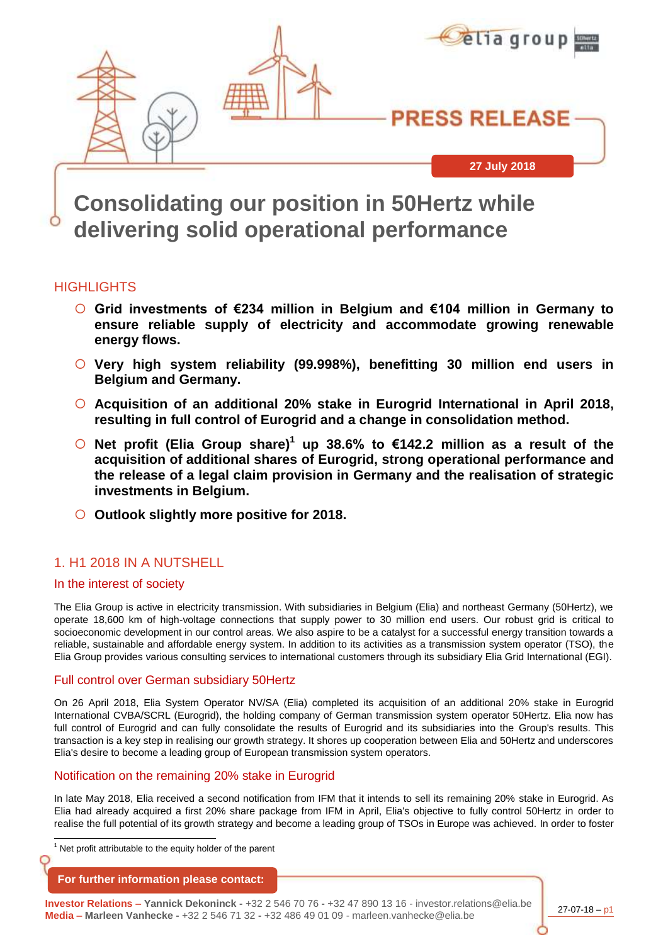

# **Consolidating our position in 50Hertz while delivering solid operational performance**

### **HIGHLIGHTS**

- **Grid investments of €234 million in Belgium and €104 million in Germany to ensure reliable supply of electricity and accommodate growing renewable energy flows.**
- **Very high system reliability (99.998%), benefitting 30 million end users in Belgium and Germany.**
- **Acquisition of an additional 20% stake in Eurogrid International in April 2018, resulting in full control of Eurogrid and a change in consolidation method.**
- **Net profit (Elia Group share)<sup>1</sup> up 38.6% to €142.2 million as a result of the acquisition of additional shares of Eurogrid, strong operational performance and the release of a legal claim provision in Germany and the realisation of strategic investments in Belgium.**
- **O** Outlook slightly more positive for 2018.

### 1. H1 2018 IN A NUTSHELL

### In the interest of society

The Elia Group is active in electricity transmission. With subsidiaries in Belgium (Elia) and northeast Germany (50Hertz), we operate 18,600 km of high-voltage connections that supply power to 30 million end users. Our robust grid is critical to socioeconomic development in our control areas. We also aspire to be a catalyst for a successful energy transition towards a reliable, sustainable and affordable energy system. In addition to its activities as a transmission system operator (TSO), the Elia Group provides various consulting services to international customers through its subsidiary Elia Grid International (EGI).

#### Full control over German subsidiary 50Hertz

On 26 April 2018, Elia System Operator NV/SA (Elia) completed its acquisition of an additional 20% stake in Eurogrid International CVBA/SCRL (Eurogrid), the holding company of German transmission system operator 50Hertz. Elia now has full control of Eurogrid and can fully consolidate the results of Eurogrid and its subsidiaries into the Group's results. This transaction is a key step in realising our growth strategy. It shores up cooperation between Elia and 50Hertz and underscores Elia's desire to become a leading group of European transmission system operators.

### Notification on the remaining 20% stake in Eurogrid

In late May 2018, Elia received a second notification from IFM that it intends to sell its remaining 20% stake in Eurogrid. As Elia had already acquired a first 20% share package from IFM in April, Elia's objective to fully control 50Hertz in order to realise the full potential of its growth strategy and become a leading group of TSOs in Europe was achieved. In order to foster

 $1$  Net profit attributable to the equity holder of the parent

l

#### **For further information please contact:**

. **Investor Relations – Yannick Dekoninck -** +32 2 546 70 76 **-** +32 47 890 13 16 - investor.relations@elia.be **Media – Marleen Vanhecke -** +32 2 546 71 32 **-** +32 486 49 01 09 - marleen.vanhecke@elia.be

27-07-18 – p1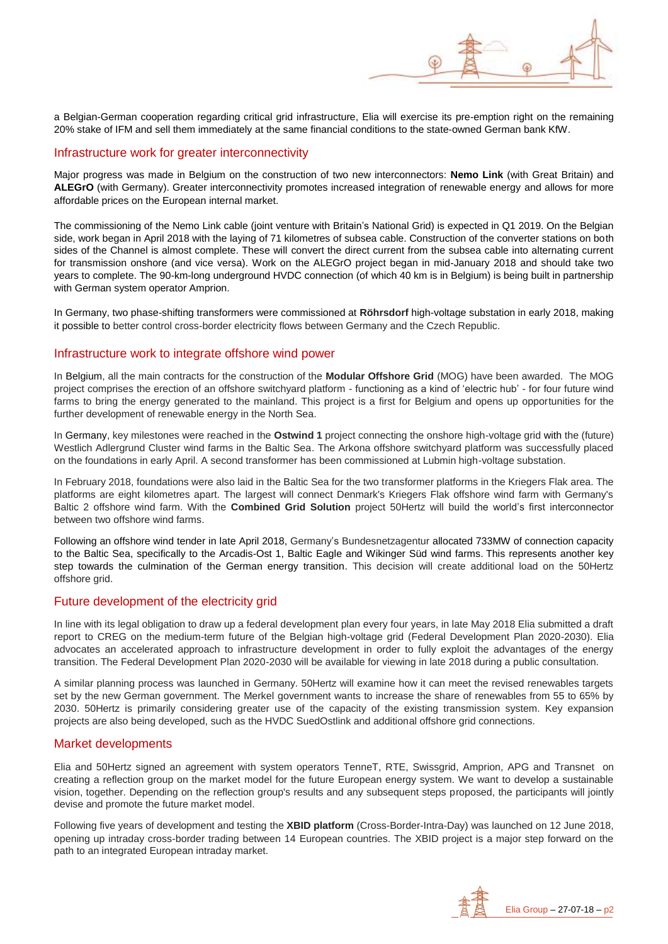

a Belgian-German cooperation regarding critical grid infrastructure, Elia will exercise its pre-emption right on the remaining 20% stake of IFM and sell them immediately at the same financial conditions to the state-owned German bank KfW.

#### Infrastructure work for greater interconnectivity

Major progress was made in Belgium on the construction of two new interconnectors: **Nemo Link** (with Great Britain) and **ALEGrO** (with Germany). Greater interconnectivity promotes increased integration of renewable energy and allows for more affordable prices on the European internal market.

The commissioning of the Nemo Link cable (joint venture with Britain's National Grid) is expected in Q1 2019. On the Belgian side, work began in April 2018 with the laying of 71 kilometres of subsea cable. Construction of the converter stations on both sides of the Channel is almost complete. These will convert the direct current from the subsea cable into alternating current for transmission onshore (and vice versa). Work on the ALEGrO project began in mid-January 2018 and should take two years to complete. The 90-km-long underground HVDC connection (of which 40 km is in Belgium) is being built in partnership with German system operator Amprion.

In Germany, two phase-shifting transformers were commissioned at **Röhrsdorf** high-voltage substation in early 2018, making it possible to better control cross-border electricity flows between Germany and the Czech Republic.

#### Infrastructure work to integrate offshore wind power

In Belgium, all the main contracts for the construction of the **Modular Offshore Grid** (MOG) have been awarded. The MOG project comprises the erection of an offshore switchyard platform - functioning as a kind of 'electric hub' - for four future wind farms to bring the energy generated to the mainland. This project is a first for Belgium and opens up opportunities for the further development of renewable energy in the North Sea.

In Germany, key milestones were reached in the **Ostwind 1** project connecting the onshore high-voltage grid with the (future) Westlich Adlergrund Cluster wind farms in the Baltic Sea. The Arkona offshore switchyard platform was successfully placed on the foundations in early April. A second transformer has been commissioned at Lubmin high-voltage substation.

In February 2018, foundations were also laid in the Baltic Sea for the two transformer platforms in the Kriegers Flak area. The platforms are eight kilometres apart. The largest will connect Denmark's Kriegers Flak offshore wind farm with Germany's Baltic 2 offshore wind farm. With the **Combined Grid Solution** project 50Hertz will build the world's first interconnector between two offshore wind farms.

Following an offshore wind tender in late April 2018, Germany's Bundesnetzagentur allocated 733MW of connection capacity to the Baltic Sea, specifically to the Arcadis-Ost 1, Baltic Eagle and Wikinger Süd wind farms. This represents another key step towards the culmination of the German energy transition. This decision will create additional load on the 50Hertz offshore grid.

#### Future development of the electricity grid

In line with its legal obligation to draw up a federal development plan every four years, in late May 2018 Elia submitted a draft report to CREG on the medium-term future of the Belgian high-voltage grid (Federal Development Plan 2020-2030). Elia advocates an accelerated approach to infrastructure development in order to fully exploit the advantages of the energy transition. The Federal Development Plan 2020-2030 will be available for viewing in late 2018 during a public consultation.

A similar planning process was launched in Germany. 50Hertz will examine how it can meet the revised renewables targets set by the new German government. The Merkel government wants to increase the share of renewables from 55 to 65% by 2030. 50Hertz is primarily considering greater use of the capacity of the existing transmission system. Key expansion projects are also being developed, such as the HVDC SuedOstlink and additional offshore grid connections.

#### Market developments

Elia and 50Hertz signed an agreement with system operators TenneT, RTE, Swissgrid, Amprion, APG and Transnet on creating a reflection group on the market model for the future European energy system. We want to develop a sustainable vision, together. Depending on the reflection group's results and any subsequent steps proposed, the participants will jointly devise and promote the future market model.

Following five years of development and testing the **XBID platform** (Cross-Border-Intra-Day) was launched on 12 June 2018, opening up intraday cross-border trading between 14 European countries. The XBID project is a major step forward on the path to an integrated European intraday market.

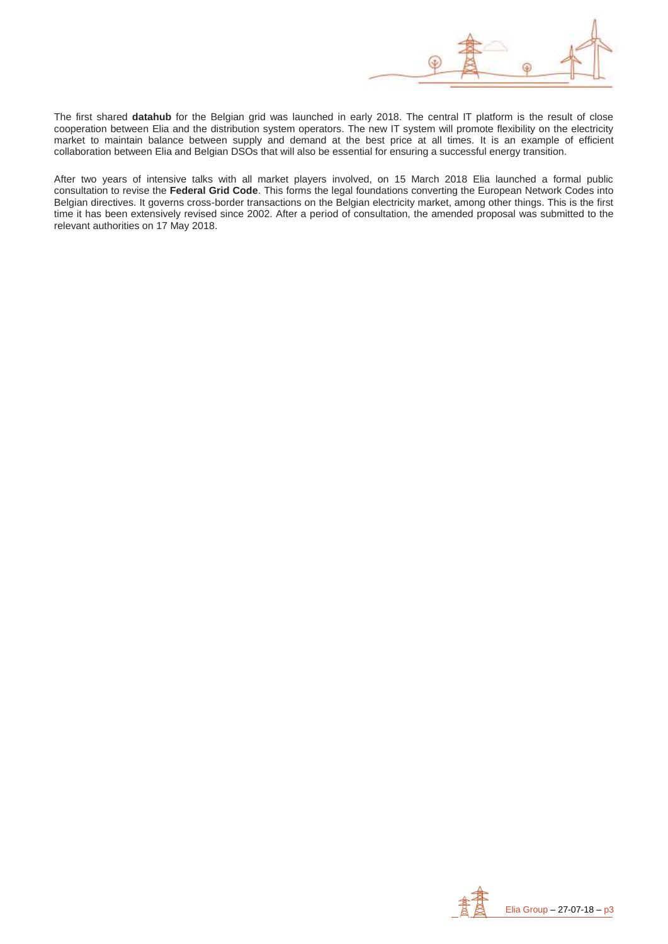

The first shared **datahub** for the Belgian grid was launched in early 2018. The central IT platform is the result of close cooperation between Elia and the distribution system operators. The new IT system will promote flexibility on the electricity market to maintain balance between supply and demand at the best price at all times. It is an example of efficient collaboration between Elia and Belgian DSOs that will also be essential for ensuring a successful energy transition.

After two years of intensive talks with all market players involved, on 15 March 2018 Elia launched a formal public consultation to revise the **Federal Grid Code**. This forms the legal foundations converting the European Network Codes into Belgian directives. It governs cross-border transactions on the Belgian electricity market, among other things. This is the first time it has been extensively revised since 2002. After a period of consultation, the amended proposal was submitted to the relevant authorities on 17 May 2018.

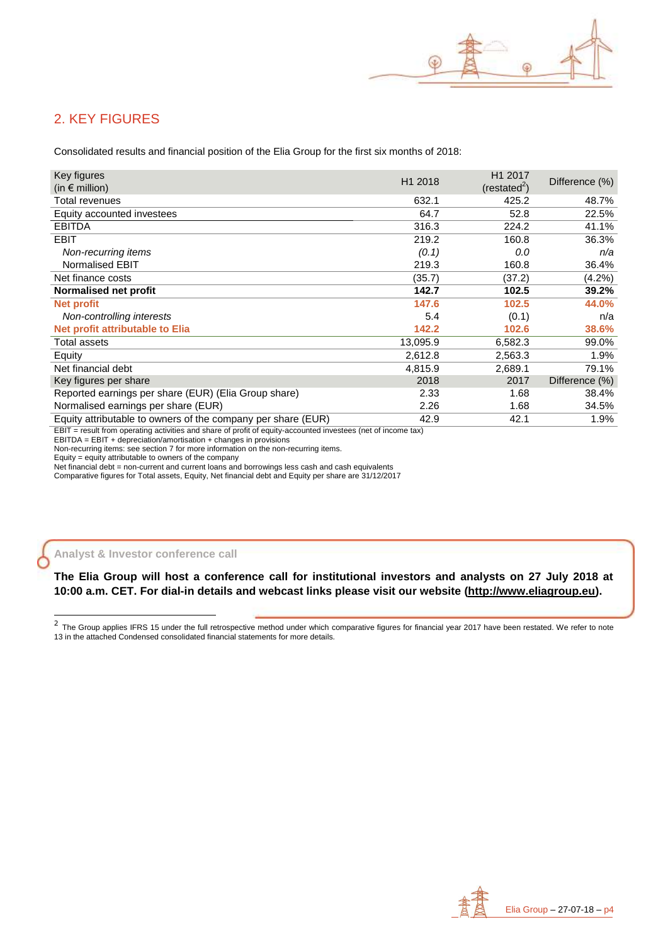

### 2. KEY FIGURES

Consolidated results and financial position of the Elia Group for the first six months of 2018:

| Key figures<br>(in $\epsilon$ million)                       | H1 2018  | H1 2017<br>(restated <sup>2</sup> ) | Difference (%) |
|--------------------------------------------------------------|----------|-------------------------------------|----------------|
| <b>Total revenues</b>                                        | 632.1    | 425.2                               | 48.7%          |
| Equity accounted investees                                   | 64.7     | 52.8                                | 22.5%          |
| <b>EBITDA</b>                                                | 316.3    | 224.2                               | 41.1%          |
| <b>EBIT</b>                                                  | 219.2    | 160.8                               | 36.3%          |
| Non-recurring items                                          | (0.1)    | 0.0                                 | n/a            |
| <b>Normalised EBIT</b>                                       | 219.3    | 160.8                               | 36.4%          |
| Net finance costs                                            | (35.7)   | (37.2)                              | $(4.2\%)$      |
| Normalised net profit                                        | 142.7    | 102.5                               | 39.2%          |
| <b>Net profit</b>                                            | 147.6    | 102.5                               | 44.0%          |
| Non-controlling interests                                    | 5.4      | (0.1)                               | n/a            |
| <b>Net profit attributable to Elia</b>                       | 142.2    | 102.6                               | 38.6%          |
| Total assets                                                 | 13,095.9 | 6,582.3                             | 99.0%          |
| Equity                                                       | 2,612.8  | 2,563.3                             | 1.9%           |
| Net financial debt                                           | 4,815.9  | 2,689.1                             | 79.1%          |
| Key figures per share                                        | 2018     | 2017                                | Difference (%) |
| Reported earnings per share (EUR) (Elia Group share)         | 2.33     | 1.68                                | 38.4%          |
| Normalised earnings per share (EUR)                          | 2.26     | 1.68                                | 34.5%          |
| Equity attributable to owners of the company per share (EUR) | 42.9     | 42.1                                | 1.9%           |

EBIT = result from operating activities and share of profit of equity-accounted investees (net of income tax)

EBITDA = EBIT + depreciation/amortisation + changes in provisions Non-recurring items: see section 7 for more information on the non-recurring items.

Equity = equity attributable to owners of the company

Net financial debt = non-current and current loans and borrowings less cash and cash equivalents

Comparative figures for Total assets, Equity, Net financial debt and Equity per share are 31/12/2017

#### **Analyst & Investor conference call**

l

**The Elia Group will host a conference call for institutional investors and analysts on 27 July 2018 at 10:00 a.m. CET. For dial-in details and webcast links please visit our website [\(http://www.eliagroup.eu\)](http://www.eliagroup.eu/).**



 $2$  The Group applies IFRS 15 under the full retrospective method under which comparative figures for financial year 2017 have been restated. We refer to note 13 in the attached Condensed consolidated financial statements for more details.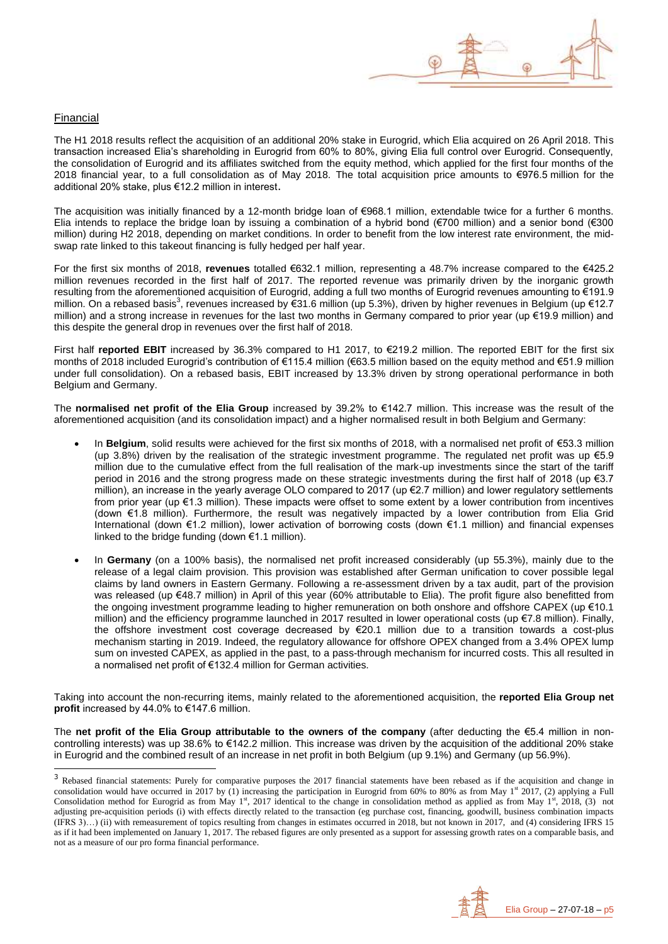

#### Financial

l

The H1 2018 results reflect the acquisition of an additional 20% stake in Eurogrid, which Elia acquired on 26 April 2018. This transaction increased Elia's shareholding in Eurogrid from 60% to 80%, giving Elia full control over Eurogrid. Consequently, the consolidation of Eurogrid and its affiliates switched from the equity method, which applied for the first four months of the 2018 financial year, to a full consolidation as of May 2018. The total acquisition price amounts to  $\epsilon$ 976.5 million for the additional 20% stake, plus €12.2 million in interest.

The acquisition was initially financed by a 12-month bridge loan of €968.1 million, extendable twice for a further 6 months. Elia intends to replace the bridge loan by issuing a combination of a hybrid bond (€700 million) and a senior bond (€300 million) during H2 2018, depending on market conditions. In order to benefit from the low interest rate environment, the midswap rate linked to this takeout financing is fully hedged per half year.

For the first six months of 2018, **revenues** totalled €632.1 million, representing a 48.7% increase compared to the €425.2 million revenues recorded in the first half of 2017. The reported revenue was primarily driven by the inorganic growth resulting from the aforementioned acquisition of Eurogrid, adding a full two months of Eurogrid revenues amounting to €191.9 million. On a rebased basis<sup>3</sup>, revenues increased by €31.6 million (up 5.3%), driven by higher revenues in Belgium (up €12.7 million) and a strong increase in revenues for the last two months in Germany compared to prior year (up €19.9 million) and this despite the general drop in revenues over the first half of 2018.

First half **reported EBIT** increased by 36.3% compared to H1 2017, to €219.2 million. The reported EBIT for the first six months of 2018 included Eurogrid's contribution of €115.4 million (€63.5 million based on the equity method and €51.9 million under full consolidation). On a rebased basis, EBIT increased by 13.3% driven by strong operational performance in both Belgium and Germany.

The **normalised net profit of the Elia Group** increased by 39.2% to €142.7 million. This increase was the result of the aforementioned acquisition (and its consolidation impact) and a higher normalised result in both Belgium and Germany:

- In **Belgium**, solid results were achieved for the first six months of 2018, with a normalised net profit of €53.3 million (up 3.8%) driven by the realisation of the strategic investment programme. The regulated net profit was up €5.9 million due to the cumulative effect from the full realisation of the mark-up investments since the start of the tariff period in 2016 and the strong progress made on these strategic investments during the first half of 2018 (up €3.7 million), an increase in the yearly average OLO compared to 2017 (up €2.7 million) and lower regulatory settlements from prior year (up €1.3 million). These impacts were offset to some extent by a lower contribution from incentives (down €1.8 million). Furthermore, the result was negatively impacted by a lower contribution from Elia Grid International (down €1.2 million), lower activation of borrowing costs (down €1.1 million) and financial expenses linked to the bridge funding (down  $\epsilon$ 1.1 million).
- In **Germany** (on a 100% basis), the normalised net profit increased considerably (up 55.3%), mainly due to the release of a legal claim provision. This provision was established after German unification to cover possible legal claims by land owners in Eastern Germany. Following a re-assessment driven by a tax audit, part of the provision was released (up €48.7 million) in April of this year (60% attributable to Elia). The profit figure also benefitted from the ongoing investment programme leading to higher remuneration on both onshore and offshore CAPEX (up €10.1 million) and the efficiency programme launched in 2017 resulted in lower operational costs (up €7.8 million). Finally, the offshore investment cost coverage decreased by €20.1 million due to a transition towards a cost-plus mechanism starting in 2019. Indeed, the regulatory allowance for offshore OPEX changed from a 3.4% OPEX lump sum on invested CAPEX, as applied in the past, to a pass-through mechanism for incurred costs. This all resulted in a normalised net profit of €132.4 million for German activities.

Taking into account the non-recurring items, mainly related to the aforementioned acquisition, the **reported Elia Group net profit** increased by 44.0% to €147.6 million.

The **net profit of the Elia Group attributable to the owners of the company** (after deducting the €5.4 million in noncontrolling interests) was up 38.6% to €142.2 million. This increase was driven by the acquisition of the additional 20% stake in Eurogrid and the combined result of an increase in net profit in both Belgium (up 9.1%) and Germany (up 56.9%).

<sup>&</sup>lt;sup>3</sup> Rebased financial statements: Purely for comparative purposes the 2017 financial statements have been rebased as if the acquisition and change in consolidation would have occurred in 2017 by (1) increasing the participation in Eurogrid from 60% to 80% as from May  $1<sup>st</sup>$  2017, (2) applying a Full Consolidation method for Eurogrid as from May  $1^{st}$ , 2017 identical to the change in consolidation method as applied as from May  $1^{st}$ , 2018, (3) not adjusting pre-acquisition periods (i) with effects directly related to the transaction (eg purchase cost, financing, goodwill, business combination impacts (IFRS 3)…) (ii) with remeasurement of topics resulting from changes in estimates occurred in 2018, but not known in 2017, and (4) considering IFRS 15 as if it had been implemented on January 1, 2017. The rebased figures are only presented as a support for assessing growth rates on a comparable basis, and not as a measure of our pro forma financial performance.

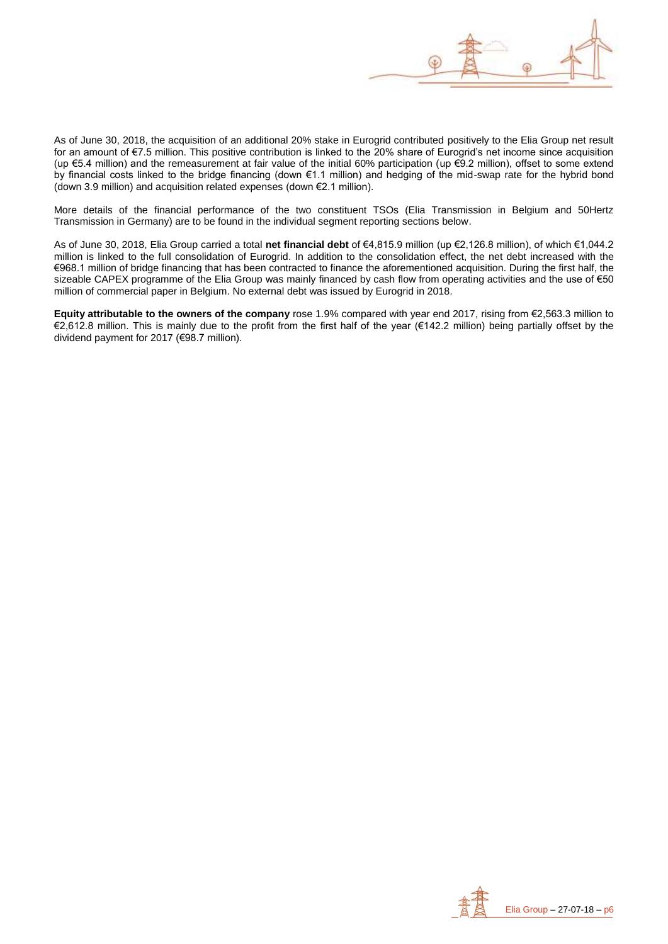

As of June 30, 2018, the acquisition of an additional 20% stake in Eurogrid contributed positively to the Elia Group net result for an amount of €7.5 million. This positive contribution is linked to the 20% share of Eurogrid's net income since acquisition (up €5.4 million) and the remeasurement at fair value of the initial 60% participation (up €9.2 million), offset to some extend by financial costs linked to the bridge financing (down €1.1 million) and hedging of the mid-swap rate for the hybrid bond (down 3.9 million) and acquisition related expenses (down €2.1 million).

More details of the financial performance of the two constituent TSOs (Elia Transmission in Belgium and 50Hertz Transmission in Germany) are to be found in the individual segment reporting sections below.

As of June 30, 2018, Elia Group carried a total **net financial debt** of €4,815.9 million (up €2,126.8 million), of which €1,044.2 million is linked to the full consolidation of Eurogrid. In addition to the consolidation effect, the net debt increased with the €968.1 million of bridge financing that has been contracted to finance the aforementioned acquisition. During the first half, the sizeable CAPEX programme of the Elia Group was mainly financed by cash flow from operating activities and the use of  $\epsilon$ 50 million of commercial paper in Belgium. No external debt was issued by Eurogrid in 2018.

**Equity attributable to the owners of the company** rose 1.9% compared with year end 2017, rising from €2,563.3 million to €2,612.8 million. This is mainly due to the profit from the first half of the year (€142.2 million) being partially offset by the dividend payment for 2017 (€98.7 million).

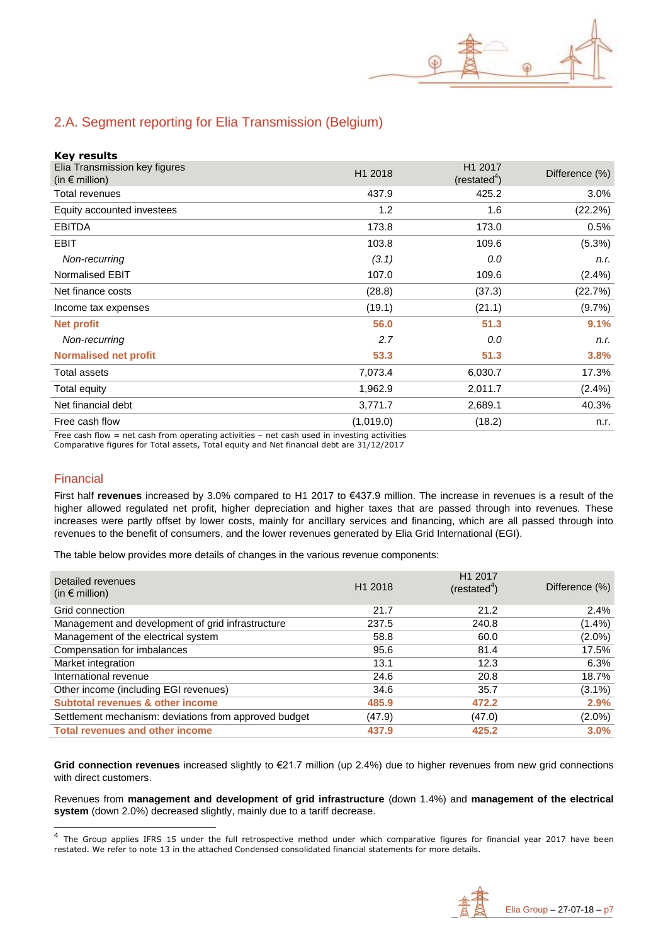

### 2.A. Segment reporting for Elia Transmission (Belgium)

| <b>Key results</b> |  |
|--------------------|--|
|                    |  |

| Elia Transmission key figures<br>(in $\epsilon$ million) | H1 2018   | H1 2017<br>(rested <sup>4</sup> ) | Difference (%) |
|----------------------------------------------------------|-----------|-----------------------------------|----------------|
| Total revenues                                           | 437.9     | 425.2                             | 3.0%           |
| Equity accounted investees                               | 1.2       | 1.6                               | (22.2%)        |
| <b>EBITDA</b>                                            | 173.8     | 173.0                             | 0.5%           |
| <b>EBIT</b>                                              | 103.8     | 109.6                             | (5.3%)         |
| Non-recurring                                            | (3.1)     | 0.0                               | n.r.           |
| Normalised EBIT                                          | 107.0     | 109.6                             | $(2.4\%)$      |
| Net finance costs                                        | (28.8)    | (37.3)                            | (22.7%)        |
| Income tax expenses                                      | (19.1)    | (21.1)                            | $(9.7\%)$      |
| <b>Net profit</b>                                        | 56.0      | 51.3                              | 9.1%           |
| Non-recurring                                            | 2.7       | 0.0                               | n.r.           |
| <b>Normalised net profit</b>                             | 53.3      | 51.3                              | 3.8%           |
| Total assets                                             | 7,073.4   | 6,030.7                           | 17.3%          |
| Total equity                                             | 1,962.9   | 2,011.7                           | $(2.4\%)$      |
| Net financial debt                                       | 3,771.7   | 2,689.1                           | 40.3%          |
| Free cash flow                                           | (1,019.0) | (18.2)                            | n.r.           |
|                                                          |           |                                   |                |

Free cash flow = net cash from operating activities – net cash used in investing activities Comparative figures for Total assets, Total equity and Net financial debt are 31/12/2017

### Financial

l

First half **revenues** increased by 3.0% compared to H1 2017 to €437.9 million. The increase in revenues is a result of the higher allowed regulated net profit, higher depreciation and higher taxes that are passed through into revenues. These increases were partly offset by lower costs, mainly for ancillary services and financing, which are all passed through into revenues to the benefit of consumers, and the lower revenues generated by Elia Grid International (EGI).

The table below provides more details of changes in the various revenue components:

| Detailed revenues<br>(in $\epsilon$ million)          | H1 2018 | H <sub>1</sub> 2017<br>(rested <sup>4</sup> ) | Difference (%) |
|-------------------------------------------------------|---------|-----------------------------------------------|----------------|
| Grid connection                                       | 21.7    | 21.2                                          | 2.4%           |
| Management and development of grid infrastructure     | 237.5   | 240.8                                         | $(1.4\%)$      |
| Management of the electrical system                   | 58.8    | 60.0                                          | $(2.0\%)$      |
| Compensation for imbalances                           | 95.6    | 81.4                                          | 17.5%          |
| Market integration                                    | 13.1    | 12.3                                          | 6.3%           |
| International revenue                                 | 24.6    | 20.8                                          | 18.7%          |
| Other income (including EGI revenues)                 | 34.6    | 35.7                                          | $(3.1\%)$      |
| <b>Subtotal revenues &amp; other income</b>           | 485.9   | 472.2                                         | 2.9%           |
| Settlement mechanism: deviations from approved budget | (47.9)  | (47.0)                                        | $(2.0\%)$      |
| <b>Total revenues and other income</b>                | 437.9   | 425.2                                         | 3.0%           |

**Grid connection revenues** increased slightly to €21.7 million (up 2.4%) due to higher revenues from new grid connections with direct customers.

Revenues from **management and development of grid infrastructure** (down 1.4%) and **management of the electrical system** (down 2.0%) decreased slightly, mainly due to a tariff decrease.

<sup>4</sup> The Group applies IFRS 15 under the full retrospective method under which comparative figures for financial year 2017 have been restated. We refer to note 13 in the attached Condensed consolidated financial statements for more details.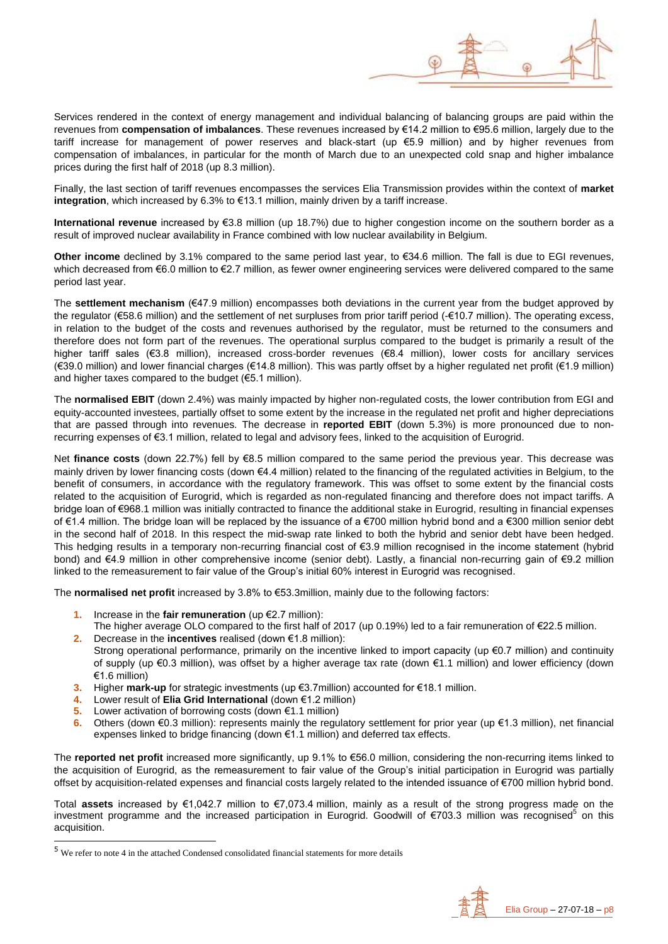

Services rendered in the context of energy management and individual balancing of balancing groups are paid within the revenues from **compensation of imbalances**. These revenues increased by €14.2 million to €95.6 million, largely due to the tariff increase for management of power reserves and black-start (up €5.9 million) and by higher revenues from compensation of imbalances, in particular for the month of March due to an unexpected cold snap and higher imbalance prices during the first half of 2018 (up 8.3 million).

Finally, the last section of tariff revenues encompasses the services Elia Transmission provides within the context of **market integration**, which increased by 6.3% to €13.1 million, mainly driven by a tariff increase.

**International revenue** increased by €3.8 million (up 18.7%) due to higher congestion income on the southern border as a result of improved nuclear availability in France combined with low nuclear availability in Belgium.

**Other income** declined by 3.1% compared to the same period last year, to €34.6 million. The fall is due to EGI revenues, which decreased from €6.0 million to €2.7 million, as fewer owner engineering services were delivered compared to the same period last year.

The **settlement mechanism** (€47.9 million) encompasses both deviations in the current year from the budget approved by the regulator (€58.6 million) and the settlement of net surpluses from prior tariff period (-€10.7 million). The operating excess, in relation to the budget of the costs and revenues authorised by the regulator, must be returned to the consumers and therefore does not form part of the revenues. The operational surplus compared to the budget is primarily a result of the higher tariff sales (€3.8 million), increased cross-border revenues (€8.4 million), lower costs for ancillary services (€39.0 million) and lower financial charges (€14.8 million). This was partly offset by a higher regulated net profit (€1.9 million) and higher taxes compared to the budget (€5.1 million).

The **normalised EBIT** (down 2.4%) was mainly impacted by higher non-regulated costs, the lower contribution from EGI and equity-accounted investees, partially offset to some extent by the increase in the regulated net profit and higher depreciations that are passed through into revenues. The decrease in **reported EBIT** (down 5.3%) is more pronounced due to nonrecurring expenses of €3.1 million, related to legal and advisory fees, linked to the acquisition of Eurogrid.

Net **finance costs** (down 22.7%) fell by €8.5 million compared to the same period the previous year. This decrease was mainly driven by lower financing costs (down €4.4 million) related to the financing of the regulated activities in Belgium, to the benefit of consumers, in accordance with the regulatory framework. This was offset to some extent by the financial costs related to the acquisition of Eurogrid, which is regarded as non-regulated financing and therefore does not impact tariffs. A bridge loan of €968.1 million was initially contracted to finance the additional stake in Eurogrid, resulting in financial expenses of €1.4 million. The bridge loan will be replaced by the issuance of a €700 million hybrid bond and a €300 million senior debt in the second half of 2018. In this respect the mid-swap rate linked to both the hybrid and senior debt have been hedged. This hedging results in a temporary non-recurring financial cost of €3.9 million recognised in the income statement (hybrid bond) and €4.9 million in other comprehensive income (senior debt). Lastly, a financial non-recurring gain of €9.2 million linked to the remeasurement to fair value of the Group's initial 60% interest in Eurogrid was recognised.

The **normalised net profit** increased by 3.8% to €53.3million, mainly due to the following factors:

- **1.** Increase in the **fair remuneration** (up €2.7 million):
- The higher average OLO compared to the first half of 2017 (up 0.19%) led to a fair remuneration of  $\epsilon$ 22.5 million.
- **2.** Decrease in the **incentives** realised (down €1.8 million): Strong operational performance, primarily on the incentive linked to import capacity (up €0.7 million) and continuity of supply (up €0.3 million), was offset by a higher average tax rate (down €1.1 million) and lower efficiency (down €1.6 million)
- **3.** Higher **mark-up** for strategic investments (up €3.7million) accounted for €18.1 million.
- **4.** Lower result of **Elia Grid International** (down €1.2 million)
- **5.** Lower activation of borrowing costs (down €1.1 million)
- **6.** Others (down €0.3 million): represents mainly the regulatory settlement for prior year (up €1.3 million), net financial expenses linked to bridge financing (down €1.1 million) and deferred tax effects.

The **reported net profit** increased more significantly, up 9.1% to €56.0 million, considering the non-recurring items linked to the acquisition of Eurogrid, as the remeasurement to fair value of the Group's initial participation in Eurogrid was partially offset by acquisition-related expenses and financial costs largely related to the intended issuance of €700 million hybrid bond.

Total **assets** increased by €1,042.7 million to €7,073.4 million, mainly as a result of the strong progress made on the investment programme and the increased participation in Eurogrid. Goodwill of €703.3 million was recognised<sup>5</sup> on this acquisition.

l



<sup>5</sup> We refer to note 4 in the attached Condensed consolidated financial statements for more details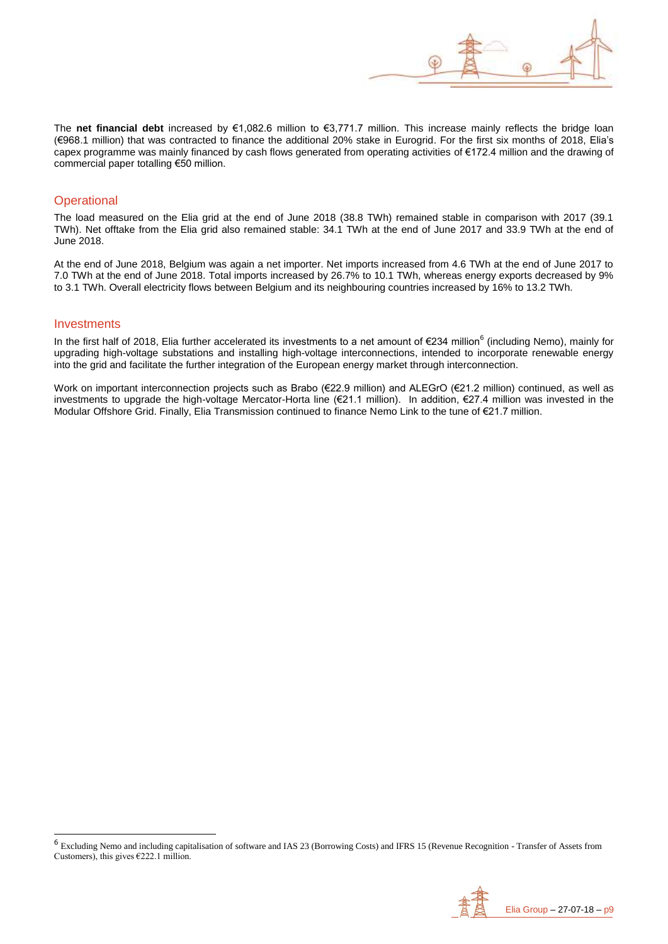

The **net financial debt** increased by €1,082.6 million to €3,771.7 million. This increase mainly reflects the bridge loan (€968.1 million) that was contracted to finance the additional 20% stake in Eurogrid. For the first six months of 2018, Elia's capex programme was mainly financed by cash flows generated from operating activities of €172.4 million and the drawing of commercial paper totalling €50 million.

#### **Operational**

The load measured on the Elia grid at the end of June 2018 (38.8 TWh) remained stable in comparison with 2017 (39.1 TWh). Net offtake from the Elia grid also remained stable: 34.1 TWh at the end of June 2017 and 33.9 TWh at the end of June 2018.

At the end of June 2018, Belgium was again a net importer. Net imports increased from 4.6 TWh at the end of June 2017 to 7.0 TWh at the end of June 2018. Total imports increased by 26.7% to 10.1 TWh, whereas energy exports decreased by 9% to 3.1 TWh. Overall electricity flows between Belgium and its neighbouring countries increased by 16% to 13.2 TWh.

#### **Investments**

l

In the first half of 2018, Elia further accelerated its investments to a net amount of €234 million<sup>6</sup> (including Nemo), mainly for upgrading high-voltage substations and installing high-voltage interconnections, intended to incorporate renewable energy into the grid and facilitate the further integration of the European energy market through interconnection.

Work on important interconnection projects such as Brabo (€22.9 million) and ALEGrO (€21.2 million) continued, as well as investments to upgrade the high-voltage Mercator-Horta line (€21.1 million). In addition, €27.4 million was invested in the Modular Offshore Grid. Finally, Elia Transmission continued to finance Nemo Link to the tune of €21.7 million.

<sup>&</sup>lt;sup>6</sup> Excluding Nemo and including capitalisation of software and IAS 23 (Borrowing Costs) and IFRS 15 (Revenue Recognition - Transfer of Assets from Customers), this gives  $\epsilon$ 222.1 million.

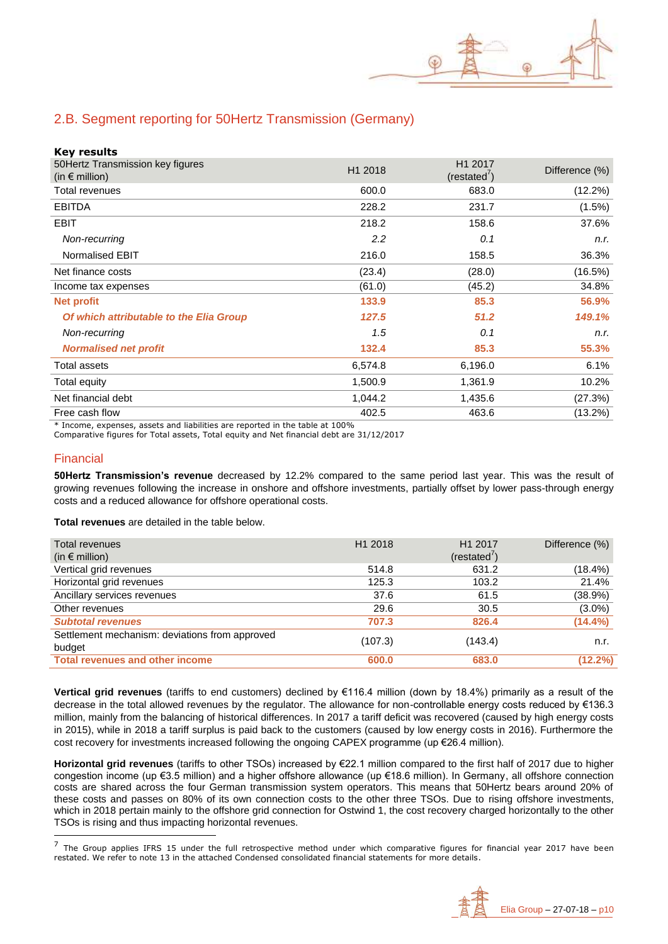

### 2.B. Segment reporting for 50Hertz Transmission (Germany)

#### **Key results**

| 50 Hertz Transmission key figures<br>(in $\epsilon$ million) | H1 2018 | H1 2017<br>(rested <sup>7</sup> ) | Difference (%) |
|--------------------------------------------------------------|---------|-----------------------------------|----------------|
| Total revenues                                               | 600.0   | 683.0                             | (12.2%)        |
| <b>EBITDA</b>                                                | 228.2   | 231.7                             | (1.5%)         |
| <b>EBIT</b>                                                  | 218.2   | 158.6                             | 37.6%          |
| Non-recurring                                                | 2.2     | 0.1                               | n.r.           |
| Normalised EBIT                                              | 216.0   | 158.5                             | 36.3%          |
| Net finance costs                                            | (23.4)  | (28.0)                            | (16.5%)        |
| Income tax expenses                                          | (61.0)  | (45.2)                            | 34.8%          |
| Net profit                                                   | 133.9   | 85.3                              | 56.9%          |
| Of which attributable to the Elia Group                      | 127.5   | 51.2                              | 149.1%         |
| Non-recurring                                                | 1.5     | 0.1                               | n.r.           |
| <b>Normalised net profit</b>                                 | 132.4   | 85.3                              | 55.3%          |
| Total assets                                                 | 6,574.8 | 6,196.0                           | 6.1%           |
| Total equity                                                 | 1,500.9 | 1,361.9                           | 10.2%          |
| Net financial debt                                           | 1,044.2 | 1,435.6                           | (27.3%)        |
| Free cash flow                                               | 402.5   | 463.6                             | $(13.2\%)$     |

\* Income, expenses, assets and liabilities are reported in the table at 100%

Comparative figures for Total assets, Total equity and Net financial debt are 31/12/2017

### Financial

**50Hertz Transmission's revenue** decreased by 12.2% compared to the same period last year. This was the result of growing revenues following the increase in onshore and offshore investments, partially offset by lower pass-through energy costs and a reduced allowance for offshore operational costs.

**Total revenues** are detailed in the table below.

| Total revenues<br>(in $\epsilon$ million)                | H1 2018 | H <sub>1</sub> 2017<br>(rested <sup>7</sup> ) | Difference (%) |
|----------------------------------------------------------|---------|-----------------------------------------------|----------------|
| Vertical grid revenues                                   | 514.8   | 631.2                                         | (18.4%)        |
| Horizontal grid revenues                                 | 125.3   | 103.2                                         | 21.4%          |
| Ancillary services revenues                              | 37.6    | 61.5                                          | (38.9%)        |
| Other revenues                                           | 29.6    | 30.5                                          | $(3.0\%)$      |
| <b>Subtotal revenues</b>                                 | 707.3   | 826.4                                         | $(14.4\%)$     |
| Settlement mechanism: deviations from approved<br>budget | (107.3) | (143.4)                                       | n.r.           |
| <b>Total revenues and other income</b>                   | 600.0   | 683.0                                         | $(12.2\%)$     |

**Vertical grid revenues** (tariffs to end customers) declined by €116.4 million (down by 18.4%) primarily as a result of the decrease in the total allowed revenues by the regulator. The allowance for non-controllable energy costs reduced by €136.3 million, mainly from the balancing of historical differences. In 2017 a tariff deficit was recovered (caused by high energy costs in 2015), while in 2018 a tariff surplus is paid back to the customers (caused by low energy costs in 2016). Furthermore the cost recovery for investments increased following the ongoing CAPEX programme (up  $\epsilon$ 26.4 million).

**Horizontal grid revenues** (tariffs to other TSOs) increased by €22.1 million compared to the first half of 2017 due to higher congestion income (up €3.5 million) and a higher offshore allowance (up €18.6 million). In Germany, all offshore connection costs are shared across the four German transmission system operators. This means that 50Hertz bears around 20% of these costs and passes on 80% of its own connection costs to the other three TSOs. Due to rising offshore investments, which in 2018 pertain mainly to the offshore grid connection for Ostwind 1, the cost recovery charged horizontally to the other TSOs is rising and thus impacting horizontal revenues.

The Group applies IFRS 15 under the full retrospective method under which comparative figures for financial year 2017 have been restated. We refer to note 13 in the attached Condensed consolidated financial statements for more details.

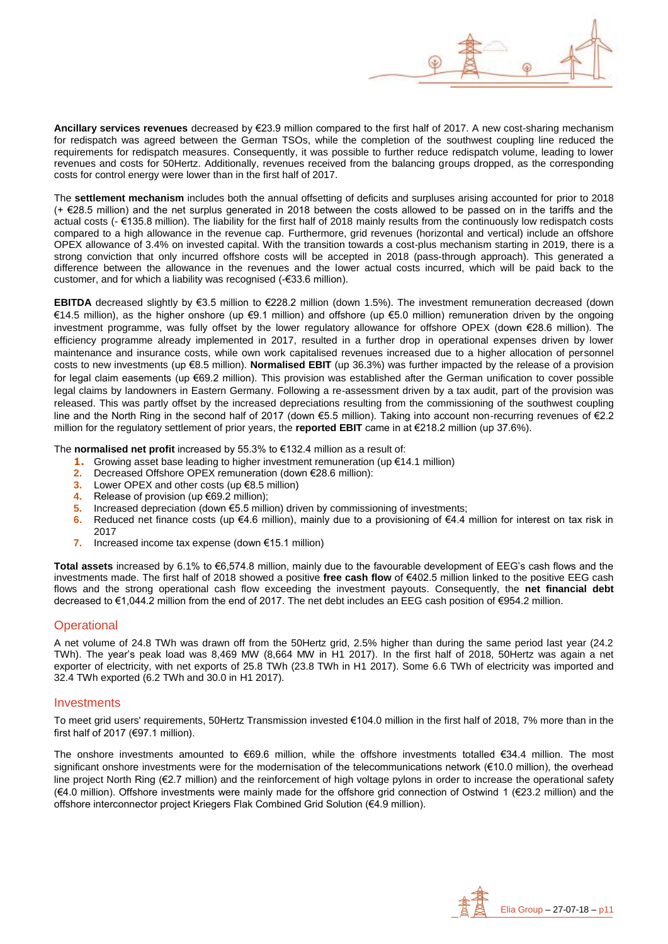

**Ancillary services revenues** decreased by €23.9 million compared to the first half of 2017. A new cost-sharing mechanism for redispatch was agreed between the German TSOs, while the completion of the southwest coupling line reduced the requirements for redispatch measures. Consequently, it was possible to further reduce redispatch volume, leading to lower revenues and costs for 50Hertz. Additionally, revenues received from the balancing groups dropped, as the corresponding costs for control energy were lower than in the first half of 2017.

The **settlement mechanism** includes both the annual offsetting of deficits and surpluses arising accounted for prior to 2018 (+ €28.5 million) and the net surplus generated in 2018 between the costs allowed to be passed on in the tariffs and the actual costs (- €135.8 million). The liability for the first half of 2018 mainly results from the continuously low redispatch costs compared to a high allowance in the revenue cap. Furthermore, grid revenues (horizontal and vertical) include an offshore OPEX allowance of 3.4% on invested capital. With the transition towards a cost-plus mechanism starting in 2019, there is a strong conviction that only incurred offshore costs will be accepted in 2018 (pass-through approach). This generated a difference between the allowance in the revenues and the lower actual costs incurred, which will be paid back to the customer, and for which a liability was recognised (-€33.6 million).

**EBITDA** decreased slightly by €3.5 million to €228.2 million (down 1.5%). The investment remuneration decreased (down €14.5 million), as the higher onshore (up €9.1 million) and offshore (up €5.0 million) remuneration driven by the ongoing investment programme, was fully offset by the lower regulatory allowance for offshore OPEX (down €28.6 million). The efficiency programme already implemented in 2017, resulted in a further drop in operational expenses driven by lower maintenance and insurance costs, while own work capitalised revenues increased due to a higher allocation of personnel costs to new investments (up €8.5 million). **Normalised EBIT** (up 36.3%) was further impacted by the release of a provision for legal claim easements (up €69.2 million). This provision was established after the German unification to cover possible legal claims by landowners in Eastern Germany. Following a re-assessment driven by a tax audit, part of the provision was released. This was partly offset by the increased depreciations resulting from the commissioning of the southwest coupling line and the North Ring in the second half of 2017 (down €5.5 million). Taking into account non-recurring revenues of €2.2 million for the regulatory settlement of prior years, the **reported EBIT** came in at €218.2 million (up 37.6%).

The **normalised net profit** increased by 55.3% to €132.4 million as a result of:

- **1.** Growing asset base leading to higher investment remuneration (up  $\epsilon$ 14.1 million)<br>**2.** Decreased Offshore OPEX remuneration (down  $\epsilon$ 28.6 million):
- **2.** Decreased Offshore OPEX remuneration (down €28.6 million):
- **3.** Lower OPEX and other costs (up €8.5 million)
- **4.** Release of provision (up €69.2 million);
- **5.** Increased depreciation (down €5.5 million) driven by commissioning of investments;
- **6.** Reduced net finance costs (up €4.6 million), mainly due to a provisioning of €4.4 million for interest on tax risk in 2017
- **7.** Increased income tax expense (down €15.1 million)

**Total assets** increased by 6.1% to €6,574.8 million, mainly due to the favourable development of EEG's cash flows and the investments made. The first half of 2018 showed a positive **free cash flow** of €402.5 million linked to the positive EEG cash flows and the strong operational cash flow exceeding the investment payouts. Consequently, the **net financial debt** decreased to €1,044.2 million from the end of 2017. The net debt includes an EEG cash position of €954.2 million.

#### **Operational**

A net volume of 24.8 TWh was drawn off from the 50Hertz grid, 2.5% higher than during the same period last year (24.2 TWh). The year's peak load was 8,469 MW (8,664 MW in H1 2017). In the first half of 2018, 50Hertz was again a net exporter of electricity, with net exports of 25.8 TWh (23.8 TWh in H1 2017). Some 6.6 TWh of electricity was imported and 32.4 TWh exported (6.2 TWh and 30.0 in H1 2017).

#### **Investments**

To meet grid users' requirements, 50Hertz Transmission invested €104.0 million in the first half of 2018, 7% more than in the first half of 2017 (€97.1 million).

The onshore investments amounted to €69.6 million, while the offshore investments totalled €34.4 million. The most significant onshore investments were for the modernisation of the telecommunications network (€10.0 million), the overhead line project North Ring (€2.7 million) and the reinforcement of high voltage pylons in order to increase the operational safety (€4.0 million). Offshore investments were mainly made for the offshore grid connection of Ostwind 1 (€23.2 million) and the offshore interconnector project Kriegers Flak Combined Grid Solution (€4.9 million).

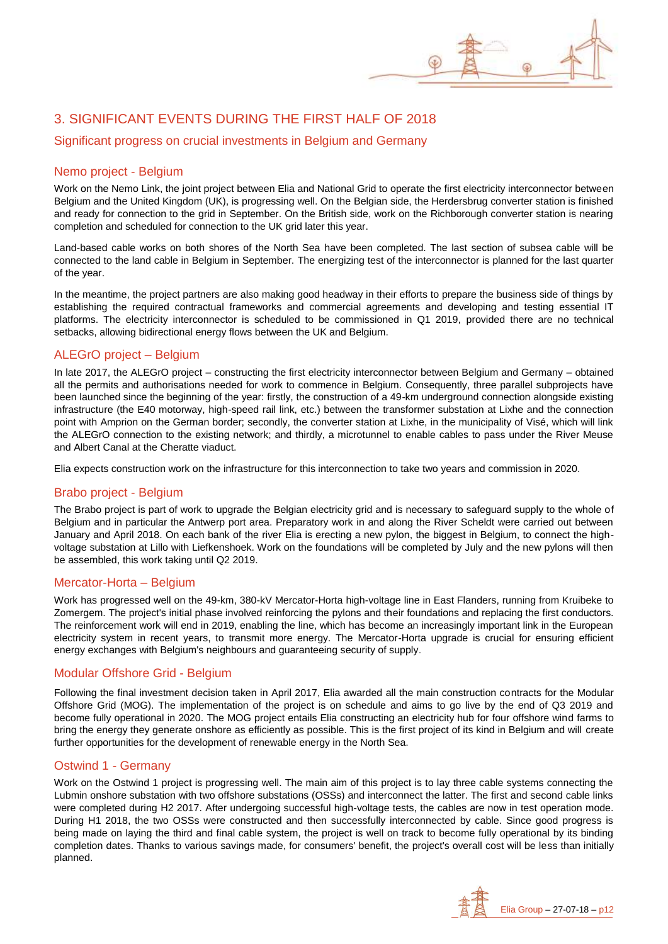## 3. SIGNIFICANT EVENTS DURING THE FIRST HALF OF 2018

Significant progress on crucial investments in Belgium and Germany

### Nemo project - Belgium

Work on the Nemo Link, the joint project between Elia and National Grid to operate the first electricity interconnector between Belgium and the United Kingdom (UK), is progressing well. On the Belgian side, the Herdersbrug converter station is finished and ready for connection to the grid in September. On the British side, work on the Richborough converter station is nearing completion and scheduled for connection to the UK grid later this year.

Land-based cable works on both shores of the North Sea have been completed. The last section of subsea cable will be connected to the land cable in Belgium in September. The energizing test of the interconnector is planned for the last quarter of the year.

In the meantime, the project partners are also making good headway in their efforts to prepare the business side of things by establishing the required contractual frameworks and commercial agreements and developing and testing essential IT platforms. The electricity interconnector is scheduled to be commissioned in Q1 2019, provided there are no technical setbacks, allowing bidirectional energy flows between the UK and Belgium.

### ALEGrO project – Belgium

In late 2017, the ALEGrO project – constructing the first electricity interconnector between Belgium and Germany – obtained all the permits and authorisations needed for work to commence in Belgium. Consequently, three parallel subprojects have been launched since the beginning of the year: firstly, the construction of a 49-km underground connection alongside existing infrastructure (the E40 motorway, high-speed rail link, etc.) between the transformer substation at Lixhe and the connection point with Amprion on the German border; secondly, the converter station at Lixhe, in the municipality of Visé, which will link the ALEGrO connection to the existing network; and thirdly, a microtunnel to enable cables to pass under the River Meuse and Albert Canal at the Cheratte viaduct.

Elia expects construction work on the infrastructure for this interconnection to take two years and commission in 2020.

#### Brabo project - Belgium

The Brabo project is part of work to upgrade the Belgian electricity grid and is necessary to safeguard supply to the whole of Belgium and in particular the Antwerp port area. Preparatory work in and along the River Scheldt were carried out between January and April 2018. On each bank of the river Elia is erecting a new pylon, the biggest in Belgium, to connect the highvoltage substation at Lillo with Liefkenshoek. Work on the foundations will be completed by July and the new pylons will then be assembled, this work taking until Q2 2019.

#### Mercator-Horta – Belgium

Work has progressed well on the 49-km, 380-kV Mercator-Horta high-voltage line in East Flanders, running from Kruibeke to Zomergem. The project's initial phase involved reinforcing the pylons and their foundations and replacing the first conductors. The reinforcement work will end in 2019, enabling the line, which has become an increasingly important link in the European electricity system in recent years, to transmit more energy. The Mercator-Horta upgrade is crucial for ensuring efficient energy exchanges with Belgium's neighbours and guaranteeing security of supply.

#### Modular Offshore Grid - Belgium

Following the final investment decision taken in April 2017, Elia awarded all the main construction contracts for the Modular Offshore Grid (MOG). The implementation of the project is on schedule and aims to go live by the end of Q3 2019 and become fully operational in 2020. The MOG project entails Elia constructing an electricity hub for four offshore wind farms to bring the energy they generate onshore as efficiently as possible. This is the first project of its kind in Belgium and will create further opportunities for the development of renewable energy in the North Sea.

#### Ostwind 1 - Germany

Work on the Ostwind 1 project is progressing well. The main aim of this project is to lay three cable systems connecting the Lubmin onshore substation with two offshore substations (OSSs) and interconnect the latter. The first and second cable links were completed during H2 2017. After undergoing successful high-voltage tests, the cables are now in test operation mode. During H1 2018, the two OSSs were constructed and then successfully interconnected by cable. Since good progress is being made on laying the third and final cable system, the project is well on track to become fully operational by its binding completion dates. Thanks to various savings made, for consumers' benefit, the project's overall cost will be less than initially planned.

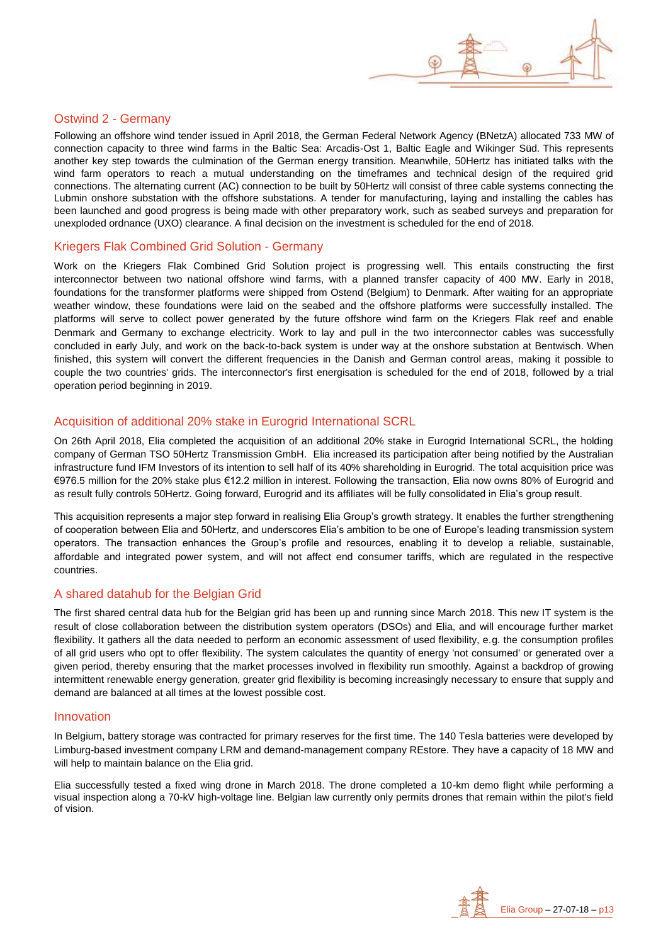

### Ostwind 2 - Germany

Following an offshore wind tender issued in April 2018, the German Federal Network Agency (BNetzA) allocated 733 MW of connection capacity to three wind farms in the Baltic Sea: Arcadis-Ost 1, Baltic Eagle and Wikinger Süd. This represents another key step towards the culmination of the German energy transition. Meanwhile, 50Hertz has initiated talks with the wind farm operators to reach a mutual understanding on the timeframes and technical design of the required grid connections. The alternating current (AC) connection to be built by 50Hertz will consist of three cable systems connecting the Lubmin onshore substation with the offshore substations. A tender for manufacturing, laying and installing the cables has been launched and good progress is being made with other preparatory work, such as seabed surveys and preparation for unexploded ordnance (UXO) clearance. A final decision on the investment is scheduled for the end of 2018.

#### Kriegers Flak Combined Grid Solution - Germany

Work on the Kriegers Flak Combined Grid Solution project is progressing well. This entails constructing the first interconnector between two national offshore wind farms, with a planned transfer capacity of 400 MW. Early in 2018, foundations for the transformer platforms were shipped from Ostend (Belgium) to Denmark. After waiting for an appropriate weather window, these foundations were laid on the seabed and the offshore platforms were successfully installed. The platforms will serve to collect power generated by the future offshore wind farm on the Kriegers Flak reef and enable Denmark and Germany to exchange electricity. Work to lay and pull in the two interconnector cables was successfully concluded in early July, and work on the back-to-back system is under way at the onshore substation at Bentwisch. When finished, this system will convert the different frequencies in the Danish and German control areas, making it possible to couple the two countries' grids. The interconnector's first energisation is scheduled for the end of 2018, followed by a trial operation period beginning in 2019.

#### Acquisition of additional 20% stake in Eurogrid International SCRL

On 26th April 2018, Elia completed the acquisition of an additional 20% stake in Eurogrid International SCRL, the holding company of German TSO 50Hertz Transmission GmbH. Elia increased its participation after being notified by the Australian infrastructure fund IFM Investors of its intention to sell half of its 40% shareholding in Eurogrid. The total acquisition price was €976.5 million for the 20% stake plus €12.2 million in interest. Following the transaction, Elia now owns 80% of Eurogrid and as result fully controls 50Hertz. Going forward, Eurogrid and its affiliates will be fully consolidated in Elia's group result.

This acquisition represents a major step forward in realising Elia Group's growth strategy. It enables the further strengthening of cooperation between Elia and 50Hertz, and underscores Elia's ambition to be one of Europe's leading transmission system operators. The transaction enhances the Group's profile and resources, enabling it to develop a reliable, sustainable, affordable and integrated power system, and will not affect end consumer tariffs, which are regulated in the respective countries.

#### A shared datahub for the Belgian Grid

The first shared central data hub for the Belgian grid has been up and running since March 2018. This new IT system is the result of close collaboration between the distribution system operators (DSOs) and Elia, and will encourage further market flexibility. It gathers all the data needed to perform an economic assessment of used flexibility, e.g. the consumption profiles of all grid users who opt to offer flexibility. The system calculates the quantity of energy 'not consumed' or generated over a given period, thereby ensuring that the market processes involved in flexibility run smoothly. Against a backdrop of growing intermittent renewable energy generation, greater grid flexibility is becoming increasingly necessary to ensure that supply and demand are balanced at all times at the lowest possible cost.

#### Innovation

In Belgium, battery storage was contracted for primary reserves for the first time. The 140 Tesla batteries were developed by Limburg-based investment company LRM and demand-management company REstore. They have a capacity of 18 MW and will help to maintain balance on the Elia grid.

Elia successfully tested a fixed wing drone in March 2018. The drone completed a 10-km demo flight while performing a visual inspection along a 70-kV high-voltage line. Belgian law currently only permits drones that remain within the pilot's field of vision.

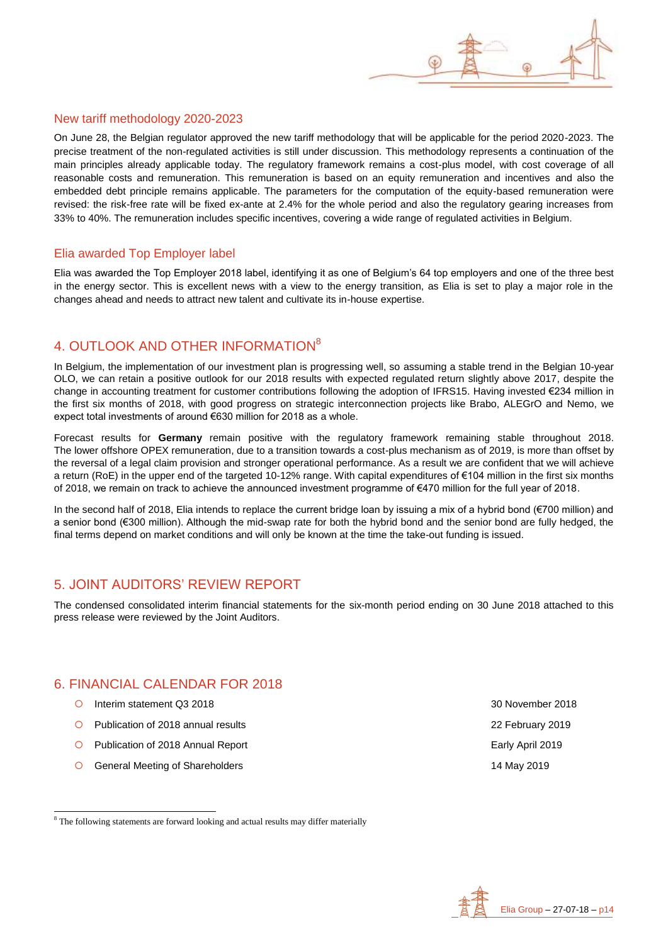

#### New tariff methodology 2020-2023

On June 28, the Belgian regulator approved the new tariff methodology that will be applicable for the period 2020-2023. The precise treatment of the non-regulated activities is still under discussion. This methodology represents a continuation of the main principles already applicable today. The regulatory framework remains a cost-plus model, with cost coverage of all reasonable costs and remuneration. This remuneration is based on an equity remuneration and incentives and also the embedded debt principle remains applicable. The parameters for the computation of the equity-based remuneration were revised: the risk-free rate will be fixed ex-ante at 2.4% for the whole period and also the regulatory gearing increases from 33% to 40%. The remuneration includes specific incentives, covering a wide range of regulated activities in Belgium.

#### Elia awarded Top Employer label

Elia was awarded the Top Employer 2018 label, identifying it as one of Belgium's 64 top employers and one of the three best in the energy sector. This is excellent news with a view to the energy transition, as Elia is set to play a major role in the changes ahead and needs to attract new talent and cultivate its in-house expertise.

### 4. OUTLOOK AND OTHER INFORMATION<sup>8</sup>

In Belgium, the implementation of our investment plan is progressing well, so assuming a stable trend in the Belgian 10-year OLO, we can retain a positive outlook for our 2018 results with expected regulated return slightly above 2017, despite the change in accounting treatment for customer contributions following the adoption of IFRS15. Having invested €234 million in the first six months of 2018, with good progress on strategic interconnection projects like Brabo, ALEGrO and Nemo, we expect total investments of around €630 million for 2018 as a whole.

Forecast results for **Germany** remain positive with the regulatory framework remaining stable throughout 2018. The lower offshore OPEX remuneration, due to a transition towards a cost-plus mechanism as of 2019, is more than offset by the reversal of a legal claim provision and stronger operational performance. As a result we are confident that we will achieve a return (RoE) in the upper end of the targeted 10-12% range. With capital expenditures of €104 million in the first six months of 2018, we remain on track to achieve the announced investment programme of €470 million for the full year of 2018.

In the second half of 2018, Elia intends to replace the current bridge loan by issuing a mix of a hybrid bond (€700 million) and a senior bond (€300 million). Although the mid-swap rate for both the hybrid bond and the senior bond are fully hedged, the final terms depend on market conditions and will only be known at the time the take-out funding is issued.

### 5. JOINT AUDITORS' REVIEW REPORT

The condensed consolidated interim financial statements for the six-month period ending on 30 June 2018 attached to this press release were reviewed by the Joint Auditors.

### 6. FINANCIAL CALENDAR FOR 2018

O Interim statement Q3 2018 30 November 2018

l

- Publication of 2018 annual results 22 February 2019
- **Publication of 2018 Annual Report Community April 2019** Early April 2019
- C General Meeting of Shareholders 14 May 2019



<sup>&</sup>lt;sup>8</sup> The following statements are forward looking and actual results may differ materially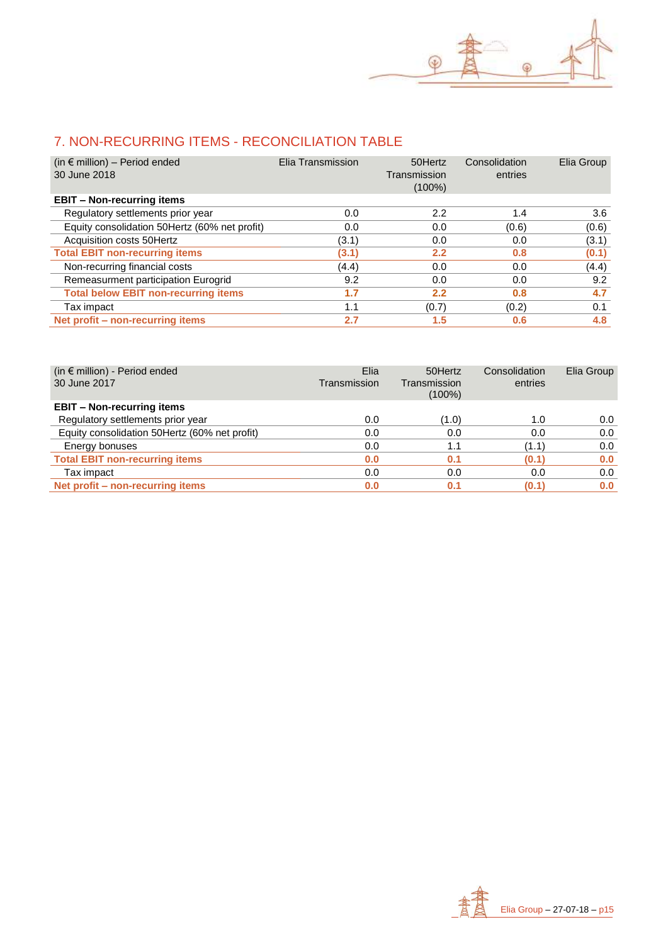

## 7. NON-RECURRING ITEMS - RECONCILIATION TABLE

| (in $\epsilon$ million) – Period ended<br>30 June 2018 | Elia Transmission | 50Hertz<br>Transmission<br>$(100\%)$ | Consolidation<br>entries | Elia Group |
|--------------------------------------------------------|-------------------|--------------------------------------|--------------------------|------------|
| <b>EBIT - Non-recurring items</b>                      |                   |                                      |                          |            |
| Regulatory settlements prior year                      | 0.0               | 2.2                                  | 1.4                      | 3.6        |
| Equity consolidation 50Hertz (60% net profit)          | 0.0               | 0.0                                  | (0.6)                    | (0.6)      |
| Acquisition costs 50Hertz                              | (3.1)             | 0.0                                  | 0.0                      | (3.1)      |
| <b>Total EBIT non-recurring items</b>                  | (3.1)             | 2.2                                  | 0.8                      | (0.1)      |
| Non-recurring financial costs                          | (4.4)             | 0.0                                  | 0.0                      | (4.4)      |
| Remeasurment participation Eurogrid                    | 9.2               | 0.0                                  | 0.0                      | 9.2        |
| <b>Total below EBIT non-recurring items</b>            | 1.7               | 2.2                                  | 0.8                      | 4.7        |
| Tax impact                                             | 1.1               | (0.7)                                | (0.2)                    | 0.1        |
| Net profit - non-recurring items                       | 2.7               | 1.5                                  | 0.6                      | 4.8        |

| (in $\epsilon$ million) - Period ended<br>30 June 2017 | Elia<br>Transmission | 50Hertz<br>Transmission<br>$(100\%)$ | Consolidation<br>entries | Elia Group |
|--------------------------------------------------------|----------------------|--------------------------------------|--------------------------|------------|
| <b>EBIT - Non-recurring items</b>                      |                      |                                      |                          |            |
| Regulatory settlements prior year                      | 0.0                  | (1.0)                                | 1.0                      | $0.0\,$    |
| Equity consolidation 50Hertz (60% net profit)          | 0.0                  | 0.0                                  | 0.0                      | 0.0        |
| Energy bonuses                                         | 0.0                  | 1.1                                  | (1.1)                    | 0.0        |
| <b>Total EBIT non-recurring items</b>                  | 0.0                  | 0.1                                  | (0.1)                    | 0.0        |
| Tax impact                                             | 0.0                  | 0.0                                  | 0.0                      | 0.0        |
| Net profit – non-recurring items                       | 0.0                  | 0.1                                  | (0.1)                    | 0.0        |

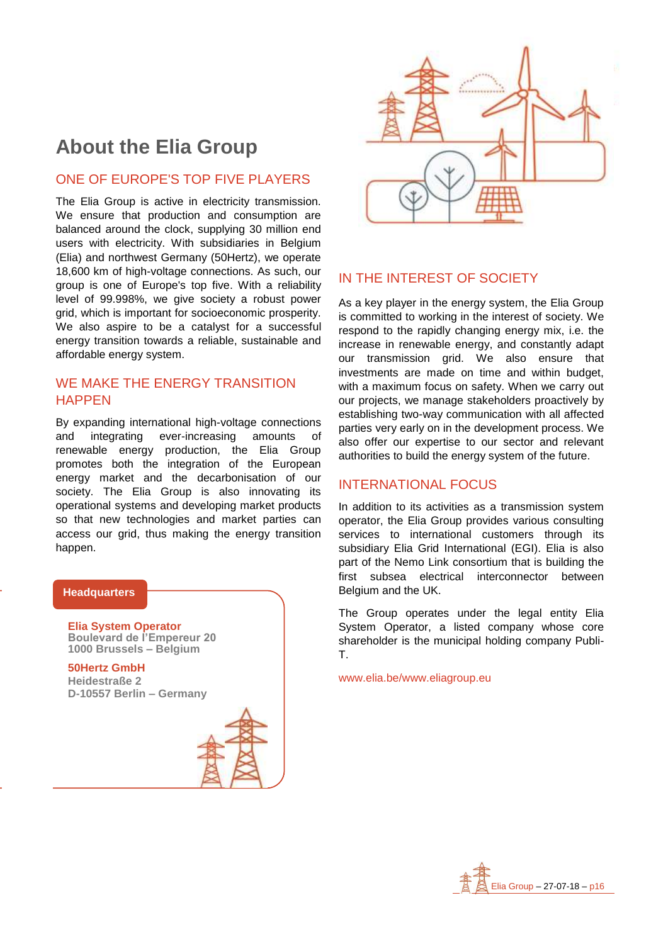# **About the Elia Group**

### ONE OF EUROPE'S TOP FIVE PLAYERS

The Elia Group is active in electricity transmission. We ensure that production and consumption are balanced around the clock, supplying 30 million end users with electricity. With subsidiaries in Belgium (Elia) and northwest Germany (50Hertz), we operate 18,600 km of high-voltage connections. As such, our group is one of Europe's top five. With a reliability level of 99.998%, we give society a robust power grid, which is important for socioeconomic prosperity. We also aspire to be a catalyst for a successful energy transition towards a reliable, sustainable and affordable energy system.

### WE MAKE THE ENERGY TRANSITION **HAPPEN**

By expanding international high-voltage connections and integrating ever-increasing amounts of renewable energy production, the Elia Group promotes both the integration of the European energy market and the decarbonisation of our society. The Elia Group is also innovating its operational systems and developing market products so that new technologies and market parties can access our grid, thus making the energy transition happen.

#### **Headquarters**

**Elia System Operator Boulevard de l'Empereur 20 1000 Brussels – Belgium**

**50Hertz GmbH Heidestraße 2 D-10557 Berlin – Germany** 



### IN THE INTEREST OF SOCIETY

As a key player in the energy system, the Elia Group is committed to working in the interest of society. We respond to the rapidly changing energy mix, i.e. the increase in renewable energy, and constantly adapt our transmission grid. We also ensure that investments are made on time and within budget, with a maximum focus on safety. When we carry out our projects, we manage stakeholders proactively by establishing two-way communication with all affected parties very early on in the development process. We also offer our expertise to our sector and relevant authorities to build the energy system of the future.

#### INTERNATIONAL FOCUS

In addition to its activities as a transmission system operator, the Elia Group provides various consulting services to international customers through its subsidiary Elia Grid International (EGI). Elia is also part of the Nemo Link consortium that is building the first subsea electrical interconnector between Belgium and the UK.

The Group operates under the legal entity Elia System Operator, a listed company whose core shareholder is the municipal holding company Publi-T.

[www.elia.be](http://www.elia.be/)[/www.eliagroup.eu](http://www.eliagroup.eu/)

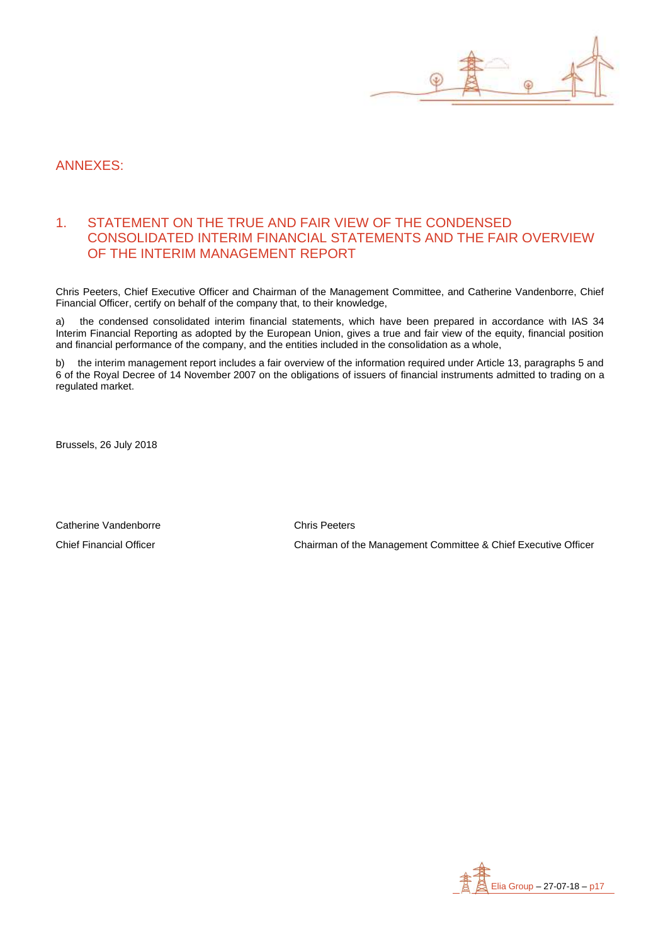

### ANNEXES:

### 1. STATEMENT ON THE TRUE AND FAIR VIEW OF THE CONDENSED CONSOLIDATED INTERIM FINANCIAL STATEMENTS AND THE FAIR OVERVIEW OF THE INTERIM MANAGEMENT REPORT

Chris Peeters, Chief Executive Officer and Chairman of the Management Committee, and Catherine Vandenborre, Chief Financial Officer, certify on behalf of the company that, to their knowledge,

a) the condensed consolidated interim financial statements, which have been prepared in accordance with IAS 34 Interim Financial Reporting as adopted by the European Union, gives a true and fair view of the equity, financial position and financial performance of the company, and the entities included in the consolidation as a whole,

b) the interim management report includes a fair overview of the information required under Article 13, paragraphs 5 and 6 of the Royal Decree of 14 November 2007 on the obligations of issuers of financial instruments admitted to trading on a regulated market.

Brussels, 26 July 2018

Catherine Vandenborre **Catherine** Vandenborre **Chris Peeters** 

Chief Financial Officer Chairman of the Management Committee & Chief Executive Officer

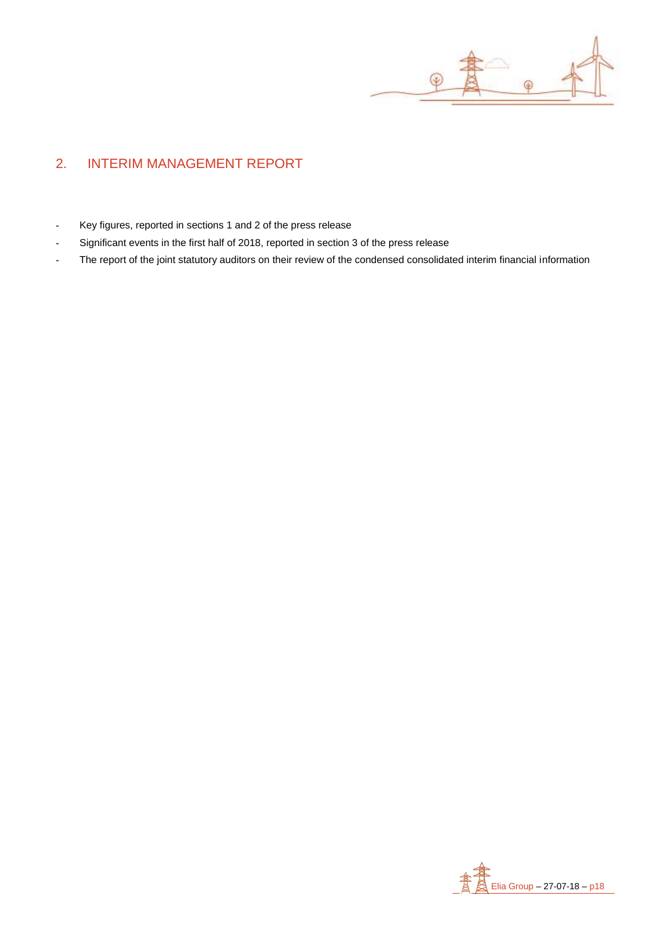

## 2. INTERIM MANAGEMENT REPORT

- Key figures, reported in sections 1 and 2 of the press release
- Significant events in the first half of 2018, reported in section 3 of the press release
- The report of the joint statutory auditors on their review of the condensed consolidated interim financial information

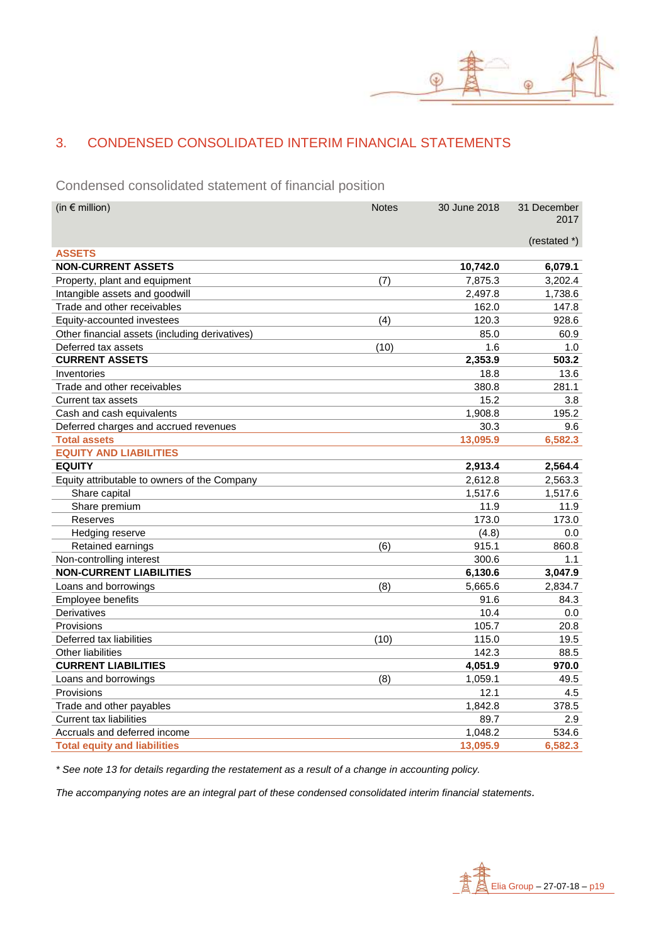

### 3. CONDENSED CONSOLIDATED INTERIM FINANCIAL STATEMENTS

Condensed consolidated statement of financial position

| (in $\epsilon$ million)                        | <b>Notes</b> | 30 June 2018 | 31 December<br>2017 |
|------------------------------------------------|--------------|--------------|---------------------|
|                                                |              |              | (restated *)        |
| <b>ASSETS</b>                                  |              |              |                     |
| <b>NON-CURRENT ASSETS</b>                      |              | 10,742.0     | 6,079.1             |
| Property, plant and equipment                  | (7)          | 7,875.3      | 3,202.4             |
| Intangible assets and goodwill                 |              | 2,497.8      | 1,738.6             |
| Trade and other receivables                    |              | 162.0        | 147.8               |
| Equity-accounted investees                     | (4)          | 120.3        | 928.6               |
| Other financial assets (including derivatives) |              | 85.0         | 60.9                |
| Deferred tax assets                            | (10)         | 1.6          | 1.0                 |
| <b>CURRENT ASSETS</b>                          |              | 2,353.9      | 503.2               |
| Inventories                                    |              | 18.8         | 13.6                |
| Trade and other receivables                    |              | 380.8        | 281.1               |
| Current tax assets                             |              | 15.2         | 3.8                 |
| Cash and cash equivalents                      |              | 1,908.8      | 195.2               |
| Deferred charges and accrued revenues          |              | 30.3         | 9.6                 |
| <b>Total assets</b>                            |              | 13,095.9     | 6,582.3             |
| <b>EQUITY AND LIABILITIES</b>                  |              |              |                     |
| <b>EQUITY</b>                                  |              | 2,913.4      | 2,564.4             |
| Equity attributable to owners of the Company   |              | 2,612.8      | 2,563.3             |
| Share capital                                  |              | 1,517.6      | 1,517.6             |
| Share premium                                  |              | 11.9         | 11.9                |
| Reserves                                       |              | 173.0        | 173.0               |
| Hedging reserve                                |              | (4.8)        | 0.0                 |
| Retained earnings                              | (6)          | 915.1        | 860.8               |
| Non-controlling interest                       |              | 300.6        | 1.1                 |
| <b>NON-CURRENT LIABILITIES</b>                 |              | 6,130.6      | 3,047.9             |
| Loans and borrowings                           | (8)          | 5,665.6      | 2,834.7             |
| Employee benefits                              |              | 91.6         | 84.3                |
| Derivatives                                    |              | 10.4         | 0.0                 |
| Provisions                                     |              | 105.7        | 20.8                |
| Deferred tax liabilities                       | (10)         | 115.0        | 19.5                |
| <b>Other liabilities</b>                       |              | 142.3        | 88.5                |
| <b>CURRENT LIABILITIES</b>                     |              | 4,051.9      | 970.0               |
| Loans and borrowings                           | (8)          | 1,059.1      | 49.5                |
| Provisions                                     |              | 12.1         | 4.5                 |
| Trade and other payables                       |              | 1,842.8      | 378.5               |
| <b>Current tax liabilities</b>                 |              | 89.7         | 2.9                 |
| Accruals and deferred income                   |              | 1,048.2      | 534.6               |
| <b>Total equity and liabilities</b>            |              | 13,095.9     | 6,582.3             |

*\* See note 13 for details regarding the restatement as a result of a change in accounting policy.*

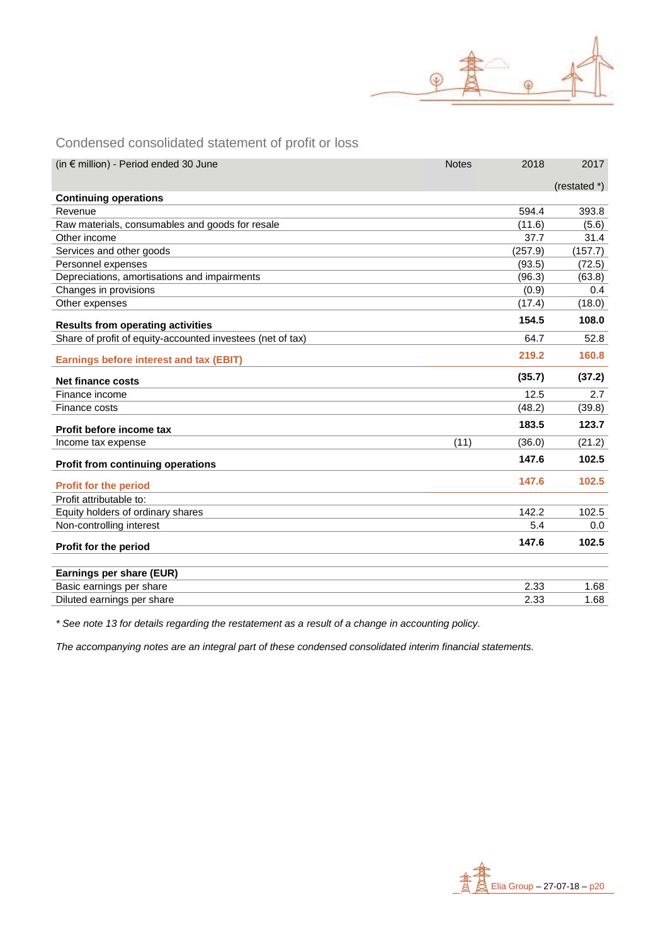

### Condensed consolidated statement of profit or loss

| (in € million) - Period ended 30 June                      | <b>Notes</b> | 2018    | 2017         |
|------------------------------------------------------------|--------------|---------|--------------|
|                                                            |              |         | (restated *) |
| <b>Continuing operations</b>                               |              |         |              |
| Revenue                                                    |              | 594.4   | 393.8        |
| Raw materials, consumables and goods for resale            |              | (11.6)  | (5.6)        |
| Other income                                               |              | 37.7    | 31.4         |
| Services and other goods                                   |              | (257.9) | (157.7)      |
| Personnel expenses                                         |              | (93.5)  | (72.5)       |
| Depreciations, amortisations and impairments               |              | (96.3)  | (63.8)       |
| Changes in provisions                                      |              | (0.9)   | 0.4          |
| Other expenses                                             |              | (17.4)  | (18.0)       |
| <b>Results from operating activities</b>                   |              | 154.5   | 108.0        |
| Share of profit of equity-accounted investees (net of tax) |              | 64.7    | 52.8         |
| <b>Earnings before interest and tax (EBIT)</b>             |              | 219.2   | 160.8        |
| <b>Net finance costs</b>                                   |              | (35.7)  | (37.2)       |
| Finance income                                             |              | 12.5    | 2.7          |
| Finance costs                                              |              | (48.2)  | (39.8)       |
| Profit before income tax                                   |              | 183.5   | 123.7        |
| Income tax expense                                         | (11)         | (36.0)  | (21.2)       |
| <b>Profit from continuing operations</b>                   |              | 147.6   | 102.5        |
| <b>Profit for the period</b>                               |              | 147.6   | 102.5        |
| Profit attributable to:                                    |              |         |              |
| Equity holders of ordinary shares                          |              | 142.2   | 102.5        |
| Non-controlling interest                                   |              | 5.4     | 0.0          |
| Profit for the period                                      |              | 147.6   | 102.5        |
| Earnings per share (EUR)                                   |              |         |              |
| Basic earnings per share                                   |              | 2.33    | 1.68         |
| Diluted earnings per share                                 |              | 2.33    | 1.68         |

*\* See note 13 for details regarding the restatement as a result of a change in accounting policy.*

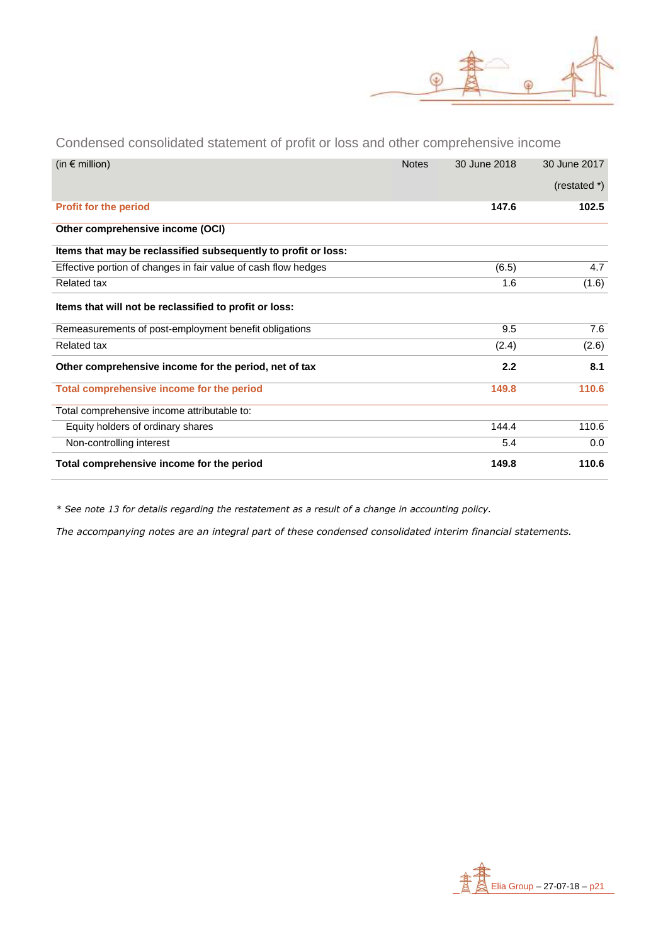

Condensed consolidated statement of profit or loss and other comprehensive income

| (in $\epsilon$ million)                                        | <b>Notes</b> | 30 June 2018 | 30 June 2017 |
|----------------------------------------------------------------|--------------|--------------|--------------|
|                                                                |              |              | $(rested*)$  |
| <b>Profit for the period</b>                                   |              | 147.6        | 102.5        |
|                                                                |              |              |              |
| Other comprehensive income (OCI)                               |              |              |              |
| Items that may be reclassified subsequently to profit or loss: |              |              |              |
| Effective portion of changes in fair value of cash flow hedges |              | (6.5)        | 4.7          |
| <b>Related tax</b>                                             |              | 1.6          | (1.6)        |
| Items that will not be reclassified to profit or loss:         |              |              |              |
| Remeasurements of post-employment benefit obligations          |              | 9.5          | 7.6          |
| Related tax                                                    |              | (2.4)        | (2.6)        |
| Other comprehensive income for the period, net of tax          |              | 2.2          | 8.1          |
| Total comprehensive income for the period                      |              | 149.8        | 110.6        |
| Total comprehensive income attributable to:                    |              |              |              |
| Equity holders of ordinary shares                              |              | 144.4        | 110.6        |
| Non-controlling interest                                       |              | 5.4          | 0.0          |
| Total comprehensive income for the period                      |              | 149.8        | 110.6        |

*\* See note 13 for details regarding the restatement as a result of a change in accounting policy.*

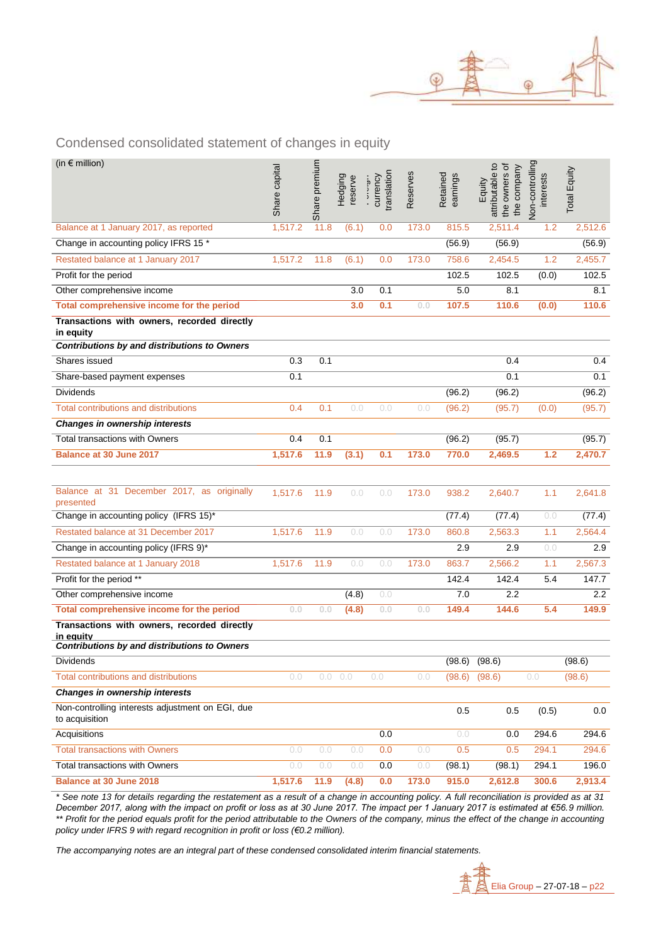

### Condensed consolidated statement of changes in equity

| (in $\epsilon$ million)                                                                                         | Share capital | Share premium | Hedging<br>reserve | translation<br>currency<br>ייציי-י- | Reserves | Retained<br>earnings | attributable to<br>the owners of<br>the company<br>Equity | Non-controlling<br>interests | Total Equity  |
|-----------------------------------------------------------------------------------------------------------------|---------------|---------------|--------------------|-------------------------------------|----------|----------------------|-----------------------------------------------------------|------------------------------|---------------|
| Balance at 1 January 2017, as reported                                                                          | 1,517.2       | 11.8          | (6.1)              | 0.0                                 | 173.0    | 815.5                | 2,511.4                                                   | 1.2                          | 2,512.6       |
| Change in accounting policy IFRS 15 *                                                                           |               |               |                    |                                     |          | (56.9)               | (56.9)                                                    |                              | (56.9)        |
| Restated balance at 1 January 2017                                                                              | 1,517.2       | 11.8          | (6.1)              | 0.0                                 | 173.0    | 758.6                | 2,454.5                                                   | 1.2                          | 2,455.7       |
| Profit for the period                                                                                           |               |               |                    |                                     |          | 102.5                | 102.5                                                     | (0.0)                        | 102.5         |
| Other comprehensive income                                                                                      |               |               | 3.0                | 0.1                                 |          | 5.0                  | 8.1                                                       |                              | 8.1           |
| Total comprehensive income for the period                                                                       |               |               | 3.0                | 0.1                                 | 0.0      | 107.5                | 110.6                                                     | (0.0)                        | 110.6         |
| Transactions with owners, recorded directly<br>in equity                                                        |               |               |                    |                                     |          |                      |                                                           |                              |               |
| <b>Contributions by and distributions to Owners</b><br>Shares issued                                            | 0.3           | 0.1           |                    |                                     |          |                      | 0.4                                                       |                              | 0.4           |
|                                                                                                                 | 0.1           |               |                    |                                     |          |                      |                                                           |                              |               |
| Share-based payment expenses<br><b>Dividends</b>                                                                |               |               |                    |                                     |          | (96.2)               | 0.1<br>(96.2)                                             |                              | 0.1<br>(96.2) |
| <b>Total contributions and distributions</b>                                                                    | 0.4           | 0.1           | 0.0                | 0.0                                 | 0.0      | (96.2)               | (95.7)                                                    | (0.0)                        | (95.7)        |
| <b>Changes in ownership interests</b>                                                                           |               |               |                    |                                     |          |                      |                                                           |                              |               |
| <b>Total transactions with Owners</b>                                                                           | 0.4           | 0.1           |                    |                                     |          | (96.2)               | (95.7)                                                    |                              | (95.7)        |
| Balance at 30 June 2017                                                                                         | 1,517.6       | 11.9          | (3.1)              | 0.1                                 | 173.0    | 770.0                | 2,469.5                                                   | 1.2                          | 2,470.7       |
|                                                                                                                 |               |               |                    |                                     |          |                      |                                                           |                              |               |
| Balance at 31 December 2017, as originally<br>presented                                                         | 1,517.6       | 11.9          | 0.0                | 0.0                                 | 173.0    | 938.2                | 2,640.7                                                   | 1.1                          | 2,641.8       |
| Change in accounting policy (IFRS 15)*                                                                          |               |               |                    |                                     |          | (77.4)               | (77.4)                                                    | 0.0                          | (77.4)        |
| Restated balance at 31 December 2017                                                                            | 1,517.6       | 11.9          | 0.0                | 0.0                                 | 173.0    | 860.8                | 2,563.3                                                   | 1.1                          | 2,564.4       |
| Change in accounting policy (IFRS 9)*                                                                           |               |               |                    |                                     |          | 2.9                  | 2.9                                                       | 0.0                          | 2.9           |
| Restated balance at 1 January 2018                                                                              | 1,517.6       | 11.9          | 0.0                | 0.0                                 | 173.0    | 863.7                | 2,566.2                                                   | 1.1                          | 2,567.3       |
| Profit for the period **                                                                                        |               |               |                    |                                     |          | 142.4                | 142.4                                                     | 5.4                          | 147.7         |
| Other comprehensive income                                                                                      |               |               | (4.8)              | 0.0                                 |          | 7.0                  | 2.2                                                       |                              | 2.2           |
| Total comprehensive income for the period                                                                       | 0.0           | 0.0           | (4.8)              | 0.0                                 | 0.0      | 149.4                | 144.6                                                     | 5.4                          | 149.9         |
| Transactions with owners, recorded directly<br>in equity<br><b>Contributions by and distributions to Owners</b> |               |               |                    |                                     |          |                      |                                                           |                              |               |
| Dividends                                                                                                       |               |               |                    |                                     |          | (98.6)               | (98.6)                                                    |                              | (98.6)        |
| Total contributions and distributions                                                                           | $0.0$         |               | $0.0\quad 0.0$     | 0.0                                 | 0.0      | (98.6)               | (98.6)                                                    | 0.0                          | (98.6)        |
| <b>Changes in ownership interests</b>                                                                           |               |               |                    |                                     |          |                      |                                                           |                              |               |
| Non-controlling interests adjustment on EGI, due<br>to acquisition                                              |               |               |                    |                                     |          | 0.5                  | 0.5                                                       | (0.5)                        | 0.0           |
| Acquisitions                                                                                                    |               |               |                    | 0.0                                 |          | 0.0                  | 0.0                                                       | 294.6                        | 294.6         |
| <b>Total transactions with Owners</b>                                                                           | 0.0           | 0.0           | 0.0                | 0.0                                 | $0.0$    | 0.5                  | 0.5                                                       | 294.1                        | 294.6         |
| <b>Total transactions with Owners</b>                                                                           | 0.0           | 0.0           | 0.0                | 0.0                                 | $0.0$    | (98.1)               | (98.1)                                                    | 294.1                        | 196.0         |
| <b>Balance at 30 June 2018</b>                                                                                  | 1,517.6       | 11.9          | (4.8)              | 0.0                                 | 173.0    | 915.0                | 2,612.8                                                   | 300.6                        | 2,913.4       |

*\* See note 13 for details regarding the restatement as a result of a change in accounting policy. A full reconciliation is provided as at 31 December 2017, along with the impact on profit or loss as at 30 June 2017. The impact per 1 January 2017 is estimated at €56.9 million. \*\* Profit for the period equals profit for the period attributable to the Owners of the company, minus the effect of the change in accounting policy under IFRS 9 with regard recognition in profit or loss (€0.2 million).* 

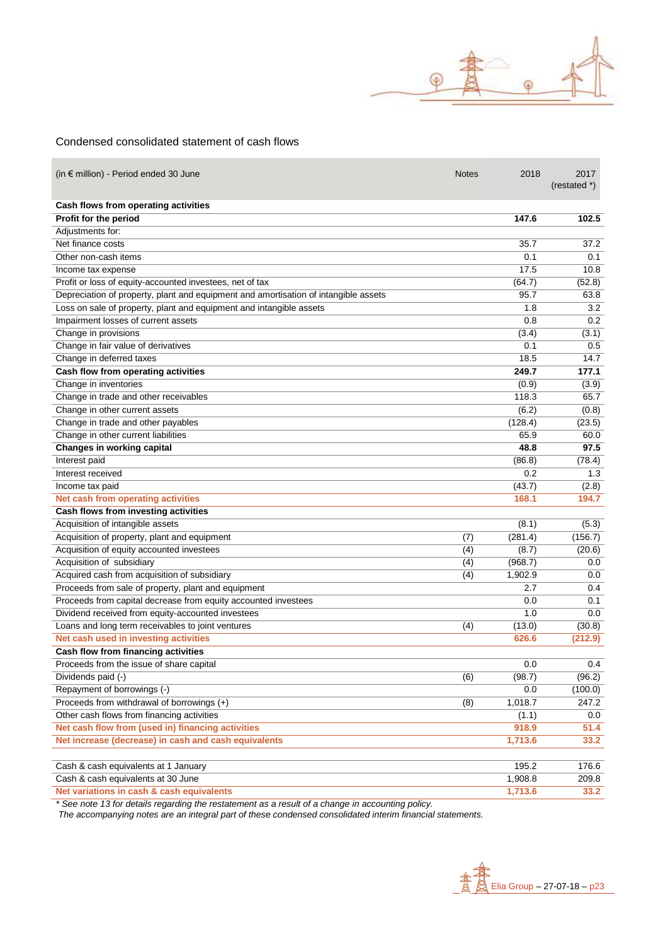

#### Condensed consolidated statement of cash flows

ï

| (in $\epsilon$ million) - Period ended 30 June                                      | <b>Notes</b>     | 2018    | 2017<br>$(restated^*)$ |
|-------------------------------------------------------------------------------------|------------------|---------|------------------------|
| Cash flows from operating activities                                                |                  |         |                        |
| Profit for the period                                                               |                  | 147.6   | 102.5                  |
| Adjustments for:                                                                    |                  |         |                        |
| Net finance costs                                                                   |                  | 35.7    | 37.2                   |
| Other non-cash items                                                                |                  | 0.1     | 0.1                    |
| Income tax expense                                                                  |                  | 17.5    | 10.8                   |
| Profit or loss of equity-accounted investees, net of tax                            |                  | (64.7)  | (52.8)                 |
| Depreciation of property, plant and equipment and amortisation of intangible assets |                  | 95.7    | 63.8                   |
| Loss on sale of property, plant and equipment and intangible assets                 |                  | 1.8     | 3.2                    |
| Impairment losses of current assets                                                 |                  | 0.8     | 0.2                    |
| Change in provisions                                                                |                  | (3.4)   | (3.1)                  |
| Change in fair value of derivatives                                                 |                  | 0.1     | 0.5                    |
| Change in deferred taxes                                                            |                  | 18.5    | 14.7                   |
| Cash flow from operating activities                                                 |                  | 249.7   | 177.1                  |
| Change in inventories                                                               |                  | (0.9)   | (3.9)                  |
| Change in trade and other receivables                                               |                  | 118.3   | 65.7                   |
| Change in other current assets                                                      |                  | (6.2)   | (0.8)                  |
| Change in trade and other payables                                                  |                  | (128.4) | (23.5)                 |
| Change in other current liabilities                                                 |                  | 65.9    | 60.0                   |
| Changes in working capital                                                          |                  | 48.8    | 97.5                   |
| Interest paid                                                                       |                  | (86.8)  | (78.4)                 |
| Interest received                                                                   |                  | 0.2     | 1.3                    |
| Income tax paid                                                                     |                  | (43.7)  | (2.8)                  |
| Net cash from operating activities                                                  |                  | 168.1   | 194.7                  |
| Cash flows from investing activities                                                |                  |         |                        |
| Acquisition of intangible assets                                                    |                  | (8.1)   | (5.3)                  |
| Acquisition of property, plant and equipment                                        | (7)              | (281.4) | (156.7)                |
| Acquisition of equity accounted investees                                           | (4)              | (8.7)   | (20.6)                 |
| Acquisition of subsidiary                                                           | (4)              | (968.7) | 0.0                    |
| Acquired cash from acquisition of subsidiary                                        | $\overline{(4)}$ | 1,902.9 | 0.0                    |
| Proceeds from sale of property, plant and equipment                                 |                  | 2.7     | 0.4                    |
| Proceeds from capital decrease from equity accounted investees                      |                  | 0.0     | 0.1                    |
| Dividend received from equity-accounted investees                                   |                  | 1.0     | 0.0                    |
| Loans and long term receivables to joint ventures                                   | (4)              | (13.0)  | (30.8)                 |
| Net cash used in investing activities                                               |                  | 626.6   | (212.9)                |
| Cash flow from financing activities                                                 |                  |         |                        |
| Proceeds from the issue of share capital                                            |                  | 0.0     | 0.4                    |
| Dividends paid (-)                                                                  | (6)              | (98.7)  | (96.2)                 |
| Repayment of borrowings (-)                                                         |                  | 0.0     | (100.0)                |
| Proceeds from withdrawal of borrowings (+)                                          | (8)              | 1,018.7 | 247.2                  |
| Other cash flows from financing activities                                          |                  | (1.1)   | 0.0                    |
| Net cash flow from (used in) financing activities                                   |                  | 918.9   | 51.4                   |
| Net increase (decrease) in cash and cash equivalents                                |                  | 1,713.6 | 33.2                   |
|                                                                                     |                  |         |                        |
| Cash & cash equivalents at 1 January                                                |                  | 195.2   | 176.6                  |
| Cash & cash equivalents at 30 June                                                  |                  | 1,908.8 | 209.8                  |
| Net variations in cash & cash equivalents                                           |                  | 1,713.6 | 33.2                   |

*\* See note 13 for details regarding the restatement as a result of a change in accounting policy.*

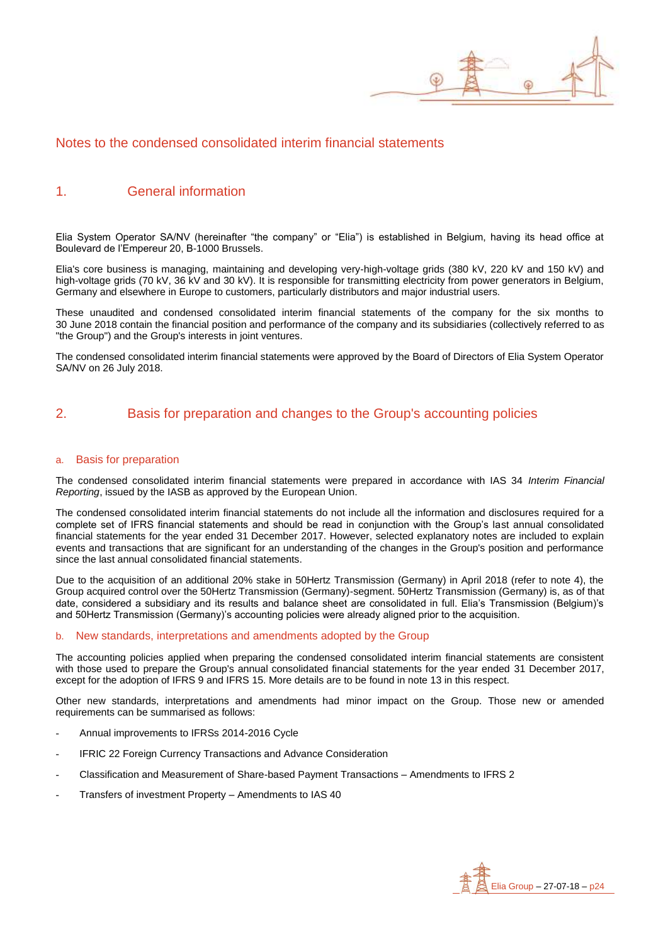

### Notes to the condensed consolidated interim financial statements

### 1. General information

Elia System Operator SA/NV (hereinafter "the company" or "Elia") is established in Belgium, having its head office at Boulevard de l'Empereur 20, B-1000 Brussels.

Elia's core business is managing, maintaining and developing very-high-voltage grids (380 kV, 220 kV and 150 kV) and high-voltage grids (70 kV, 36 kV and 30 kV). It is responsible for transmitting electricity from power generators in Belgium, Germany and elsewhere in Europe to customers, particularly distributors and major industrial users.

These unaudited and condensed consolidated interim financial statements of the company for the six months to 30 June 2018 contain the financial position and performance of the company and its subsidiaries (collectively referred to as "the Group") and the Group's interests in joint ventures.

The condensed consolidated interim financial statements were approved by the Board of Directors of Elia System Operator SA/NV on 26 July 2018.

### 2. Basis for preparation and changes to the Group's accounting policies

#### a. Basis for preparation

The condensed consolidated interim financial statements were prepared in accordance with IAS 34 *Interim Financial Reporting*, issued by the IASB as approved by the European Union.

The condensed consolidated interim financial statements do not include all the information and disclosures required for a complete set of IFRS financial statements and should be read in conjunction with the Group's last annual consolidated financial statements for the year ended 31 December 2017. However, selected explanatory notes are included to explain events and transactions that are significant for an understanding of the changes in the Group's position and performance since the last annual consolidated financial statements.

Due to the acquisition of an additional 20% stake in 50Hertz Transmission (Germany) in April 2018 (refer to note 4), the Group acquired control over the 50Hertz Transmission (Germany)-segment. 50Hertz Transmission (Germany) is, as of that date, considered a subsidiary and its results and balance sheet are consolidated in full. Elia's Transmission (Belgium)'s and 50Hertz Transmission (Germany)'s accounting policies were already aligned prior to the acquisition.

#### b. New standards, interpretations and amendments adopted by the Group

The accounting policies applied when preparing the condensed consolidated interim financial statements are consistent with those used to prepare the Group's annual consolidated financial statements for the year ended 31 December 2017, except for the adoption of IFRS 9 and IFRS 15. More details are to be found in note 13 in this respect.

Other new standards, interpretations and amendments had minor impact on the Group. Those new or amended requirements can be summarised as follows:

- Annual improvements to IFRSs 2014-2016 Cycle
- IFRIC 22 Foreign Currency Transactions and Advance Consideration
- Classification and Measurement of Share-based Payment Transactions Amendments to IFRS 2
- Transfers of investment Property Amendments to IAS 40

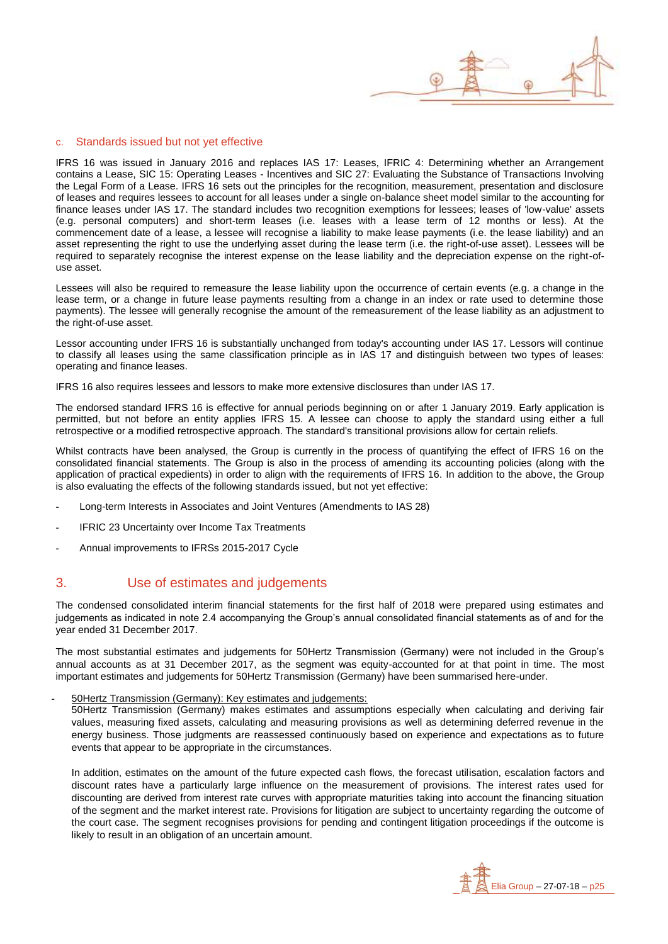

IFRS 16 was issued in January 2016 and replaces IAS 17: Leases, IFRIC 4: Determining whether an Arrangement contains a Lease, SIC 15: Operating Leases - Incentives and SIC 27: Evaluating the Substance of Transactions Involving the Legal Form of a Lease. IFRS 16 sets out the principles for the recognition, measurement, presentation and disclosure of leases and requires lessees to account for all leases under a single on-balance sheet model similar to the accounting for finance leases under IAS 17. The standard includes two recognition exemptions for lessees; leases of 'low-value' assets (e.g. personal computers) and short-term leases (i.e. leases with a lease term of 12 months or less). At the commencement date of a lease, a lessee will recognise a liability to make lease payments (i.e. the lease liability) and an asset representing the right to use the underlying asset during the lease term (i.e. the right-of-use asset). Lessees will be required to separately recognise the interest expense on the lease liability and the depreciation expense on the right-ofuse asset.

Lessees will also be required to remeasure the lease liability upon the occurrence of certain events (e.g. a change in the lease term, or a change in future lease payments resulting from a change in an index or rate used to determine those payments). The lessee will generally recognise the amount of the remeasurement of the lease liability as an adjustment to the right-of-use asset.

Lessor accounting under IFRS 16 is substantially unchanged from today's accounting under IAS 17. Lessors will continue to classify all leases using the same classification principle as in IAS 17 and distinguish between two types of leases: operating and finance leases.

IFRS 16 also requires lessees and lessors to make more extensive disclosures than under IAS 17.

The endorsed standard IFRS 16 is effective for annual periods beginning on or after 1 January 2019. Early application is permitted, but not before an entity applies IFRS 15. A lessee can choose to apply the standard using either a full retrospective or a modified retrospective approach. The standard's transitional provisions allow for certain reliefs.

Whilst contracts have been analysed, the Group is currently in the process of quantifying the effect of IFRS 16 on the consolidated financial statements. The Group is also in the process of amending its accounting policies (along with the application of practical expedients) in order to align with the requirements of IFRS 16. In addition to the above, the Group is also evaluating the effects of the following standards issued, but not yet effective:

- Long-term Interests in Associates and Joint Ventures (Amendments to IAS 28)
- IFRIC 23 Uncertainty over Income Tax Treatments
- Annual improvements to IFRSs 2015-2017 Cycle

### 3. Use of estimates and judgements

The condensed consolidated interim financial statements for the first half of 2018 were prepared using estimates and judgements as indicated in note 2.4 accompanying the Group's annual consolidated financial statements as of and for the year ended 31 December 2017.

The most substantial estimates and judgements for 50Hertz Transmission (Germany) were not included in the Group's annual accounts as at 31 December 2017, as the segment was equity-accounted for at that point in time. The most important estimates and judgements for 50Hertz Transmission (Germany) have been summarised here-under.

#### - 50Hertz Transmission (Germany): Key estimates and judgements:

50Hertz Transmission (Germany) makes estimates and assumptions especially when calculating and deriving fair values, measuring fixed assets, calculating and measuring provisions as well as determining deferred revenue in the energy business. Those judgments are reassessed continuously based on experience and expectations as to future events that appear to be appropriate in the circumstances.

In addition, estimates on the amount of the future expected cash flows, the forecast utilisation, escalation factors and discount rates have a particularly large influence on the measurement of provisions. The interest rates used for discounting are derived from interest rate curves with appropriate maturities taking into account the financing situation of the segment and the market interest rate. Provisions for litigation are subject to uncertainty regarding the outcome of the court case. The segment recognises provisions for pending and contingent litigation proceedings if the outcome is likely to result in an obligation of an uncertain amount.

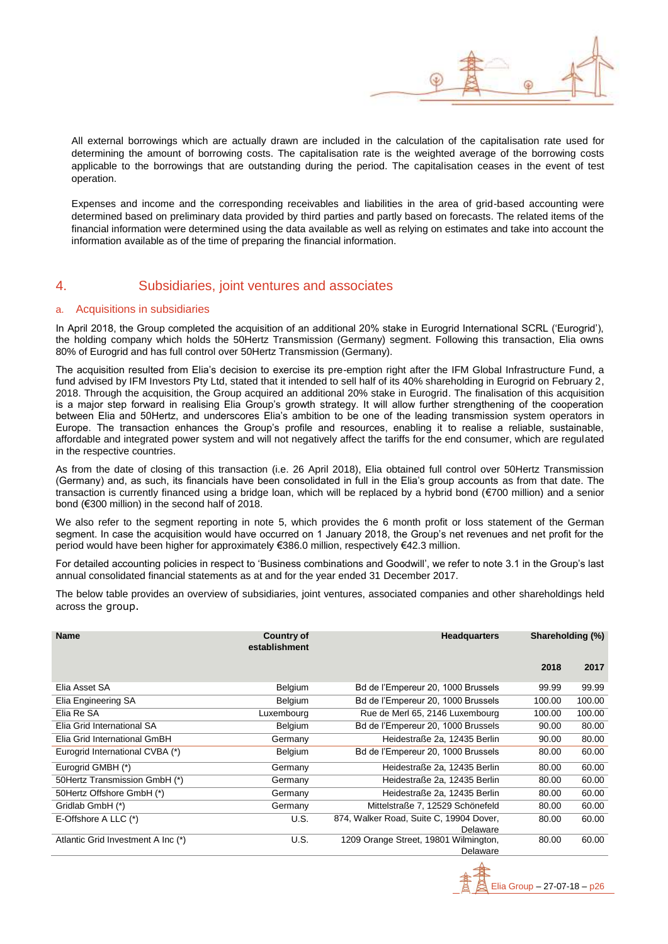

All external borrowings which are actually drawn are included in the calculation of the capitalisation rate used for determining the amount of borrowing costs. The capitalisation rate is the weighted average of the borrowing costs applicable to the borrowings that are outstanding during the period. The capitalisation ceases in the event of test operation.

Expenses and income and the corresponding receivables and liabilities in the area of grid-based accounting were determined based on preliminary data provided by third parties and partly based on forecasts. The related items of the financial information were determined using the data available as well as relying on estimates and take into account the information available as of the time of preparing the financial information.

### 4. Subsidiaries, joint ventures and associates

#### a. Acquisitions in subsidiaries

In April 2018, the Group completed the acquisition of an additional 20% stake in Eurogrid International SCRL ('Eurogrid'), the holding company which holds the 50Hertz Transmission (Germany) segment. Following this transaction, Elia owns 80% of Eurogrid and has full control over 50Hertz Transmission (Germany).

The acquisition resulted from Elia's decision to exercise its pre-emption right after the IFM Global Infrastructure Fund, a fund advised by IFM Investors Pty Ltd, stated that it intended to sell half of its 40% shareholding in Eurogrid on February 2, 2018. Through the acquisition, the Group acquired an additional 20% stake in Eurogrid. The finalisation of this acquisition is a major step forward in realising Elia Group's growth strategy. It will allow further strengthening of the cooperation between Elia and 50Hertz, and underscores Elia's ambition to be one of the leading transmission system operators in Europe. The transaction enhances the Group's profile and resources, enabling it to realise a reliable, sustainable, affordable and integrated power system and will not negatively affect the tariffs for the end consumer, which are regulated in the respective countries.

As from the date of closing of this transaction (i.e. 26 April 2018), Elia obtained full control over 50Hertz Transmission (Germany) and, as such, its financials have been consolidated in full in the Elia's group accounts as from that date. The transaction is currently financed using a bridge loan, which will be replaced by a hybrid bond (€700 million) and a senior bond (€300 million) in the second half of 2018.

We also refer to the segment reporting in note 5, which provides the 6 month profit or loss statement of the German segment. In case the acquisition would have occurred on 1 January 2018, the Group's net revenues and net profit for the period would have been higher for approximately €386.0 million, respectively €42.3 million.

For detailed accounting policies in respect to 'Business combinations and Goodwill', we refer to note 3.1 in the Group's last annual consolidated financial statements as at and for the year ended 31 December 2017.

The below table provides an overview of subsidiaries, joint ventures, associated companies and other shareholdings held across the group.

| <b>Name</b>                        | <b>Country of</b><br>establishment | <b>Headquarters</b>                                 | Shareholding (%) |        |
|------------------------------------|------------------------------------|-----------------------------------------------------|------------------|--------|
|                                    |                                    |                                                     | 2018             | 2017   |
| Elia Asset SA                      | Belgium                            | Bd de l'Empereur 20, 1000 Brussels                  | 99.99            | 99.99  |
| Elia Engineering SA                | Belgium                            | Bd de l'Empereur 20, 1000 Brussels                  | 100.00           | 100.00 |
| Elia Re SA                         | Luxembourg                         | Rue de Merl 65, 2146 Luxembourg                     | 100.00           | 100.00 |
| Elia Grid International SA         | Belgium                            | Bd de l'Empereur 20, 1000 Brussels                  | 90.00            | 80.00  |
| Elia Grid International GmBH       | Germany                            | Heidestraße 2a, 12435 Berlin                        | 90.00            | 80.00  |
| Eurogrid International CVBA (*)    | Belgium                            | Bd de l'Empereur 20, 1000 Brussels                  | 80.00            | 60.00  |
| Eurogrid GMBH (*)                  | Germany                            | Heidestraße 2a, 12435 Berlin                        | 80.00            | 60.00  |
| 50 Hertz Transmission GmbH (*)     | Germany                            | Heidestraße 2a, 12435 Berlin                        | 80.00            | 60.00  |
| 50Hertz Offshore GmbH (*)          | Germany                            | Heidestraße 2a, 12435 Berlin                        | 80.00            | 60.00  |
| Gridlab GmbH (*)                   | Germany                            | Mittelstraße 7, 12529 Schönefeld                    | 80.00            | 60.00  |
| E-Offshore A LLC $(*)$             | U.S.                               | 874, Walker Road, Suite C, 19904 Dover,<br>Delaware | 80.00            | 60.00  |
| Atlantic Grid Investment A Inc (*) | U.S.                               | 1209 Orange Street, 19801 Wilmington,<br>Delaware   | 80.00            | 60.00  |

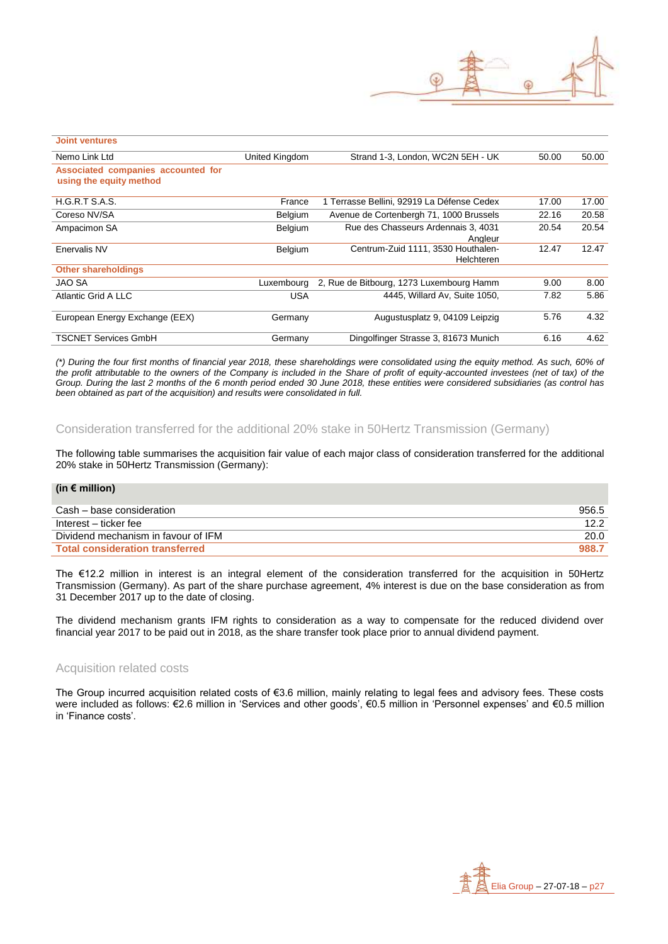

| <b>Joint ventures</b>                                         |                |                                                         |       |       |
|---------------------------------------------------------------|----------------|---------------------------------------------------------|-------|-------|
| Nemo Link Ltd                                                 | United Kingdom | Strand 1-3, London, WC2N 5EH - UK                       | 50.00 | 50.00 |
| Associated companies accounted for<br>using the equity method |                |                                                         |       |       |
| H.G.R.T S.A.S.                                                | France         | 1 Terrasse Bellini, 92919 La Défense Cedex              | 17.00 | 17.00 |
| Coreso NV/SA                                                  | <b>Belgium</b> | Avenue de Cortenbergh 71, 1000 Brussels                 | 22.16 | 20.58 |
| Ampacimon SA                                                  | Belgium        | Rue des Chasseurs Ardennais 3, 4031<br>Analeur          | 20.54 | 20.54 |
| Enervalis NV                                                  | Belgium        | Centrum-Zuid 1111, 3530 Houthalen-<br><b>Helchteren</b> | 12.47 | 12.47 |
| <b>Other shareholdings</b>                                    |                |                                                         |       |       |
| <b>JAO SA</b>                                                 | Luxembourg     | 2, Rue de Bitbourg, 1273 Luxembourg Hamm                | 9.00  | 8.00  |
| Atlantic Grid A LLC                                           | USA            | 4445, Willard Av, Suite 1050,                           | 7.82  | 5.86  |
| European Energy Exchange (EEX)                                | Germany        | Augustusplatz 9, 04109 Leipzig                          | 5.76  | 4.32  |
| <b>TSCNET Services GmbH</b>                                   | Germany        | Dingolfinger Strasse 3, 81673 Munich                    | 6.16  | 4.62  |

*(\*) During the four first months of financial year 2018, these shareholdings were consolidated using the equity method. As such, 60% of the profit attributable to the owners of the Company is included in the Share of profit of equity-accounted investees (net of tax) of the Group. During the last 2 months of the 6 month period ended 30 June 2018, these entities were considered subsidiaries (as control has been obtained as part of the acquisition) and results were consolidated in full.*

#### Consideration transferred for the additional 20% stake in 50Hertz Transmission (Germany)

The following table summarises the acquisition fair value of each major class of consideration transferred for the additional 20% stake in 50Hertz Transmission (Germany):

| (in $\epsilon$ million)                |       |
|----------------------------------------|-------|
| Cash - base consideration              | 956.5 |
| Interest – ticker fee                  | 12.2  |
| Dividend mechanism in favour of IFM    | 20.0  |
| <b>Total consideration transferred</b> | 988.7 |

The €12.2 million in interest is an integral element of the consideration transferred for the acquisition in 50Hertz Transmission (Germany). As part of the share purchase agreement, 4% interest is due on the base consideration as from 31 December 2017 up to the date of closing.

The dividend mechanism grants IFM rights to consideration as a way to compensate for the reduced dividend over financial year 2017 to be paid out in 2018, as the share transfer took place prior to annual dividend payment.

#### Acquisition related costs

The Group incurred acquisition related costs of €3.6 million, mainly relating to legal fees and advisory fees. These costs were included as follows: €2.6 million in 'Services and other goods', €0.5 million in 'Personnel expenses' and €0.5 million in 'Finance costs'.

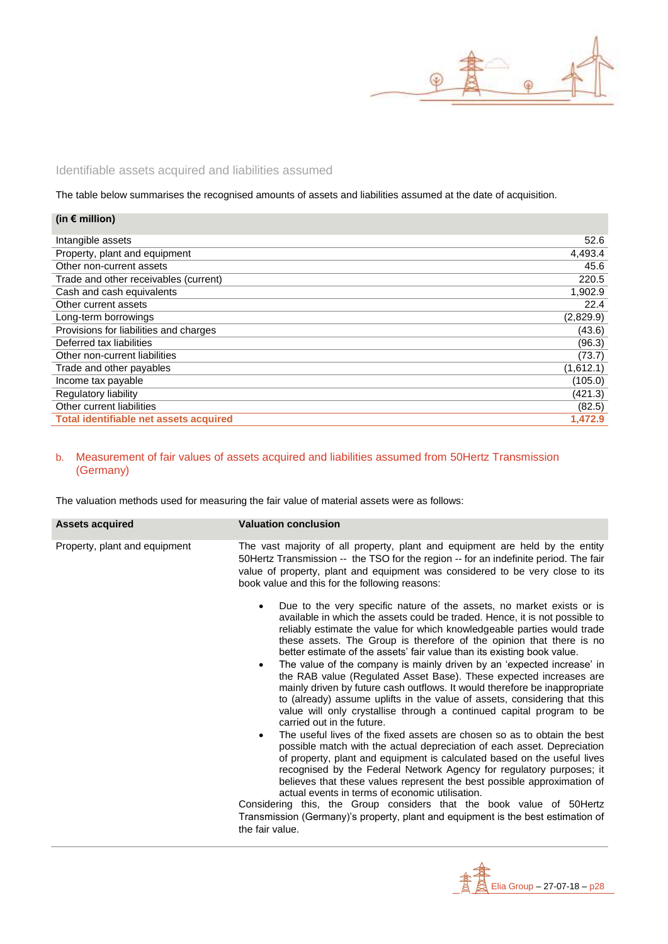

Identifiable assets acquired and liabilities assumed

The table below summarises the recognised amounts of assets and liabilities assumed at the date of acquisition.

| (in $\epsilon$ million)                |           |
|----------------------------------------|-----------|
| Intangible assets                      | 52.6      |
| Property, plant and equipment          | 4,493.4   |
| Other non-current assets               | 45.6      |
| Trade and other receivables (current)  | 220.5     |
| Cash and cash equivalents              | 1,902.9   |
| Other current assets                   | 22.4      |
| Long-term borrowings                   | (2,829.9) |
| Provisions for liabilities and charges | (43.6)    |
| Deferred tax liabilities               | (96.3)    |
| Other non-current liabilities          | (73.7)    |
| Trade and other payables               | (1,612.1) |
| Income tax payable                     | (105.0)   |
| Regulatory liability                   | (421.3)   |
| Other current liabilities              | (82.5)    |
| Total identifiable net assets acquired | 1,472.9   |

#### b. Measurement of fair values of assets acquired and liabilities assumed from 50Hertz Transmission (Germany)

The valuation methods used for measuring the fair value of material assets were as follows:

| <b>Assets acquired</b>        | <b>Valuation conclusion</b>                                                                                                                                                                                                                                                                                                                                                                                                                                                                                                                                                                                                                                                                                                                                                                                                                                                                                                                                                                                                                                                                                                                                                                                                                                                                                                                                                                                                                             |
|-------------------------------|---------------------------------------------------------------------------------------------------------------------------------------------------------------------------------------------------------------------------------------------------------------------------------------------------------------------------------------------------------------------------------------------------------------------------------------------------------------------------------------------------------------------------------------------------------------------------------------------------------------------------------------------------------------------------------------------------------------------------------------------------------------------------------------------------------------------------------------------------------------------------------------------------------------------------------------------------------------------------------------------------------------------------------------------------------------------------------------------------------------------------------------------------------------------------------------------------------------------------------------------------------------------------------------------------------------------------------------------------------------------------------------------------------------------------------------------------------|
| Property, plant and equipment | The vast majority of all property, plant and equipment are held by the entity<br>50Hertz Transmission -- the TSO for the region -- for an indefinite period. The fair<br>value of property, plant and equipment was considered to be very close to its<br>book value and this for the following reasons:                                                                                                                                                                                                                                                                                                                                                                                                                                                                                                                                                                                                                                                                                                                                                                                                                                                                                                                                                                                                                                                                                                                                                |
|                               | Due to the very specific nature of the assets, no market exists or is<br>available in which the assets could be traded. Hence, it is not possible to<br>reliably estimate the value for which knowledgeable parties would trade<br>these assets. The Group is therefore of the opinion that there is no<br>better estimate of the assets' fair value than its existing book value.<br>The value of the company is mainly driven by an 'expected increase' in<br>$\bullet$<br>the RAB value (Regulated Asset Base). These expected increases are<br>mainly driven by future cash outflows. It would therefore be inappropriate<br>to (already) assume uplifts in the value of assets, considering that this<br>value will only crystallise through a continued capital program to be<br>carried out in the future.<br>The useful lives of the fixed assets are chosen so as to obtain the best<br>$\bullet$<br>possible match with the actual depreciation of each asset. Depreciation<br>of property, plant and equipment is calculated based on the useful lives<br>recognised by the Federal Network Agency for regulatory purposes; it<br>believes that these values represent the best possible approximation of<br>actual events in terms of economic utilisation.<br>Considering this, the Group considers that the book value of 50 Hertz<br>Transmission (Germany)'s property, plant and equipment is the best estimation of<br>the fair value. |

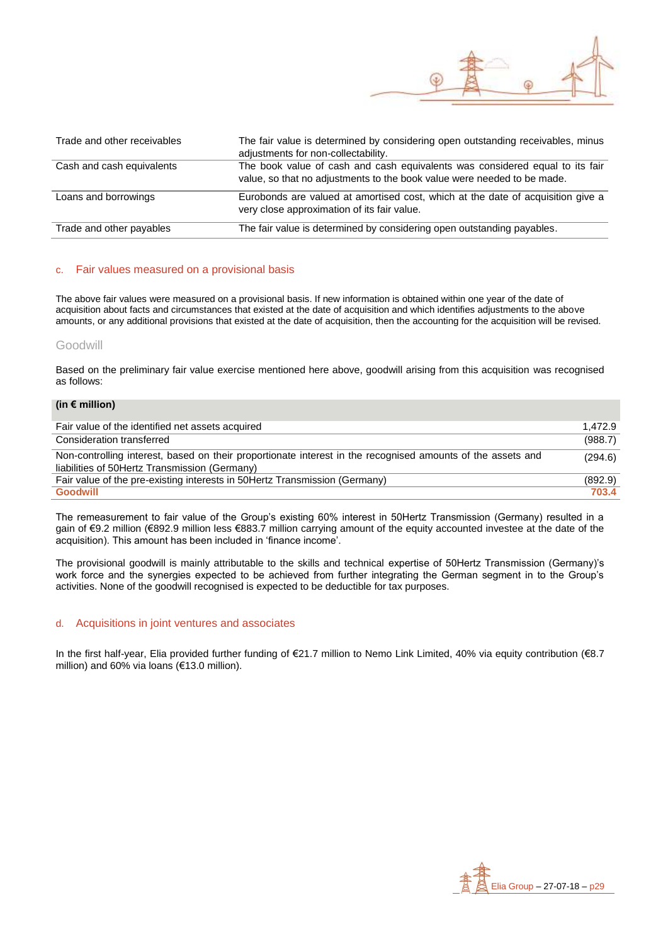

| Trade and other receivables | The fair value is determined by considering open outstanding receivables, minus<br>adjustments for non-collectability.                                  |
|-----------------------------|---------------------------------------------------------------------------------------------------------------------------------------------------------|
| Cash and cash equivalents   | The book value of cash and cash equivalents was considered equal to its fair<br>value, so that no adjustments to the book value were needed to be made. |
| Loans and borrowings        | Eurobonds are valued at amortised cost, which at the date of acquisition give a<br>very close approximation of its fair value.                          |
| Trade and other payables    | The fair value is determined by considering open outstanding payables.                                                                                  |

#### c. Fair values measured on a provisional basis

The above fair values were measured on a provisional basis. If new information is obtained within one year of the date of acquisition about facts and circumstances that existed at the date of acquisition and which identifies adjustments to the above amounts, or any additional provisions that existed at the date of acquisition, then the accounting for the acquisition will be revised.

#### Goodwill

Based on the preliminary fair value exercise mentioned here above, goodwill arising from this acquisition was recognised as follows:

#### **(in € million)**

| Fair value of the identified net assets acquired                                                            | 1.472.9 |
|-------------------------------------------------------------------------------------------------------------|---------|
| Consideration transferred                                                                                   | (988.7) |
| Non-controlling interest, based on their proportionate interest in the recognised amounts of the assets and | (294.6) |
| liabilities of 50Hertz Transmission (Germany)                                                               |         |
| Fair value of the pre-existing interests in 50Hertz Transmission (Germany)                                  | (892.9) |
| <b>Goodwill</b>                                                                                             | 703.4   |

The remeasurement to fair value of the Group's existing 60% interest in 50Hertz Transmission (Germany) resulted in a gain of €9.2 million (€892.9 million less €883.7 million carrying amount of the equity accounted investee at the date of the acquisition). This amount has been included in 'finance income'.

The provisional goodwill is mainly attributable to the skills and technical expertise of 50Hertz Transmission (Germany)'s work force and the synergies expected to be achieved from further integrating the German segment in to the Group's activities. None of the goodwill recognised is expected to be deductible for tax purposes.

#### d. Acquisitions in joint ventures and associates

In the first half-year, Elia provided further funding of €21.7 million to Nemo Link Limited, 40% via equity contribution (€8.7 million) and 60% via loans (€13.0 million).

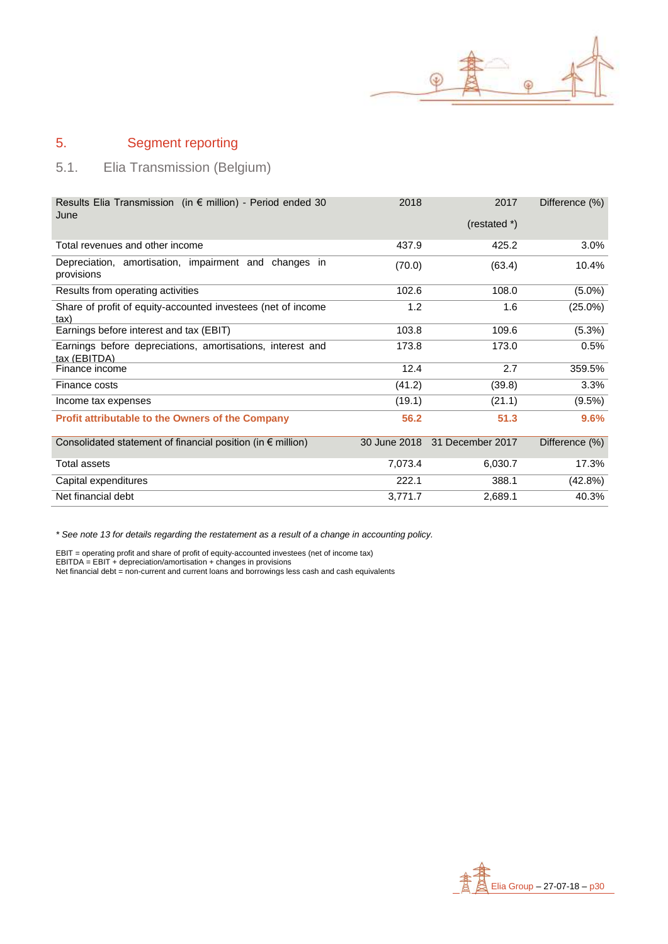

### 5. Segment reporting

### 5.1. Elia Transmission (Belgium)

| 2018         | 2017             | Difference (%) |
|--------------|------------------|----------------|
|              | $(resated^*)$    |                |
| 437.9        | 425.2            | 3.0%           |
| (70.0)       | (63.4)           | 10.4%          |
| 102.6        | 108.0            | $(5.0\%)$      |
| 1.2          | 1.6              | (25.0%)        |
| 103.8        | 109.6            | (5.3%)         |
| 173.8        | 173.0            | 0.5%           |
| 12.4         | 2.7              | 359.5%         |
| (41.2)       | (39.8)           | 3.3%           |
| (19.1)       | (21.1)           | (9.5%)         |
| 56.2         | 51.3             | 9.6%           |
| 30 June 2018 | 31 December 2017 | Difference (%) |
| 7,073.4      | 6,030.7          | 17.3%          |
| 222.1        | 388.1            | (42.8%)        |
| 3,771.7      | 2,689.1          | 40.3%          |
|              |                  |                |

*\* See note 13 for details regarding the restatement as a result of a change in accounting policy.*

EBIT = operating profit and share of profit of equity-accounted investees (net of income tax)

EBITDA = EBIT + depreciation/amortisation + changes in provisions

Net financial debt = non-current and current loans and borrowings less cash and cash equivalents

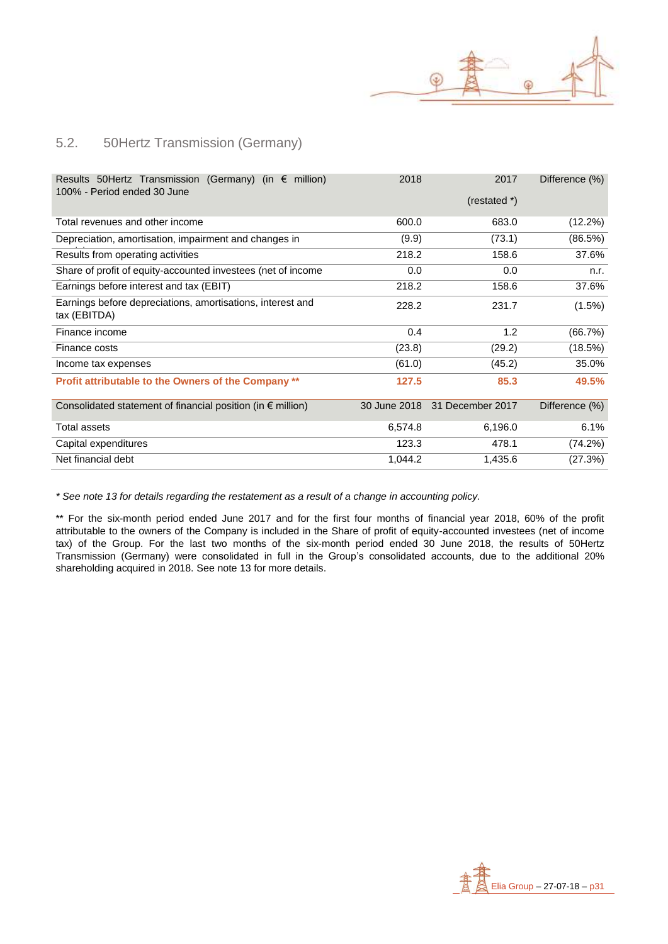

### 5.2. 50Hertz Transmission (Germany)

| Results 50Hertz Transmission (Germany) (in $\epsilon$ million)<br>100% - Period ended 30 June | 2018         | 2017             | Difference (%) |
|-----------------------------------------------------------------------------------------------|--------------|------------------|----------------|
|                                                                                               |              | $(rested*)$      |                |
| Total revenues and other income                                                               | 600.0        | 683.0            | (12.2%)        |
| Depreciation, amortisation, impairment and changes in                                         | (9.9)        | (73.1)           | (86.5%)        |
| Results from operating activities                                                             | 218.2        | 158.6            | 37.6%          |
| Share of profit of equity-accounted investees (net of income                                  | 0.0          | 0.0              | n.r.           |
| Earnings before interest and tax (EBIT)                                                       | 218.2        | 158.6            | 37.6%          |
| Earnings before depreciations, amortisations, interest and<br>tax (EBITDA)                    | 228.2        | 231.7            | $(1.5\%)$      |
| Finance income                                                                                | 0.4          | 1.2              | (66.7%)        |
| Finance costs                                                                                 | (23.8)       | (29.2)           | (18.5%)        |
| Income tax expenses                                                                           | (61.0)       | (45.2)           | 35.0%          |
| Profit attributable to the Owners of the Company **                                           | 127.5        | 85.3             | 49.5%          |
| Consolidated statement of financial position (in $\epsilon$ million)                          | 30 June 2018 | 31 December 2017 | Difference (%) |
| Total assets                                                                                  | 6,574.8      | 6,196.0          | 6.1%           |
| Capital expenditures                                                                          | 123.3        | 478.1            | (74.2%)        |
| Net financial debt                                                                            | 1,044.2      | 1,435.6          | (27.3%)        |

*\* See note 13 for details regarding the restatement as a result of a change in accounting policy.*

\*\* For the six-month period ended June 2017 and for the first four months of financial year 2018, 60% of the profit attributable to the owners of the Company is included in the Share of profit of equity-accounted investees (net of income tax) of the Group. For the last two months of the six-month period ended 30 June 2018, the results of 50Hertz Transmission (Germany) were consolidated in full in the Group's consolidated accounts, due to the additional 20% shareholding acquired in 2018. See note 13 for more details.

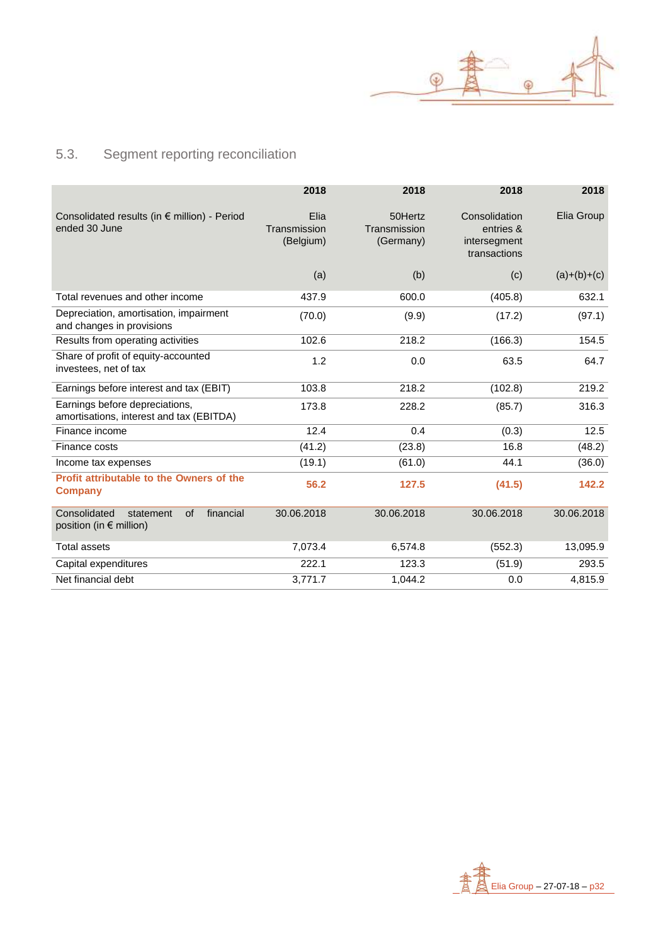

# 5.3. Segment reporting reconciliation

|                                                                                  | 2018                              | 2018                                 | 2018                                                       | 2018          |
|----------------------------------------------------------------------------------|-----------------------------------|--------------------------------------|------------------------------------------------------------|---------------|
| Consolidated results (in € million) - Period<br>ended 30 June                    | Elia<br>Transmission<br>(Belgium) | 50Hertz<br>Transmission<br>(Germany) | Consolidation<br>entries &<br>intersegment<br>transactions | Elia Group    |
|                                                                                  | (a)                               | (b)                                  | (c)                                                        | $(a)+(b)+(c)$ |
| Total revenues and other income                                                  | 437.9                             | 600.0                                | (405.8)                                                    | 632.1         |
| Depreciation, amortisation, impairment<br>and changes in provisions              | (70.0)                            | (9.9)                                | (17.2)                                                     | (97.1)        |
| Results from operating activities                                                | 102.6                             | 218.2                                | (166.3)                                                    | 154.5         |
| Share of profit of equity-accounted<br>investees, net of tax                     | 1.2                               | 0.0                                  | 63.5                                                       | 64.7          |
| Earnings before interest and tax (EBIT)                                          | 103.8                             | 218.2                                | (102.8)                                                    | 219.2         |
| Earnings before depreciations,<br>amortisations, interest and tax (EBITDA)       | 173.8                             | 228.2                                | (85.7)                                                     | 316.3         |
| Finance income                                                                   | 12.4                              | 0.4                                  | (0.3)                                                      | 12.5          |
| Finance costs                                                                    | (41.2)                            | (23.8)                               | 16.8                                                       | (48.2)        |
| Income tax expenses                                                              | (19.1)                            | (61.0)                               | 44.1                                                       | (36.0)        |
| Profit attributable to the Owners of the<br><b>Company</b>                       | 56.2                              | 127.5                                | (41.5)                                                     | 142.2         |
| Consolidated<br>financial<br>of<br>statement<br>position (in $\epsilon$ million) | 30.06.2018                        | 30.06.2018                           | 30.06.2018                                                 | 30.06.2018    |
| <b>Total assets</b>                                                              | 7,073.4                           | 6,574.8                              | (552.3)                                                    | 13,095.9      |
| Capital expenditures                                                             | 222.1                             | 123.3                                | (51.9)                                                     | 293.5         |
| Net financial debt                                                               | 3,771.7                           | 1,044.2                              | 0.0                                                        | 4,815.9       |

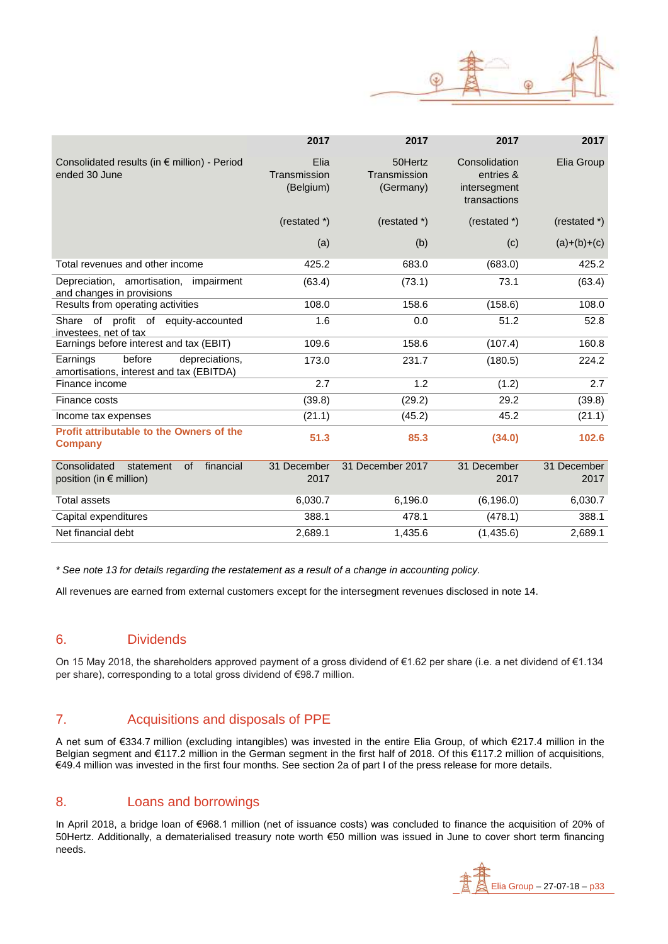

|                                                                                         | 2017                              | 2017                                 | 2017                                                       | 2017                |
|-----------------------------------------------------------------------------------------|-----------------------------------|--------------------------------------|------------------------------------------------------------|---------------------|
| Consolidated results (in € million) - Period<br>ended 30 June                           | Elia<br>Transmission<br>(Belgium) | 50Hertz<br>Transmission<br>(Germany) | Consolidation<br>entries &<br>intersegment<br>transactions | Elia Group          |
|                                                                                         | (restated *)                      | (restated *)                         | (restated *)                                               | (restated *)        |
|                                                                                         | (a)                               | (b)                                  | (c)                                                        | $(a)+(b)+(c)$       |
| Total revenues and other income                                                         | 425.2                             | 683.0                                | (683.0)                                                    | 425.2               |
| Depreciation, amortisation,<br>impairment<br>and changes in provisions                  | (63.4)                            | (73.1)                               | 73.1                                                       | (63.4)              |
| Results from operating activities                                                       | 108.0                             | 158.6                                | (158.6)                                                    | 108.0               |
| Share of profit of equity-accounted<br>investees, net of tax                            | 1.6                               | 0.0                                  | 51.2                                                       | 52.8                |
| Earnings before interest and tax (EBIT)                                                 | 109.6                             | 158.6                                | (107.4)                                                    | 160.8               |
| before<br>depreciations,<br>Earnings<br>amortisations, interest and tax (EBITDA)        | 173.0                             | 231.7                                | (180.5)                                                    | 224.2               |
| Finance income                                                                          | 2.7                               | 1.2                                  | (1.2)                                                      | 2.7                 |
| Finance costs                                                                           | (39.8)                            | (29.2)                               | 29.2                                                       | (39.8)              |
| Income tax expenses                                                                     | (21.1)                            | (45.2)                               | 45.2                                                       | (21.1)              |
| <b>Profit attributable to the Owners of the</b><br><b>Company</b>                       | 51.3                              | 85.3                                 | (34.0)                                                     | 102.6               |
| Consolidated<br>financial<br>statement<br><b>of</b><br>position (in $\epsilon$ million) | 31 December<br>2017               | 31 December 2017                     | 31 December<br>2017                                        | 31 December<br>2017 |
| <b>Total assets</b>                                                                     | 6,030.7                           | 6,196.0                              | (6, 196.0)                                                 | 6,030.7             |
| Capital expenditures                                                                    | 388.1                             | 478.1                                | (478.1)                                                    | 388.1               |
| Net financial debt                                                                      | 2,689.1                           | 1,435.6                              | (1,435.6)                                                  | 2,689.1             |

*\* See note 13 for details regarding the restatement as a result of a change in accounting policy.*

All revenues are earned from external customers except for the intersegment revenues disclosed in note 14.

### 6. Dividends

On 15 May 2018, the shareholders approved payment of a gross dividend of €1.62 per share (i.e. a net dividend of €1.134 per share), corresponding to a total gross dividend of €98.7 million.

### 7. Acquisitions and disposals of PPE

A net sum of €334.7 million (excluding intangibles) was invested in the entire Elia Group, of which €217.4 million in the Belgian segment and €117.2 million in the German segment in the first half of 2018. Of this €117.2 million of acquisitions, €49.4 million was invested in the first four months. See section 2a of part I of the press release for more details.

### 8. Loans and borrowings

In April 2018, a bridge loan of €968.1 million (net of issuance costs) was concluded to finance the acquisition of 20% of 50Hertz. Additionally, a dematerialised treasury note worth €50 million was issued in June to cover short term financing needs.

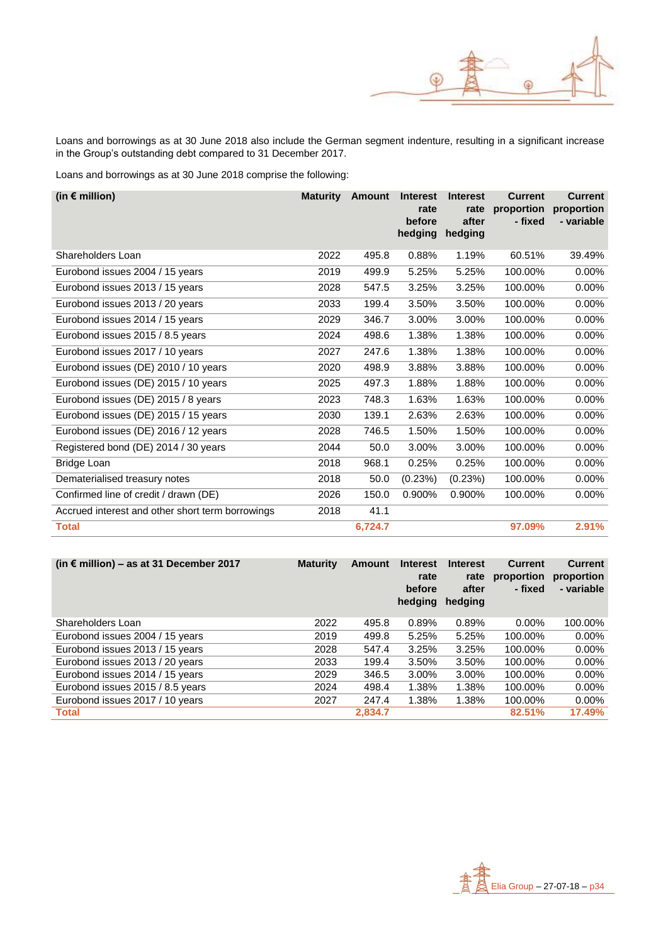

Loans and borrowings as at 30 June 2018 also include the German segment indenture, resulting in a significant increase in the Group's outstanding debt compared to 31 December 2017.

Loans and borrowings as at 30 June 2018 comprise the following:

| (in $\epsilon$ million)                          | <b>Maturity</b> | Amount  | <b>Interest</b><br>rate<br>before<br>hedging | <b>Interest</b><br>rate<br>after<br>hedging | <b>Current</b><br>proportion<br>- fixed | <b>Current</b><br>proportion<br>- variable |
|--------------------------------------------------|-----------------|---------|----------------------------------------------|---------------------------------------------|-----------------------------------------|--------------------------------------------|
| Shareholders Loan                                | 2022            | 495.8   | 0.88%                                        | 1.19%                                       | 60.51%                                  | 39.49%                                     |
| Eurobond issues 2004 / 15 years                  | 2019            | 499.9   | 5.25%                                        | 5.25%                                       | 100.00%                                 | 0.00%                                      |
| Eurobond issues 2013 / 15 years                  | 2028            | 547.5   | 3.25%                                        | 3.25%                                       | 100.00%                                 | 0.00%                                      |
| Eurobond issues 2013 / 20 years                  | 2033            | 199.4   | 3.50%                                        | 3.50%                                       | 100.00%                                 | 0.00%                                      |
| Eurobond issues 2014 / 15 years                  | 2029            | 346.7   | 3.00%                                        | 3.00%                                       | 100.00%                                 | 0.00%                                      |
| Eurobond issues 2015 / 8.5 years                 | 2024            | 498.6   | 1.38%                                        | 1.38%                                       | 100.00%                                 | 0.00%                                      |
| Eurobond issues 2017 / 10 years                  | 2027            | 247.6   | 1.38%                                        | 1.38%                                       | 100.00%                                 | 0.00%                                      |
| Eurobond issues (DE) 2010 / 10 years             | 2020            | 498.9   | 3.88%                                        | 3.88%                                       | 100.00%                                 | $0.00\%$                                   |
| Eurobond issues (DE) 2015 / 10 years             | 2025            | 497.3   | 1.88%                                        | 1.88%                                       | 100.00%                                 | 0.00%                                      |
| Eurobond issues (DE) 2015 / 8 years              | 2023            | 748.3   | 1.63%                                        | 1.63%                                       | 100.00%                                 | 0.00%                                      |
| Eurobond issues (DE) 2015 / 15 years             | 2030            | 139.1   | 2.63%                                        | 2.63%                                       | 100.00%                                 | 0.00%                                      |
| Eurobond issues (DE) 2016 / 12 years             | 2028            | 746.5   | 1.50%                                        | 1.50%                                       | 100.00%                                 | 0.00%                                      |
| Registered bond (DE) 2014 / 30 years             | 2044            | 50.0    | 3.00%                                        | 3.00%                                       | 100.00%                                 | 0.00%                                      |
| Bridge Loan                                      | 2018            | 968.1   | 0.25%                                        | 0.25%                                       | 100.00%                                 | 0.00%                                      |
| Dematerialised treasury notes                    | 2018            | 50.0    | (0.23%)                                      | (0.23%)                                     | 100.00%                                 | $0.00\%$                                   |
| Confirmed line of credit / drawn (DE)            | 2026            | 150.0   | 0.900%                                       | 0.900%                                      | 100.00%                                 | 0.00%                                      |
| Accrued interest and other short term borrowings | 2018            | 41.1    |                                              |                                             |                                         |                                            |
| <b>Total</b>                                     |                 | 6,724.7 |                                              |                                             | 97.09%                                  | 2.91%                                      |

| (in € million) – as at 31 December 2017 | <b>Maturity</b> | Amount  | <b>Interest</b><br>rate<br>before<br>hedging | <b>Interest</b><br>rate<br>after<br>hedging | <b>Current</b><br>proportion<br>- fixed | <b>Current</b><br>proportion<br>- variable |
|-----------------------------------------|-----------------|---------|----------------------------------------------|---------------------------------------------|-----------------------------------------|--------------------------------------------|
| Shareholders Loan                       | 2022            | 495.8   | 0.89%                                        | 0.89%                                       | $0.00\%$                                | 100.00%                                    |
| Eurobond issues 2004 / 15 years         | 2019            | 499.8   | 5.25%                                        | 5.25%                                       | 100.00%                                 | $0.00\%$                                   |
| Eurobond issues 2013 / 15 years         | 2028            | 547.4   | 3.25%                                        | 3.25%                                       | 100.00%                                 | $0.00\%$                                   |
| Eurobond issues 2013 / 20 years         | 2033            | 199.4   | 3.50%                                        | 3.50%                                       | 100.00%                                 | $0.00\%$                                   |
| Eurobond issues 2014 / 15 years         | 2029            | 346.5   | 3.00%                                        | 3.00%                                       | 100.00%                                 | $0.00\%$                                   |
| Eurobond issues 2015 / 8.5 years        | 2024            | 498.4   | 1.38%                                        | 1.38%                                       | 100.00%                                 | $0.00\%$                                   |
| Eurobond issues 2017 / 10 years         | 2027            | 247.4   | 1.38%                                        | 1.38%                                       | 100.00%                                 | $0.00\%$                                   |
| <b>Total</b>                            |                 | 2,834.7 |                                              |                                             | 82.51%                                  | 17.49%                                     |

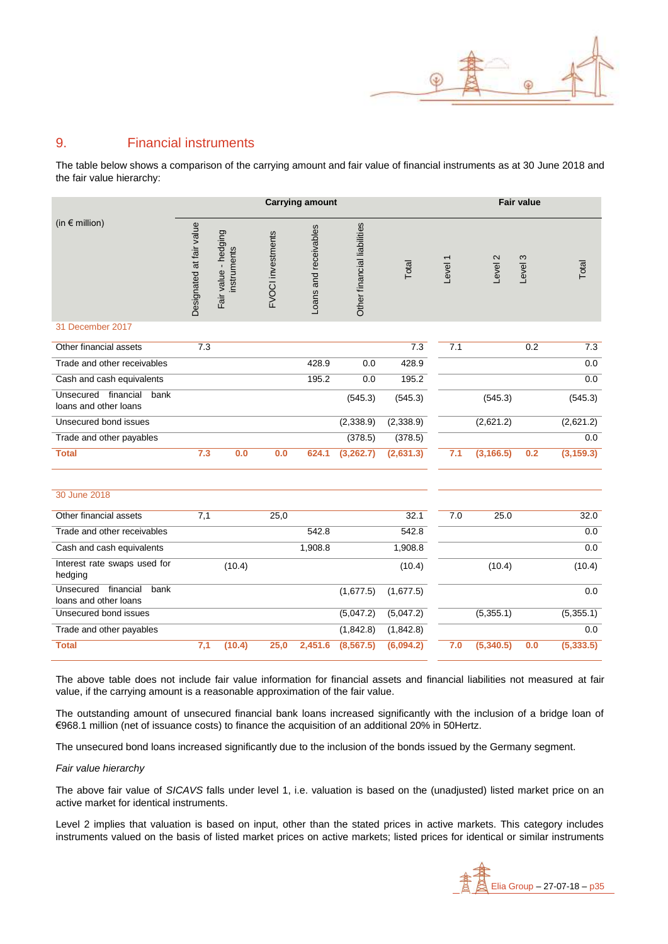

### 9. Financial instruments

The table below shows a comparison of the carrying amount and fair value of financial instruments as at 30 June 2018 and the fair value hierarchy:

|                                                         | <b>Carrying amount</b>   |                                     |                   |                       |                             |            |                    | <b>Fair value</b> |         |            |
|---------------------------------------------------------|--------------------------|-------------------------------------|-------------------|-----------------------|-----------------------------|------------|--------------------|-------------------|---------|------------|
| (in $\epsilon$ million)                                 | Designated at fair value | Fair value - hedging<br>instruments | FVOCI investments | Loans and receivables | Other financial liabilities | Total      | Level <sub>1</sub> | Level 2           | Level 3 | Total      |
| 31 December 2017                                        |                          |                                     |                   |                       |                             |            |                    |                   |         |            |
| Other financial assets                                  | $\overline{7.3}$         |                                     |                   |                       |                             | 7.3        | 7.1                |                   | 0.2     | 7.3        |
| Trade and other receivables                             |                          |                                     |                   | 428.9                 | 0.0                         | 428.9      |                    |                   |         | 0.0        |
| Cash and cash equivalents                               |                          |                                     |                   | 195.2                 | 0.0                         | 195.2      |                    |                   |         | 0.0        |
| Unsecured financial<br>bank<br>loans and other loans    |                          |                                     |                   |                       | (545.3)                     | (545.3)    |                    | (545.3)           |         | (545.3)    |
| Unsecured bond issues                                   |                          |                                     |                   |                       | (2,338.9)                   | (2, 338.9) |                    | (2,621.2)         |         | (2,621.2)  |
| Trade and other payables                                |                          |                                     |                   |                       | (378.5)                     | (378.5)    |                    |                   |         | 0.0        |
| <b>Total</b>                                            | $\overline{7.3}$         | 0.0                                 | 0.0               | 624.1                 | (3, 262.7)                  | (2,631.3)  | 7.1                | (3, 166.5)        | 0.2     | (3, 159.3) |
| 30 June 2018                                            |                          |                                     |                   |                       |                             |            |                    |                   |         |            |
| Other financial assets                                  | 7,1                      |                                     | 25,0              |                       |                             | 32.1       | 7.0                | 25.0              |         | 32.0       |
| Trade and other receivables                             |                          |                                     |                   | 542.8                 |                             | 542.8      |                    |                   |         | 0.0        |
| Cash and cash equivalents                               |                          |                                     |                   | 1,908.8               |                             | 1,908.8    |                    |                   |         | 0.0        |
| Interest rate swaps used for<br>hedging                 |                          | (10.4)                              |                   |                       |                             | (10.4)     |                    | (10.4)            |         | (10.4)     |
| Unsecured<br>financial<br>bank<br>loans and other loans |                          |                                     |                   |                       | (1,677.5)                   | (1,677.5)  |                    |                   |         | 0.0        |
| Unsecured bond issues                                   |                          |                                     |                   |                       | (5,047.2)                   | (5,047.2)  |                    | (5,355.1)         |         | (5,355.1)  |
| Trade and other payables                                |                          |                                     |                   |                       | (1,842.8)                   | (1,842.8)  |                    |                   |         | 0.0        |
| <b>Total</b>                                            | 7,1                      | (10.4)                              | 25,0              | 2,451.6               | (8, 567.5)                  | (6,094.2)  | 7.0                | (5,340.5)         | 0.0     | (5, 333.5) |

The above table does not include fair value information for financial assets and financial liabilities not measured at fair value, if the carrying amount is a reasonable approximation of the fair value.

The outstanding amount of unsecured financial bank loans increased significantly with the inclusion of a bridge loan of €968.1 million (net of issuance costs) to finance the acquisition of an additional 20% in 50Hertz.

The unsecured bond loans increased significantly due to the inclusion of the bonds issued by the Germany segment.

#### *Fair value hierarchy*

The above fair value of *SICAVS* falls under level 1, i.e. valuation is based on the (unadjusted) listed market price on an active market for identical instruments.

Level 2 implies that valuation is based on input, other than the stated prices in active markets. This category includes instruments valued on the basis of listed market prices on active markets; listed prices for identical or similar instruments

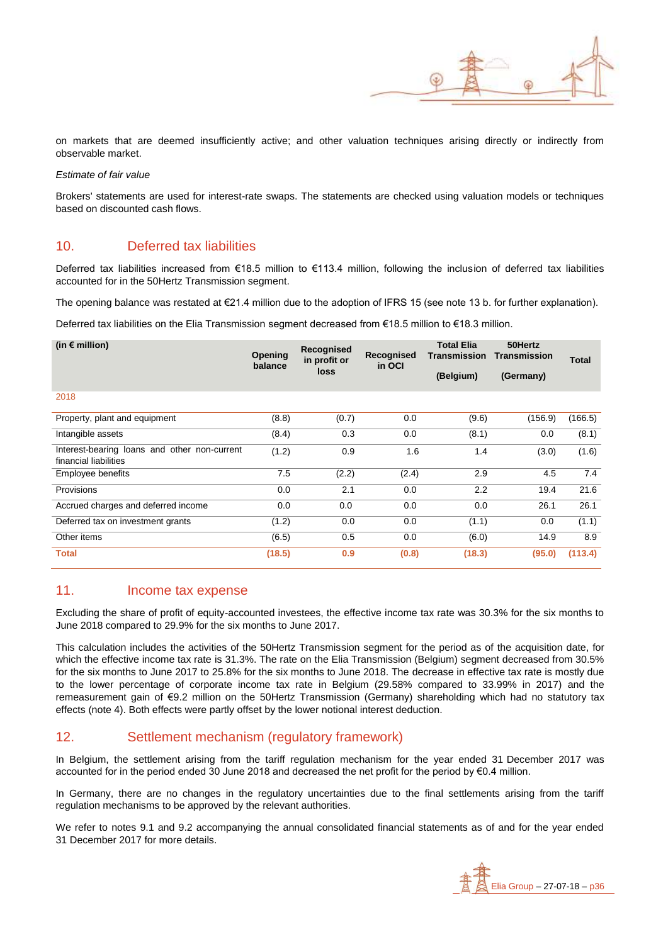

on markets that are deemed insufficiently active; and other valuation techniques arising directly or indirectly from observable market.

*Estimate of fair value*

Brokers' statements are used for interest-rate swaps. The statements are checked using valuation models or techniques based on discounted cash flows.

### 10. Deferred tax liabilities

Deferred tax liabilities increased from €18.5 million to €113.4 million, following the inclusion of deferred tax liabilities accounted for in the 50Hertz Transmission segment.

The opening balance was restated at €21.4 million due to the adoption of IFRS 15 (see note 13 b. for further explanation).

Deferred tax liabilities on the Elia Transmission segment decreased from €18.5 million to €18.3 million.

| (in $\epsilon$ million)                                               | Opening<br>balance | Recognised<br>in profit or<br>loss | Recognised<br>in OCI | <b>Total Elia</b><br><b>Transmission</b> | 50Hertz<br><b>Transmission</b> | <b>Total</b> |
|-----------------------------------------------------------------------|--------------------|------------------------------------|----------------------|------------------------------------------|--------------------------------|--------------|
|                                                                       |                    |                                    |                      | (Belgium)                                | (Germany)                      |              |
| 2018                                                                  |                    |                                    |                      |                                          |                                |              |
| Property, plant and equipment                                         | (8.8)              | (0.7)                              | 0.0                  | (9.6)                                    | (156.9)                        | (166.5)      |
| Intangible assets                                                     | (8.4)              | 0.3                                | 0.0                  | (8.1)                                    | 0.0                            | (8.1)        |
| Interest-bearing loans and other non-current<br>financial liabilities | (1.2)              | 0.9                                | 1.6                  | 1.4                                      | (3.0)                          | (1.6)        |
| Employee benefits                                                     | 7.5                | (2.2)                              | (2.4)                | 2.9                                      | 4.5                            | 7.4          |
| Provisions                                                            | 0.0                | 2.1                                | 0.0                  | 2.2                                      | 19.4                           | 21.6         |
| Accrued charges and deferred income                                   | 0.0                | 0.0                                | 0.0                  | 0.0                                      | 26.1                           | 26.1         |
| Deferred tax on investment grants                                     | (1.2)              | 0.0                                | 0.0                  | (1.1)                                    | 0.0                            | (1.1)        |
| Other items                                                           | (6.5)              | 0.5                                | 0.0                  | (6.0)                                    | 14.9                           | 8.9          |
| <b>Total</b>                                                          | (18.5)             | 0.9                                | (0.8)                | (18.3)                                   | (95.0)                         | (113.4)      |

### 11. Income tax expense

Excluding the share of profit of equity-accounted investees, the effective income tax rate was 30.3% for the six months to June 2018 compared to 29.9% for the six months to June 2017.

This calculation includes the activities of the 50Hertz Transmission segment for the period as of the acquisition date, for which the effective income tax rate is 31.3%. The rate on the Elia Transmission (Belgium) segment decreased from 30.5% for the six months to June 2017 to 25.8% for the six months to June 2018. The decrease in effective tax rate is mostly due to the lower percentage of corporate income tax rate in Belgium (29.58% compared to 33.99% in 2017) and the remeasurement gain of €9.2 million on the 50Hertz Transmission (Germany) shareholding which had no statutory tax effects (note 4). Both effects were partly offset by the lower notional interest deduction.

### 12. Settlement mechanism (regulatory framework)

In Belgium, the settlement arising from the tariff regulation mechanism for the year ended 31 December 2017 was accounted for in the period ended 30 June 2018 and decreased the net profit for the period by €0.4 million.

In Germany, there are no changes in the regulatory uncertainties due to the final settlements arising from the tariff regulation mechanisms to be approved by the relevant authorities.

We refer to notes 9.1 and 9.2 accompanying the annual consolidated financial statements as of and for the year ended 31 December 2017 for more details.

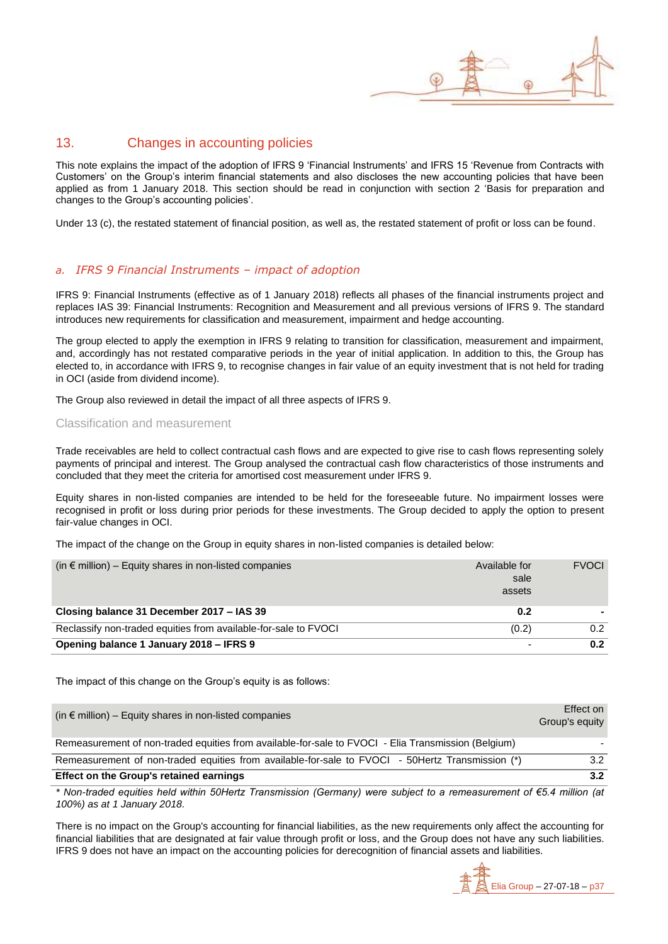### 13. Changes in accounting policies

This note explains the impact of the adoption of IFRS 9 'Financial Instruments' and IFRS 15 'Revenue from Contracts with Customers' on the Group's interim financial statements and also discloses the new accounting policies that have been applied as from 1 January 2018. This section should be read in conjunction with section 2 'Basis for preparation and changes to the Group's accounting policies'.

Under 13 (c), the restated statement of financial position, as well as, the restated statement of profit or loss can be found.

#### *a. IFRS 9 Financial Instruments – impact of adoption*

IFRS 9: Financial Instruments (effective as of 1 January 2018) reflects all phases of the financial instruments project and replaces IAS 39: Financial Instruments: Recognition and Measurement and all previous versions of IFRS 9. The standard introduces new requirements for classification and measurement, impairment and hedge accounting.

The group elected to apply the exemption in IFRS 9 relating to transition for classification, measurement and impairment, and, accordingly has not restated comparative periods in the year of initial application. In addition to this, the Group has elected to, in accordance with IFRS 9, to recognise changes in fair value of an equity investment that is not held for trading in OCI (aside from dividend income).

The Group also reviewed in detail the impact of all three aspects of IFRS 9.

#### Classification and measurement

Trade receivables are held to collect contractual cash flows and are expected to give rise to cash flows representing solely payments of principal and interest. The Group analysed the contractual cash flow characteristics of those instruments and concluded that they meet the criteria for amortised cost measurement under IFRS 9.

Equity shares in non-listed companies are intended to be held for the foreseeable future. No impairment losses were recognised in profit or loss during prior periods for these investments. The Group decided to apply the option to present fair-value changes in OCI.

The impact of the change on the Group in equity shares in non-listed companies is detailed below:

| (in $\epsilon$ million) – Equity shares in non-listed companies | Available for<br>sale<br>assets | <b>FVOCI</b>     |
|-----------------------------------------------------------------|---------------------------------|------------------|
| Closing balance 31 December 2017 - IAS 39                       | 0.2                             |                  |
| Reclassify non-traded equities from available-for-sale to FVOCI | (0.2)                           | 0.2 <sub>0</sub> |
| Opening balance 1 January 2018 – IFRS 9                         |                                 | 0.2              |

The impact of this change on the Group's equity is as follows:

| <b>Effect on the Group's retained earnings</b>                                                      | 3.2                         |
|-----------------------------------------------------------------------------------------------------|-----------------------------|
| Remeasurement of non-traded equities from available-for-sale to FVOCI - 50Hertz Transmission (*)    | 3.2 <sub>2</sub>            |
| Remeasurement of non-traded equities from available-for-sale to FVOCI - Elia Transmission (Belgium) |                             |
| (in $\epsilon$ million) – Equity shares in non-listed companies                                     | Effect on<br>Group's equity |

*\* Non-traded equities held within 50Hertz Transmission (Germany) were subject to a remeasurement of €5.4 million (at 100%) as at 1 January 2018.* 

There is no impact on the Group's accounting for financial liabilities, as the new requirements only affect the accounting for financial liabilities that are designated at fair value through profit or loss, and the Group does not have any such liabilities. IFRS 9 does not have an impact on the accounting policies for derecognition of financial assets and liabilities.

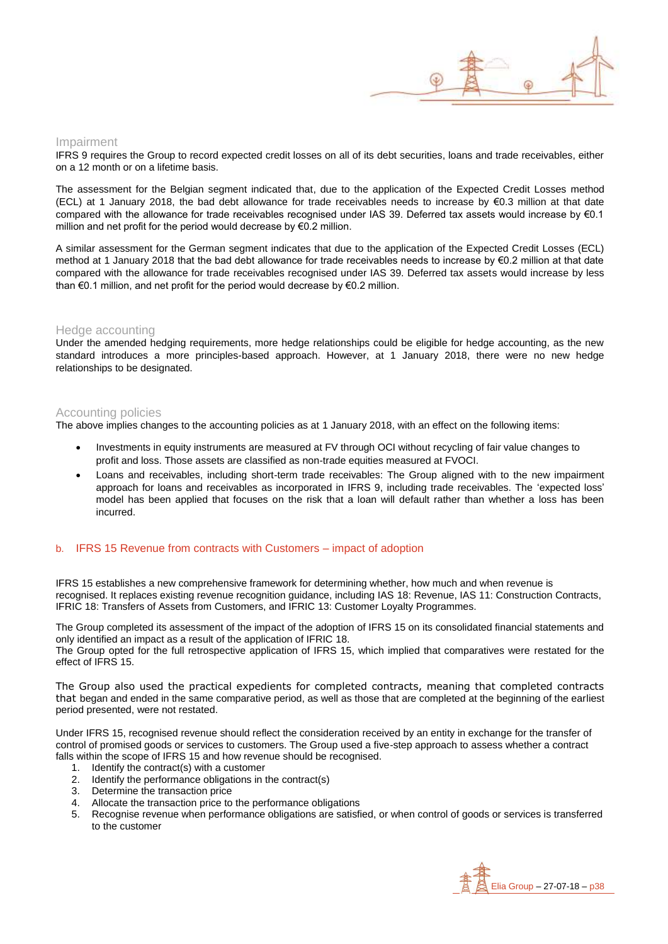

#### Impairment

IFRS 9 requires the Group to record expected credit losses on all of its debt securities, loans and trade receivables, either on a 12 month or on a lifetime basis.

The assessment for the Belgian segment indicated that, due to the application of the Expected Credit Losses method (ECL) at 1 January 2018, the bad debt allowance for trade receivables needs to increase by €0.3 million at that date compared with the allowance for trade receivables recognised under IAS 39. Deferred tax assets would increase by €0.1 million and net profit for the period would decrease by €0.2 million.

A similar assessment for the German segment indicates that due to the application of the Expected Credit Losses (ECL) method at 1 January 2018 that the bad debt allowance for trade receivables needs to increase by €0.2 million at that date compared with the allowance for trade receivables recognised under IAS 39. Deferred tax assets would increase by less than €0.1 million, and net profit for the period would decrease by €0.2 million.

#### Hedge accounting

Under the amended hedging requirements, more hedge relationships could be eligible for hedge accounting, as the new standard introduces a more principles-based approach. However, at 1 January 2018, there were no new hedge relationships to be designated.

#### Accounting policies

The above implies changes to the accounting policies as at 1 January 2018, with an effect on the following items:

- Investments in equity instruments are measured at FV through OCI without recycling of fair value changes to profit and loss. Those assets are classified as non-trade equities measured at FVOCI.
- Loans and receivables, including short-term trade receivables: The Group aligned with to the new impairment approach for loans and receivables as incorporated in IFRS 9, including trade receivables. The 'expected loss' model has been applied that focuses on the risk that a loan will default rather than whether a loss has been incurred.

#### b. IFRS 15 Revenue from contracts with Customers – impact of adoption

IFRS 15 establishes a new comprehensive framework for determining whether, how much and when revenue is recognised. It replaces existing revenue recognition guidance, including IAS 18: Revenue, IAS 11: Construction Contracts, IFRIC 18: Transfers of Assets from Customers, and IFRIC 13: Customer Loyalty Programmes.

The Group completed its assessment of the impact of the adoption of IFRS 15 on its consolidated financial statements and only identified an impact as a result of the application of IFRIC 18.

The Group opted for the full retrospective application of IFRS 15, which implied that comparatives were restated for the effect of IFRS 15.

The Group also used the practical expedients for completed contracts, meaning that completed contracts that began and ended in the same comparative period, as well as those that are completed at the beginning of the earliest period presented, were not restated.

Under IFRS 15, recognised revenue should reflect the consideration received by an entity in exchange for the transfer of control of promised goods or services to customers. The Group used a five-step approach to assess whether a contract falls within the scope of IFRS 15 and how revenue should be recognised.

- 1. Identify the contract(s) with a customer
- 2. Identify the performance obligations in the contract(s)
- 3. Determine the transaction price
- 4. Allocate the transaction price to the performance obligations
- 5. Recognise revenue when performance obligations are satisfied, or when control of goods or services is transferred to the customer

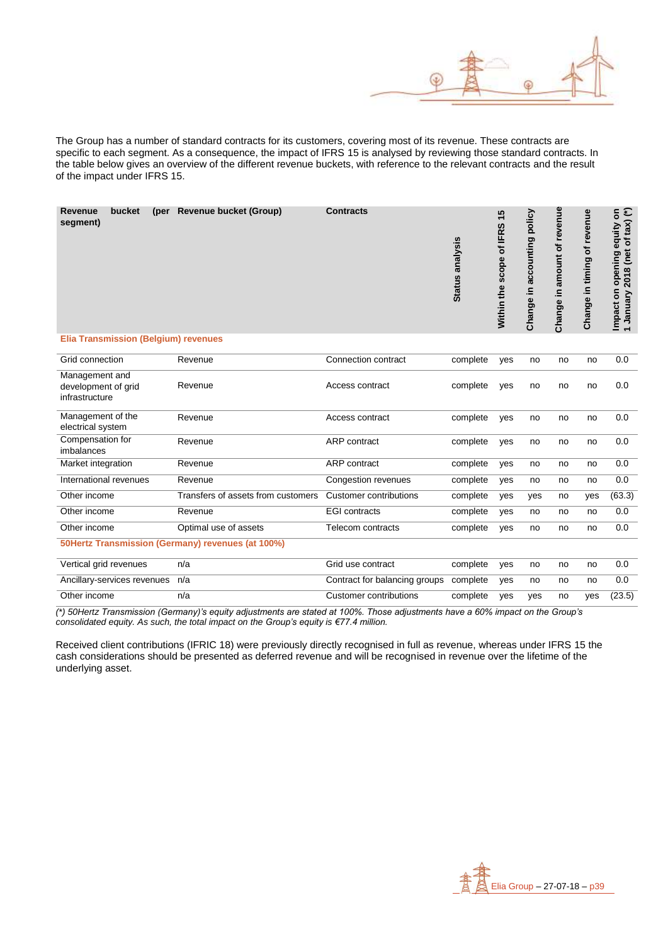

The Group has a number of standard contracts for its customers, covering most of its revenue. These contracts are specific to each segment. As a consequence, the impact of IFRS 15 is analysed by reviewing those standard contracts. In the table below gives an overview of the different revenue buckets, with reference to the relevant contracts and the result of the impact under IFRS 15.

| bucket<br><b>Revenue</b><br>(per<br>segment)            | <b>Revenue bucket (Group)</b>                     | <b>Contracts</b>              | Status analysis | 15<br>Within the scope of IFRS | Change in accounting policy | amount of revenue<br>Change in | Change in timing of revenue | Impact on opening equity on<br>1 January 2018 (net of tax) (*) |
|---------------------------------------------------------|---------------------------------------------------|-------------------------------|-----------------|--------------------------------|-----------------------------|--------------------------------|-----------------------------|----------------------------------------------------------------|
| <b>Elia Transmission (Belgium) revenues</b>             |                                                   |                               |                 |                                |                             |                                |                             |                                                                |
| Grid connection                                         | Revenue                                           | Connection contract           | complete        | yes                            | no                          | no                             | no                          | 0.0                                                            |
| Management and<br>development of grid<br>infrastructure | Revenue                                           | Access contract               | complete        | yes                            | no                          | no                             | no                          | 0.0                                                            |
| Management of the<br>electrical system                  | Revenue                                           | Access contract               | complete        | yes                            | no                          | no                             | no                          | 0.0                                                            |
| Compensation for<br>imbalances                          | Revenue                                           | <b>ARP</b> contract           | complete        | yes                            | no                          | no                             | no                          | 0.0                                                            |
| Market integration                                      | Revenue                                           | ARP contract                  | complete        | yes                            | no                          | no                             | no                          | 0.0                                                            |
| International revenues                                  | Revenue                                           | Congestion revenues           | complete        | yes                            | no                          | no                             | no                          | 0.0                                                            |
| Other income                                            | Transfers of assets from customers                | <b>Customer contributions</b> | complete        | yes                            | yes                         | no                             | yes                         | (63.3)                                                         |
| Other income                                            | Revenue                                           | <b>EGI</b> contracts          | complete        | yes                            | no                          | no                             | no                          | 0.0                                                            |
| Other income                                            | Optimal use of assets                             | <b>Telecom contracts</b>      | complete        | yes                            | no                          | no                             | no                          | 0.0                                                            |
|                                                         | 50Hertz Transmission (Germany) revenues (at 100%) |                               |                 |                                |                             |                                |                             |                                                                |
| Vertical grid revenues                                  | n/a                                               | Grid use contract             | complete        | yes                            | no                          | no                             | no                          | 0.0                                                            |
| Ancillary-services revenues                             | n/a                                               | Contract for balancing groups | complete        | yes                            | no                          | no                             | no                          | 0.0                                                            |
| Other income                                            | n/a                                               | <b>Customer contributions</b> | complete        | yes                            | yes                         | no                             | ves                         | (23.5)                                                         |

*(\*) 50Hertz Transmission (Germany)'s equity adjustments are stated at 100%. Those adjustments have a 60% impact on the Group's consolidated equity. As such, the total impact on the Group's equity is €77.4 million.* 

Received client contributions (IFRIC 18) were previously directly recognised in full as revenue, whereas under IFRS 15 the cash considerations should be presented as deferred revenue and will be recognised in revenue over the lifetime of the underlying asset.

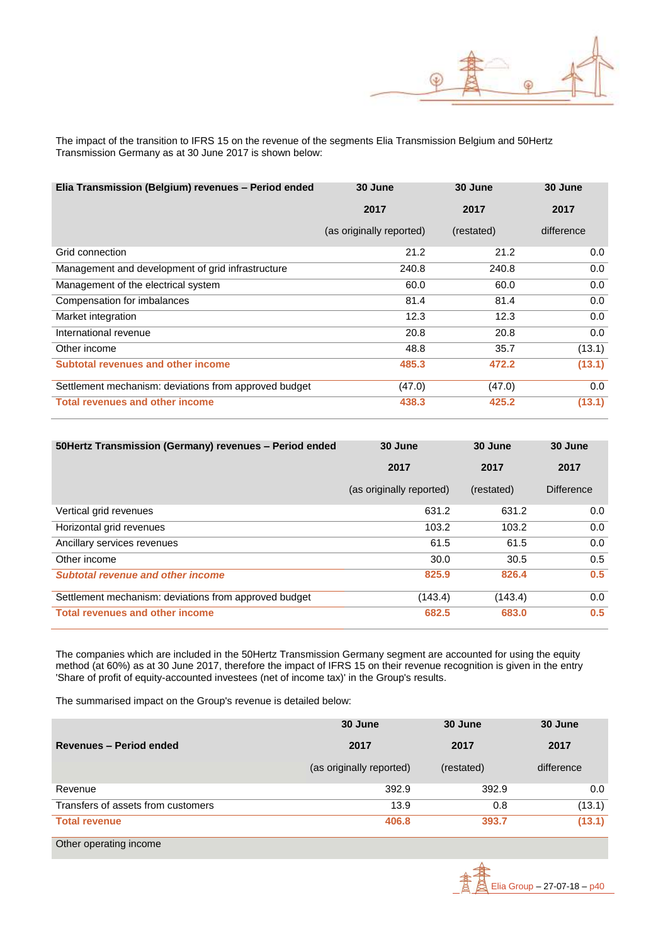

The impact of the transition to IFRS 15 on the revenue of the segments Elia Transmission Belgium and 50Hertz Transmission Germany as at 30 June 2017 is shown below:

| Elia Transmission (Belgium) revenues - Period ended   | 30 June                  | 30 June    | 30 June    |
|-------------------------------------------------------|--------------------------|------------|------------|
|                                                       | 2017                     | 2017       | 2017       |
|                                                       | (as originally reported) | (restated) | difference |
| Grid connection                                       | 21.2                     | 21.2       | 0.0        |
| Management and development of grid infrastructure     | 240.8                    | 240.8      | 0.0        |
| Management of the electrical system                   | 60.0                     | 60.0       | 0.0        |
| Compensation for imbalances                           | 81.4                     | 81.4       | 0.0        |
| Market integration                                    | 12.3                     | 12.3       | 0.0        |
| International revenue                                 | 20.8                     | 20.8       | 0.0        |
| Other income                                          | 48.8                     | 35.7       | (13.1)     |
| Subtotal revenues and other income                    | 485.3                    | 472.2      | (13.1)     |
| Settlement mechanism: deviations from approved budget | (47.0)                   | (47.0)     | 0.0        |
| <b>Total revenues and other income</b>                | 438.3                    | 425.2      | (13.1)     |

| 50Hertz Transmission (Germany) revenues - Period ended | 30 June                  | 30 June    | 30 June           |
|--------------------------------------------------------|--------------------------|------------|-------------------|
|                                                        | 2017                     | 2017       | 2017              |
|                                                        | (as originally reported) | (restated) | <b>Difference</b> |
| Vertical grid revenues                                 | 631.2                    | 631.2      | 0.0               |
| Horizontal grid revenues                               | 103.2                    | 103.2      | 0.0               |
| Ancillary services revenues                            | 61.5                     | 61.5       | 0.0               |
| Other income                                           | 30.0                     | 30.5       | 0.5               |
| <b>Subtotal revenue and other income</b>               | 825.9                    | 826.4      | 0.5               |
| Settlement mechanism: deviations from approved budget  | (143.4)                  | (143.4)    | 0.0               |
| <b>Total revenues and other income</b>                 | 682.5                    | 683.0      | 0.5               |

The companies which are included in the 50Hertz Transmission Germany segment are accounted for using the equity method (at 60%) as at 30 June 2017, therefore the impact of IFRS 15 on their revenue recognition is given in the entry 'Share of profit of equity-accounted investees (net of income tax)' in the Group's results.

The summarised impact on the Group's revenue is detailed below:

|                                    | 30 June                  | 30 June    | 30 June    |  |
|------------------------------------|--------------------------|------------|------------|--|
| Revenues - Period ended            | 2017                     | 2017       | 2017       |  |
|                                    | (as originally reported) | (restated) | difference |  |
| Revenue                            | 392.9                    | 392.9      | 0.0        |  |
| Transfers of assets from customers | 13.9                     | 0.8        | (13.1)     |  |
| <b>Total revenue</b>               | 406.8                    | 393.7      | (13.1)     |  |



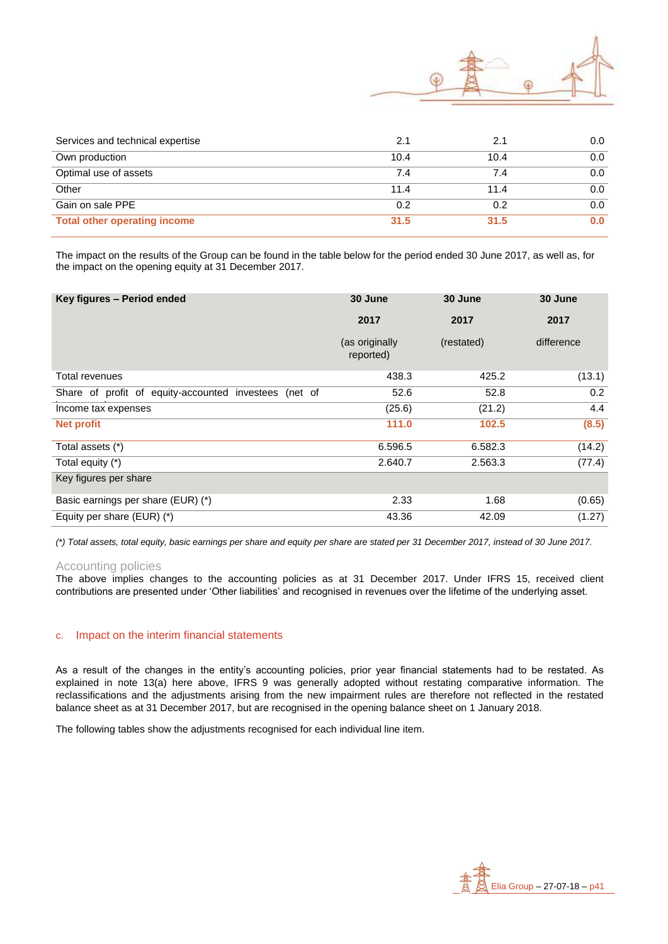

| Services and technical expertise    | 2.1  | 2.1  | $0.0\,$ |
|-------------------------------------|------|------|---------|
| Own production                      | 10.4 | 10.4 | $0.0\,$ |
| Optimal use of assets               | 7.4  | 7.4  | $0.0\,$ |
| Other                               | 11.4 | 11.4 | $0.0\,$ |
| Gain on sale PPE                    | 0.2  | 0.2  | $0.0\,$ |
| <b>Total other operating income</b> | 31.5 | 31.5 | 0.0     |

The impact on the results of the Group can be found in the table below for the period ended 30 June 2017, as well as, for the impact on the opening equity at 31 December 2017.

| Key figures - Period ended                            | 30 June                     | 30 June    | 30 June    |
|-------------------------------------------------------|-----------------------------|------------|------------|
|                                                       | 2017                        | 2017       | 2017       |
|                                                       | (as originally<br>reported) | (restated) | difference |
| Total revenues                                        | 438.3                       | 425.2      | (13.1)     |
| Share of profit of equity-accounted investees (net of | 52.6                        | 52.8       | 0.2        |
| Income tax expenses                                   | (25.6)                      | (21.2)     | 4.4        |
| <b>Net profit</b>                                     | 111.0                       | 102.5      | (8.5)      |
| Total assets (*)                                      | 6.596.5                     | 6.582.3    | (14.2)     |
| Total equity (*)                                      | 2.640.7                     | 2.563.3    | (77.4)     |
| Key figures per share                                 |                             |            |            |
| Basic earnings per share (EUR) (*)                    | 2.33                        | 1.68       | (0.65)     |
| Equity per share $(EUR)$ $(*)$                        | 43.36                       | 42.09      | (1.27)     |

*(\*) Total assets, total equity, basic earnings per share and equity per share are stated per 31 December 2017, instead of 30 June 2017.* 

#### Accounting policies

The above implies changes to the accounting policies as at 31 December 2017. Under IFRS 15, received client contributions are presented under 'Other liabilities' and recognised in revenues over the lifetime of the underlying asset.

#### c. Impact on the interim financial statements

As a result of the changes in the entity's accounting policies, prior year financial statements had to be restated. As explained in note 13(a) here above, IFRS 9 was generally adopted without restating comparative information. The reclassifications and the adjustments arising from the new impairment rules are therefore not reflected in the restated balance sheet as at 31 December 2017, but are recognised in the opening balance sheet on 1 January 2018.

The following tables show the adjustments recognised for each individual line item.

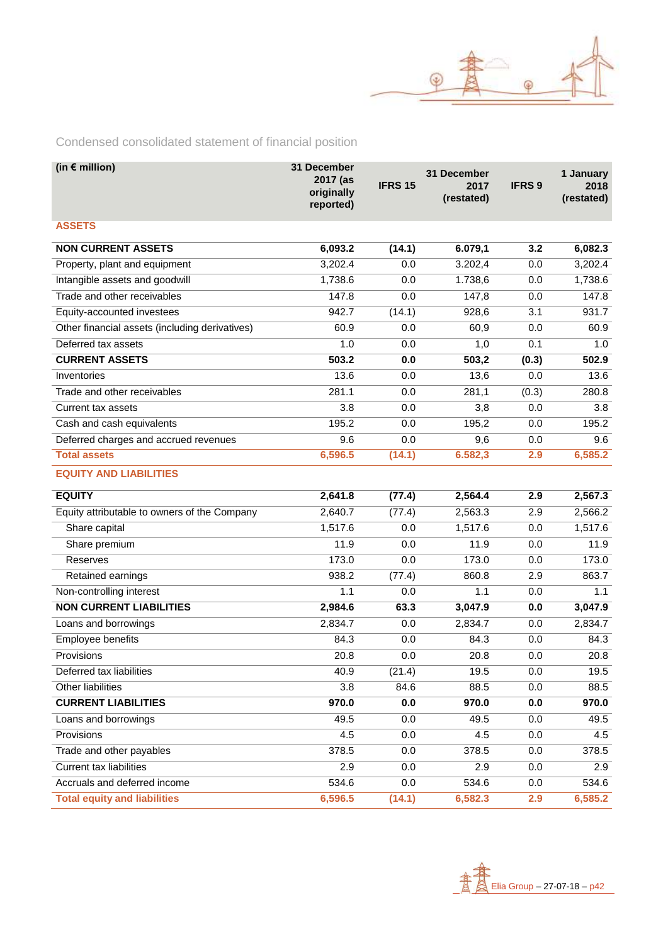

Condensed consolidated statement of financial position

| (in $\epsilon$ million)                        | 31 December<br>2017 (as<br>originally<br>reported) | <b>IFRS 15</b> | 31 December<br>2017<br>(restated) | <b>IFRS 9</b> | 1 January<br>2018<br>(restated) |
|------------------------------------------------|----------------------------------------------------|----------------|-----------------------------------|---------------|---------------------------------|
| <b>ASSETS</b>                                  |                                                    |                |                                   |               |                                 |
| <b>NON CURRENT ASSETS</b>                      | 6,093.2                                            | (14.1)         | 6.079,1                           | 3.2           | 6,082.3                         |
| Property, plant and equipment                  | 3,202.4                                            | 0.0            | 3.202,4                           | 0.0           | 3,202.4                         |
| Intangible assets and goodwill                 | 1,738.6                                            | 0.0            | 1.738,6                           | 0.0           | 1,738.6                         |
| Trade and other receivables                    | 147.8                                              | 0.0            | 147,8                             | 0.0           | 147.8                           |
| Equity-accounted investees                     | 942.7                                              | (14.1)         | 928,6                             | 3.1           | 931.7                           |
| Other financial assets (including derivatives) | 60.9                                               | 0.0            | 60,9                              | 0.0           | 60.9                            |
| Deferred tax assets                            | 1.0                                                | 0.0            | 1,0                               | 0.1           | 1.0                             |
| <b>CURRENT ASSETS</b>                          | 503.2                                              | 0.0            | 503,2                             | (0.3)         | 502.9                           |
| Inventories                                    | 13.6                                               | 0.0            | 13,6                              | 0.0           | 13.6                            |
| Trade and other receivables                    | 281.1                                              | 0.0            | 281,1                             | (0.3)         | 280.8                           |
| Current tax assets                             | 3.8                                                | 0.0            | 3,8                               | 0.0           | 3.8                             |
| Cash and cash equivalents                      | 195.2                                              | 0.0            | 195,2                             | 0.0           | 195.2                           |
| Deferred charges and accrued revenues          | 9.6                                                | 0.0            | 9,6                               | 0.0           | 9.6                             |
| <b>Total assets</b>                            | 6,596.5                                            | (14.1)         | 6.582,3                           | 2.9           | 6,585.2                         |
| <b>EQUITY AND LIABILITIES</b>                  |                                                    |                |                                   |               |                                 |
| <b>EQUITY</b>                                  | 2,641.8                                            | (77.4)         | 2,564.4                           | 2.9           | 2,567.3                         |
| Equity attributable to owners of the Company   | 2,640.7                                            | (77.4)         | 2,563.3                           | 2.9           | 2,566.2                         |
| Share capital                                  | 1,517.6                                            | 0.0            | 1,517.6                           | 0.0           | 1,517.6                         |
| Share premium                                  | 11.9                                               | 0.0            | 11.9                              | 0.0           | 11.9                            |
| <b>Reserves</b>                                | 173.0                                              | 0.0            | 173.0                             | 0.0           | 173.0                           |
| Retained earnings                              | 938.2                                              | (77.4)         | 860.8                             | 2.9           | 863.7                           |
| Non-controlling interest                       | 1.1                                                | 0.0            | 1.1                               | 0.0           | 1.1                             |
| <b>NON CURRENT LIABILITIES</b>                 | 2,984.6                                            | 63.3           | 3,047.9                           | 0.0           | 3,047.9                         |
| Loans and borrowings                           | 2,834.7                                            | 0.0            | 2,834.7                           | 0.0           | 2,834.7                         |
| <b>Employee benefits</b>                       | 84.3                                               | 0.0            | 84.3                              | 0.0           | 84.3                            |
| Provisions                                     | 20.8                                               | 0.0            | 20.8                              | 0.0           | 20.8                            |
| Deferred tax liabilities                       | 40.9                                               | (21.4)         | 19.5                              | 0.0           | 19.5                            |
| <b>Other liabilities</b>                       | 3.8                                                | 84.6           | 88.5                              | 0.0           | 88.5                            |
| <b>CURRENT LIABILITIES</b>                     | 970.0                                              | 0.0            | 970.0                             | 0.0           | 970.0                           |
| Loans and borrowings                           | 49.5                                               | 0.0            | 49.5                              | 0.0           | 49.5                            |
| Provisions                                     | 4.5                                                | 0.0            | 4.5                               | 0.0           | 4.5                             |
| Trade and other payables                       | 378.5                                              | 0.0            | 378.5                             | 0.0           | 378.5                           |
| <b>Current tax liabilities</b>                 | 2.9                                                | 0.0            | 2.9                               | 0.0           | 2.9                             |
| Accruals and deferred income                   | 534.6                                              | 0.0            | 534.6                             | 0.0           | 534.6                           |
| <b>Total equity and liabilities</b>            | 6,596.5                                            | (14.1)         | 6,582.3                           | 2.9           | 6,585.2                         |

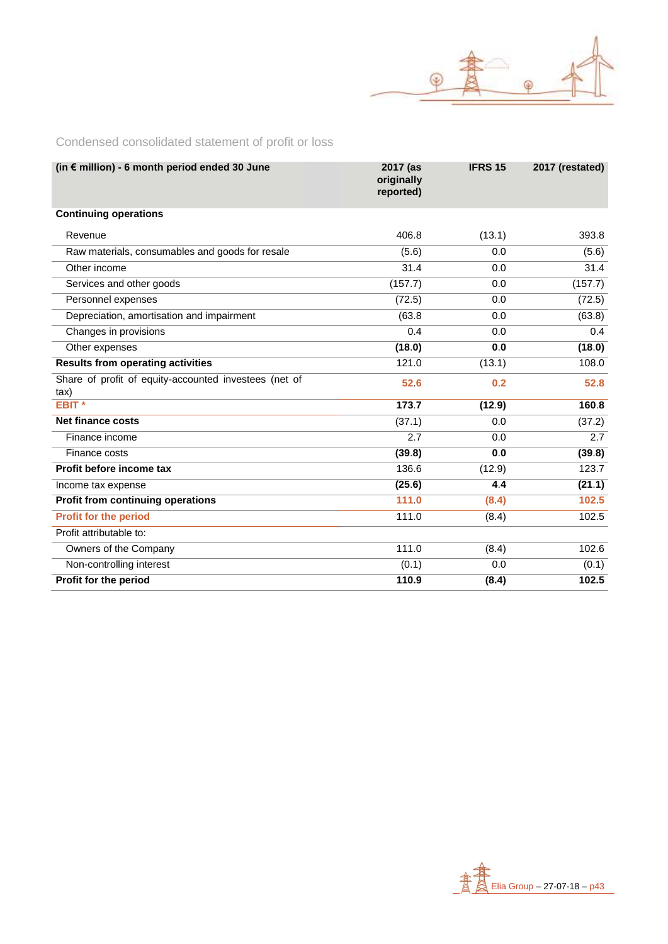

Condensed consolidated statement of profit or loss

| (in € million) - 6 month period ended 30 June         | 2017 (as<br>originally<br>reported) | <b>IFRS 15</b> | 2017 (restated) |
|-------------------------------------------------------|-------------------------------------|----------------|-----------------|
| <b>Continuing operations</b>                          |                                     |                |                 |
| Revenue                                               | 406.8                               | (13.1)         | 393.8           |
| Raw materials, consumables and goods for resale       | (5.6)                               | 0.0            | (5.6)           |
| Other income                                          | 31.4                                | 0.0            | 31.4            |
| Services and other goods                              | (157.7)                             | 0.0            | (157.7)         |
| Personnel expenses                                    | (72.5)                              | 0.0            | (72.5)          |
| Depreciation, amortisation and impairment             | (63.8)                              | 0.0            | (63.8)          |
| Changes in provisions                                 | 0.4                                 | 0.0            | 0.4             |
| Other expenses                                        | (18.0)                              | 0.0            | (18.0)          |
| <b>Results from operating activities</b>              | 121.0                               | (13.1)         | 108.0           |
| Share of profit of equity-accounted investees (net of | 52.6                                | 0.2            | 52.8            |
| tax)                                                  |                                     |                |                 |
| EBIT <sup>*</sup>                                     | 173.7                               | (12.9)         | 160.8           |
| <b>Net finance costs</b>                              | (37.1)                              | 0.0            | (37.2)          |
| Finance income                                        | 2.7                                 | 0.0            | 2.7             |
| Finance costs                                         | (39.8)                              | 0.0            | (39.8)          |
| Profit before income tax                              | 136.6                               | (12.9)         | 123.7           |
| Income tax expense                                    | (25.6)                              | 4.4            | (21.1)          |
| Profit from continuing operations                     | 111.0                               | (8.4)          | 102.5           |
| <b>Profit for the period</b>                          | 111.0                               | (8.4)          | 102.5           |
| Profit attributable to:                               |                                     |                |                 |
| Owners of the Company                                 | 111.0                               | (8.4)          | 102.6           |
| Non-controlling interest                              | (0.1)                               | 0.0            | (0.1)           |
| Profit for the period                                 | 110.9                               | (8.4)          | 102.5           |

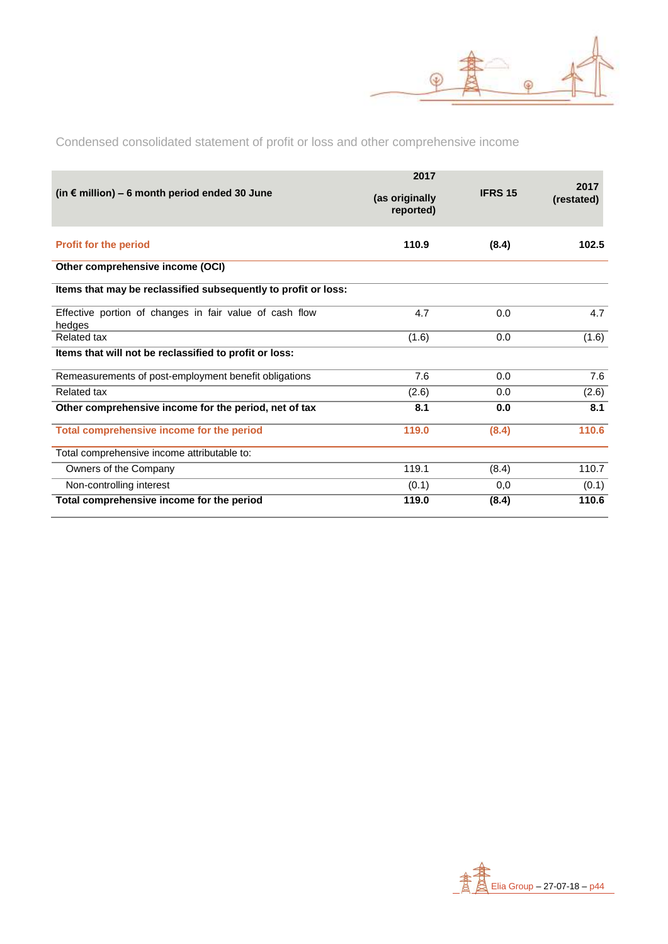

Condensed consolidated statement of profit or loss and other comprehensive income

| (in $\epsilon$ million) – 6 month period ended 30 June            | 2017<br>(as originally<br>reported) | <b>IFRS 15</b> | 2017<br>(restated) |
|-------------------------------------------------------------------|-------------------------------------|----------------|--------------------|
| <b>Profit for the period</b>                                      | 110.9                               | (8.4)          | 102.5              |
| Other comprehensive income (OCI)                                  |                                     |                |                    |
| Items that may be reclassified subsequently to profit or loss:    |                                     |                |                    |
| Effective portion of changes in fair value of cash flow<br>hedges | 4.7                                 | 0.0            | 4.7                |
| Related tax                                                       | (1.6)                               | 0.0            | (1.6)              |
| Items that will not be reclassified to profit or loss:            |                                     |                |                    |
| Remeasurements of post-employment benefit obligations             | 7.6                                 | 0.0            | 7.6                |
| Related tax                                                       | (2.6)                               | 0.0            | (2.6)              |
| Other comprehensive income for the period, net of tax             | 8.1                                 | 0.0            | 8.1                |
| Total comprehensive income for the period                         | 119.0                               | (8.4)          | 110.6              |
| Total comprehensive income attributable to:                       |                                     |                |                    |
| Owners of the Company                                             | 119.1                               | (8.4)          | 110.7              |
| Non-controlling interest                                          | (0.1)                               | 0,0            | (0.1)              |
| Total comprehensive income for the period                         | 119.0                               | (8.4)          | 110.6              |

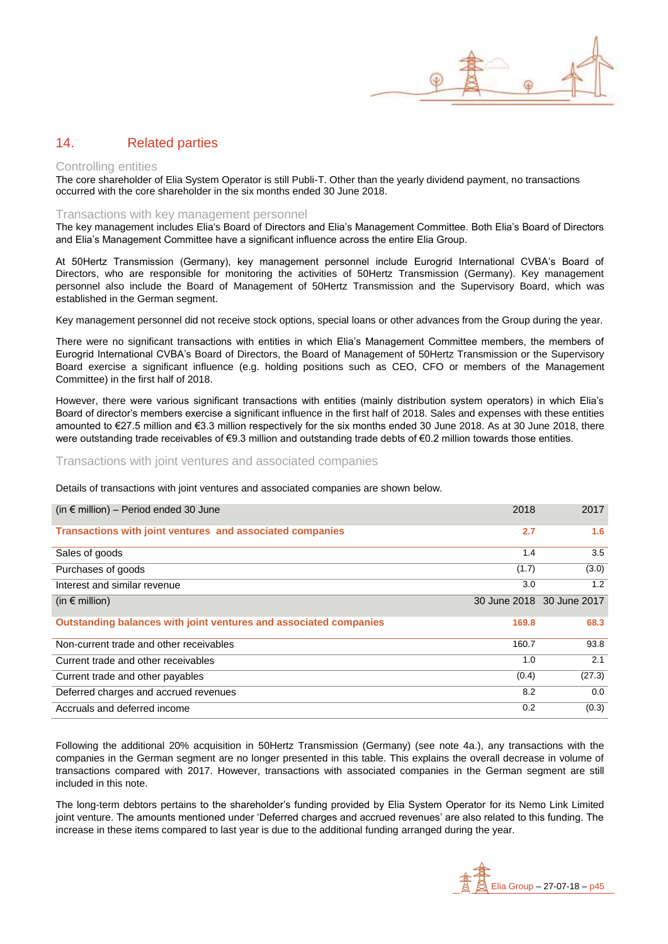### 14. Related parties

#### Controlling entities

The core shareholder of Elia System Operator is still Publi-T. Other than the yearly dividend payment, no transactions occurred with the core shareholder in the six months ended 30 June 2018.

#### Transactions with key management personnel

The key management includes Elia's Board of Directors and Elia's Management Committee. Both Elia's Board of Directors and Elia's Management Committee have a significant influence across the entire Elia Group.

At 50Hertz Transmission (Germany), key management personnel include Eurogrid International CVBA's Board of Directors, who are responsible for monitoring the activities of 50Hertz Transmission (Germany). Key management personnel also include the Board of Management of 50Hertz Transmission and the Supervisory Board, which was established in the German segment.

Key management personnel did not receive stock options, special loans or other advances from the Group during the year.

There were no significant transactions with entities in which Elia's Management Committee members, the members of Eurogrid International CVBA's Board of Directors, the Board of Management of 50Hertz Transmission or the Supervisory Board exercise a significant influence (e.g. holding positions such as CEO, CFO or members of the Management Committee) in the first half of 2018.

However, there were various significant transactions with entities (mainly distribution system operators) in which Elia's Board of director's members exercise a significant influence in the first half of 2018. Sales and expenses with these entities amounted to €27.5 million and €3.3 million respectively for the six months ended 30 June 2018. As at 30 June 2018, there were outstanding trade receivables of €9.3 million and outstanding trade debts of €0.2 million towards those entities.

#### Transactions with joint ventures and associated companies

Details of transactions with joint ventures and associated companies are shown below.

| (in $\epsilon$ million) – Period ended 30 June                    | 2018  | 2017                      |
|-------------------------------------------------------------------|-------|---------------------------|
| Transactions with joint ventures and associated companies         | 2.7   | 1.6                       |
| Sales of goods                                                    | 1.4   | 3.5                       |
| Purchases of goods                                                | (1.7) | (3.0)                     |
| Interest and similar revenue                                      | 3.0   | 1.2                       |
| (in $\epsilon$ million)                                           |       | 30 June 2018 30 June 2017 |
| Outstanding balances with joint ventures and associated companies | 169.8 | 68.3                      |
| Non-current trade and other receivables                           | 160.7 | 93.8                      |
| Current trade and other receivables                               | 1.0   | 2.1                       |
| Current trade and other payables                                  | (0.4) | (27.3)                    |
| Deferred charges and accrued revenues                             | 8.2   | 0.0                       |
| Accruals and deferred income                                      | 0.2   | (0.3)                     |

Following the additional 20% acquisition in 50Hertz Transmission (Germany) (see note 4a.), any transactions with the companies in the German segment are no longer presented in this table. This explains the overall decrease in volume of transactions compared with 2017. However, transactions with associated companies in the German segment are still included in this note.

The long-term debtors pertains to the shareholder's funding provided by Elia System Operator for its Nemo Link Limited joint venture. The amounts mentioned under 'Deferred charges and accrued revenues' are also related to this funding. The increase in these items compared to last year is due to the additional funding arranged during the year.

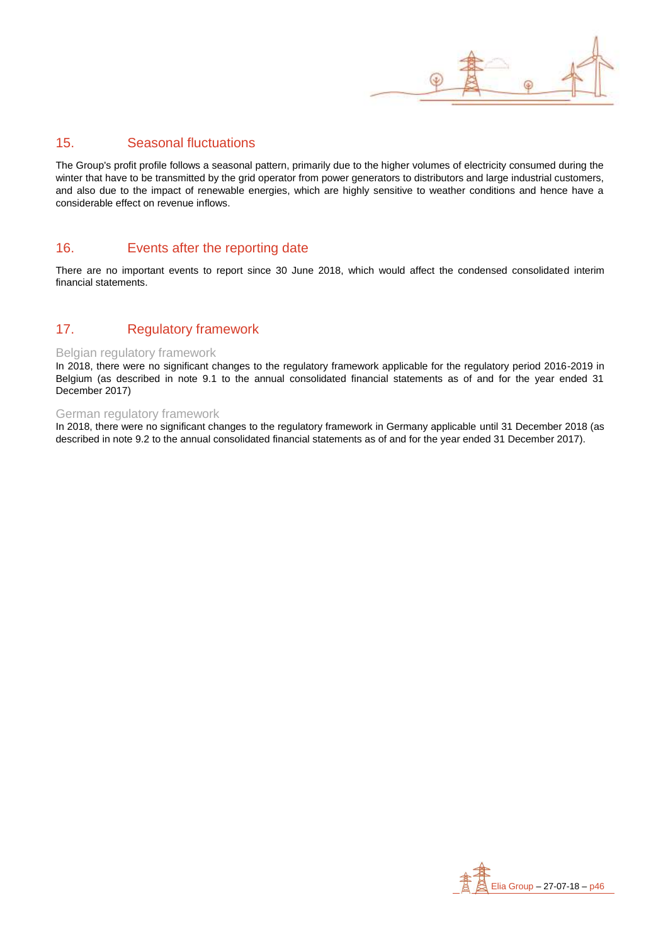

### 15. Seasonal fluctuations

The Group's profit profile follows a seasonal pattern, primarily due to the higher volumes of electricity consumed during the winter that have to be transmitted by the grid operator from power generators to distributors and large industrial customers, and also due to the impact of renewable energies, which are highly sensitive to weather conditions and hence have a considerable effect on revenue inflows.

### 16. Events after the reporting date

There are no important events to report since 30 June 2018, which would affect the condensed consolidated interim financial statements.

### 17. Regulatory framework

#### Belgian regulatory framework

In 2018, there were no significant changes to the regulatory framework applicable for the regulatory period 2016-2019 in Belgium (as described in note 9.1 to the annual consolidated financial statements as of and for the year ended 31 December 2017)

#### German regulatory framework

In 2018, there were no significant changes to the regulatory framework in Germany applicable until 31 December 2018 (as described in note 9.2 to the annual consolidated financial statements as of and for the year ended 31 December 2017).